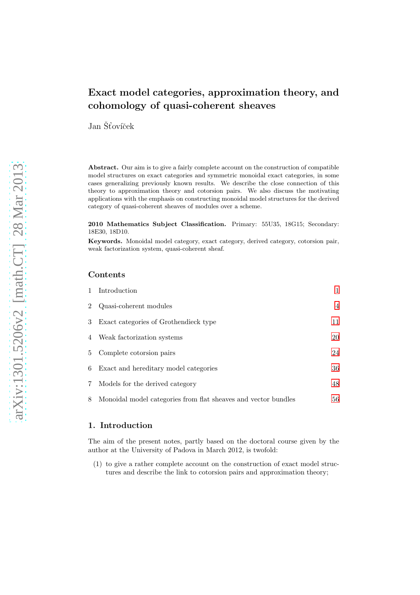# Exact model categories, approximation theory, and cohomology of quasi-coherent sheaves

Jan Šťovíček

Abstract. Our aim is to give a fairly complete account on the construction of compatible model structures on exact categories and symmetric monoidal exact categories, in some cases generalizing previously known results. We describe the close connection of this theory to approximation theory and cotorsion pairs. We also discuss the motivating applications with the emphasis on constructing monoidal model structures for the derived category of quasi-coherent sheaves of modules over a scheme.

2010 Mathematics Subject Classification. Primary: 55U35, 18G15; Secondary: 18E30, 18D10.

Keywords. Monoidal model category, exact category, derived category, cotorsion pair, weak factorization system, quasi-coherent sheaf.

# Contents

|   | 1 Introduction                                                 |    |
|---|----------------------------------------------------------------|----|
|   | 2 Quasi-coherent modules                                       | 4  |
|   | 3 Exact categories of Grothendieck type                        | 11 |
|   | 4 Weak factorization systems                                   | 20 |
|   | 5 Complete cotorsion pairs                                     | 24 |
|   | 6 Exact and hereditary model categories                        | 36 |
|   | 7 Models for the derived category                              | 48 |
| 8 | Monoidal model categories from flat sheaves and vector bundles | 56 |

# <span id="page-0-0"></span>1. Introduction

The aim of the present notes, partly based on the doctoral course given by the author at the University of Padova in March 2012, is twofold:

(1) to give a rather complete account on the construction of exact model structures and describe the link to cotorsion pairs and approximation theory;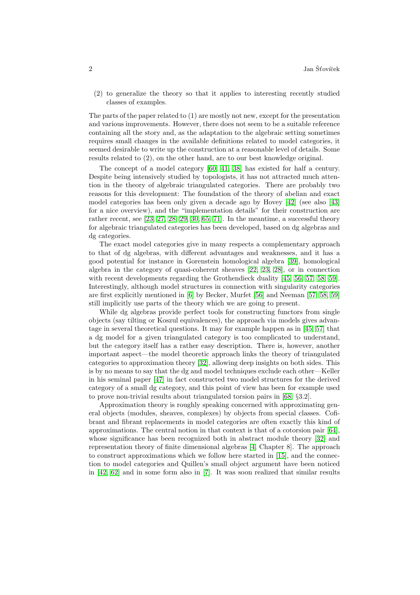(2) to generalize the theory so that it applies to interesting recently studied classes of examples.

The parts of the paper related to (1) are mostly not new, except for the presentation and various improvements. However, there does not seem to be a suitable reference containing all the story and, as the adaptation to the algebraic setting sometimes requires small changes in the available definitions related to model categories, it seemed desirable to write up the construction at a reasonable level of details. Some results related to (2), on the other hand, are to our best knowledge original.

The concept of a model category [\[60,](#page-68-0) [41,](#page-67-0) [38\]](#page-67-1) has existed for half a century. Despite being intensively studied by topologists, it has not attracted much attention in the theory of algebraic triangulated categories. There are probably two reasons for this development: The foundation of the theory of abelian and exact model categories has been only given a decade ago by Hovey [\[42\]](#page-67-2) (see also [\[43\]](#page-67-3) for a nice overview), and the "implementation details" for their construction are rather recent, see [\[23,](#page-66-0) [27,](#page-66-1) [28,](#page-66-2) [29,](#page-66-3) [30,](#page-66-4) [65,](#page-68-1) [71\]](#page-69-0). In the meantime, a successful theory for algebraic triangulated categories has been developed, based on dg algebras and dg categories.

The exact model categories give in many respects a complementary approach to that of dg algebras, with different advantages and weaknesses, and it has a good potential for instance in Gorenstein homological algebra [\[39\]](#page-67-4), homological algebra in the category of quasi-coherent sheaves [\[22,](#page-66-5) [23,](#page-66-0) [28\]](#page-66-2), or in connection with recent developments regarding the Grothendieck duality [\[45,](#page-67-5) [56,](#page-68-2) [57,](#page-68-3) [58,](#page-68-4) [59\]](#page-68-5). Interestingly, although model structures in connection with singularity categories are first explicitly mentioned in [\[6\]](#page-65-0) by Becker, Murfet [\[56\]](#page-68-2) and Neeman [\[57,](#page-68-3) [58,](#page-68-4) [59\]](#page-68-5) still implicitly use parts of the theory which we are going to present.

While dg algebras provide perfect tools for constructing functors from single objects (say tilting or Koszul equivalences), the approach via models gives advantage in several theoretical questions. It may for example happen as in [\[45,](#page-67-5) [57\]](#page-68-3) that a dg model for a given triangulated category is too complicated to understand, but the category itself has a rather easy description. There is, however, another important aspect—the model theoretic approach links the theory of triangulated categories to approximation theory [\[32\]](#page-67-6), allowing deep insights on both sides. This is by no means to say that the dg and model techniques exclude each other—Keller in his seminal paper [\[47\]](#page-67-7) in fact constructed two model structures for the derived category of a small dg category, and this point of view has been for example used to prove non-trivial results about triangulated torsion pairs in [\[68,](#page-68-6) §3.2].

Approximation theory is roughly speaking concerned with approximating general objects (modules, sheaves, complexes) by objects from special classes. Cofibrant and fibrant replacements in model categories are often exactly this kind of approximations. The central notion in that context is that of a cotorsion pair [\[64\]](#page-68-7), whose significance has been recognized both in abstract module theory [\[32\]](#page-67-6) and representation theory of finite dimensional algebras [\[4,](#page-65-1) Chapter 8]. The approach to construct approximations which we follow here started in [\[15\]](#page-66-6), and the connection to model categories and Quillen's small object argument have been noticed in [\[42,](#page-67-2) [62\]](#page-68-8) and in some form also in [\[7\]](#page-65-2). It was soon realized that similar results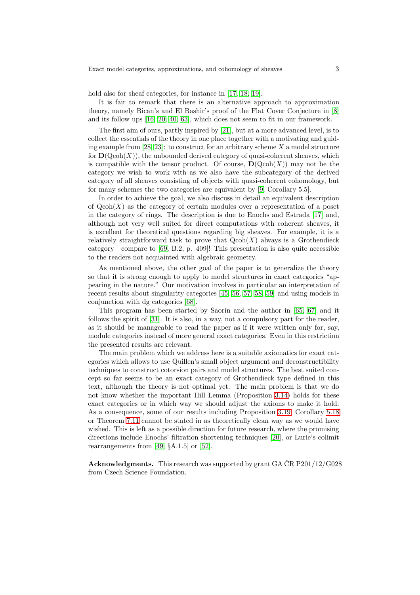hold also for sheaf categories, for instance in [\[17,](#page-66-7) [18,](#page-66-8) [19\]](#page-66-9).

It is fair to remark that there is an alternative approach to approximation theory, namely Bican's and El Bashir's proof of the Flat Cover Conjecture in [\[8\]](#page-65-3) and its follow ups [\[16,](#page-66-10) [20,](#page-66-11) [40,](#page-67-8) [63\]](#page-68-9), which does not seem to fit in our framework.

The first aim of ours, partly inspired by [\[21\]](#page-66-12), but at a more advanced level, is to collect the essentials of the theory in one place together with a motivating and guiding example from  $[28, 23]$  $[28, 23]$ : to construct for an arbitrary scheme X a model structure for  $\mathbf{D}(\mathrm{Qcoh}(X))$ , the unbounded derived category of quasi-coherent sheaves, which is compatible with the tensor product. Of course,  $\mathbf{D}(\mathrm{Qcoh}(X))$  may not be the category we wish to work with as we also have the subcategory of the derived category of all sheaves consisting of objects with quasi-coherent cohomology, but for many schemes the two categories are equivalent by [\[9,](#page-65-4) Corollary 5.5].

In order to achieve the goal, we also discuss in detail an equivalent description of  $Qcoh(X)$  as the category of certain modules over a representation of a poset in the category of rings. The description is due to Enochs and Estrada [\[17\]](#page-66-7) and, although not very well suited for direct computations with coherent sheaves, it is excellent for theoretical questions regarding big sheaves. For example, it is a relatively straightforward task to prove that  $Qcoh(X)$  always is a Grothendieck category—compare to [\[69,](#page-68-10) B.2, p. 409]! This presentation is also quite accessible to the readers not acquainted with algebraic geometry.

As mentioned above, the other goal of the paper is to generalize the theory so that it is strong enough to apply to model structures in exact categories "appearing in the nature." Our motivation involves in particular an interpretation of recent results about singularity categories [\[45,](#page-67-5) [56,](#page-68-2) [57,](#page-68-3) [58,](#page-68-4) [59\]](#page-68-5) and using models in conjunction with dg categories [\[68\]](#page-68-6).

This program has been started by Saorín and the author in [\[65,](#page-68-1) [67\]](#page-68-11) and it follows the spirit of [\[31\]](#page-66-13). It is also, in a way, not a compulsory part for the reader, as it should be manageable to read the paper as if it were written only for, say, module categories instead of more general exact categories. Even in this restriction the presented results are relevant.

The main problem which we address here is a suitable axiomatics for exact categories which allows to use Quillen's small object argument and deconstructibility techniques to construct cotorsion pairs and model structures. The best suited concept so far seems to be an exact category of Grothendieck type defined in this text, although the theory is not optimal yet. The main problem is that we do not know whether the important Hill Lemma (Proposition [3.14\)](#page-15-0) holds for these exact categories or in which way we should adjust the axioms to make it hold. As a consequence, some of our results including Proposition [3.19,](#page-19-1) Corollary [5.18](#page-35-1) or Theorem [7.11](#page-52-0) cannot be stated in as theoretically clean way as we would have wished. This is left as a possible direction for future research, where the promising directions include Enochs' filtration shortening techniques [\[20\]](#page-66-11), or Lurie's colimit rearrangements from [\[49,](#page-67-9) §A.1.5] or [\[52\]](#page-68-12).

**Acknowledgments.** This research was supported by grant GA  $\text{\r{CR}}$  P201/12/G028 from Czech Science Foundation.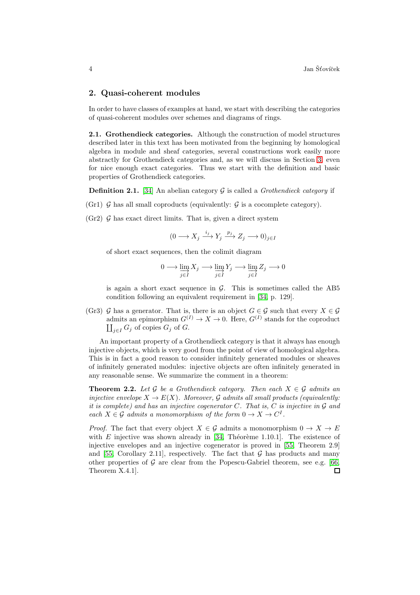#### <span id="page-3-0"></span>2. Quasi-coherent modules

In order to have classes of examples at hand, we start with describing the categories of quasi-coherent modules over schemes and diagrams of rings.

2.1. Grothendieck categories. Although the construction of model structures described later in this text has been motivated from the beginning by homological algebra in module and sheaf categories, several constructions work easily more abstractly for Grothendieck categories and, as we will discuss in Section [3,](#page-10-0) even for nice enough exact categories. Thus we start with the definition and basic properties of Grothendieck categories.

<span id="page-3-2"></span>**Definition 2.1.** [\[34\]](#page-67-10) An abelian category  $\mathcal{G}$  is called a *Grothendieck category* if

(Gr1)  $\mathcal G$  has all small coproducts (equivalently:  $\mathcal G$  is a cocomplete category).

 $(Gr2)$  G has exact direct limits. That is, given a direct system

$$
(0 \longrightarrow X_j \xrightarrow{i_j} Y_j \xrightarrow{p_j} Z_j \longrightarrow 0)_{j \in I}
$$

of short exact sequences, then the colimit diagram

$$
0 \longrightarrow \varinjlim_{j \in I} X_j \longrightarrow \varinjlim_{j \in I} Y_j \longrightarrow \varinjlim_{j \in I} Z_j \longrightarrow 0
$$

is again a short exact sequence in  $G$ . This is sometimes called the AB5 condition following an equivalent requirement in [\[34,](#page-67-10) p. 129].

(Gr3) G has a generator. That is, there is an object  $G \in \mathcal{G}$  such that every  $X \in \mathcal{G}$ admits an epimorphism  $G^{(I)} \to X \to 0$ . Here,  $G^{(I)}$  stands for the coproduct  $\coprod_{j\in I} G_j$  of copies  $G_j$  of  $G$ .

An important property of a Grothendieck category is that it always has enough injective objects, which is very good from the point of view of homological algebra. This is in fact a good reason to consider infinitely generated modules or sheaves of infinitely generated modules: injective objects are often infinitely generated in any reasonable sense. We summarize the comment in a theorem:

<span id="page-3-1"></span>**Theorem 2.2.** Let G be a Grothendieck category. Then each  $X \in \mathcal{G}$  admits an injective envelope  $X \to E(X)$ . Moreover, G admits all small products (equivalently: it is complete) and has an injective cogenerator  $C$ . That is,  $C$  is injective in  $\mathcal G$  and each  $X \in \mathcal{G}$  admits a monomorphism of the form  $0 \to X \to C^I$ .

*Proof.* The fact that every object  $X \in \mathcal{G}$  admits a monomorphism  $0 \to X \to E$ with  $E$  injective was shown already in [\[34,](#page-67-10) Théorème 1.10.1]. The existence of injective envelopes and an injective cogenerator is proved in [\[55,](#page-68-13) Theorem 2.9] and [\[55,](#page-68-13) Corollary 2.11], respectively. The fact that  $G$  has products and many other properties of G are clear from the Popescu-Gabriel theorem, see e.g. [\[66,](#page-68-14)] Theorem X.4.1]. $\Box$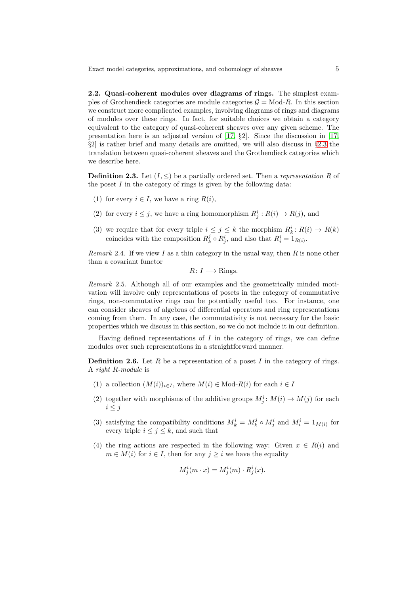<span id="page-4-2"></span>2.2. Quasi-coherent modules over diagrams of rings. The simplest examples of Grothendieck categories are module categories  $\mathcal{G} = \text{Mod-}R$ . In this section we construct more complicated examples, involving diagrams of rings and diagrams of modules over these rings. In fact, for suitable choices we obtain a category equivalent to the category of quasi-coherent sheaves over any given scheme. The presentation here is an adjusted version of [\[17,](#page-66-7) §2]. Since the discussion in [\[17,](#page-66-7) §2] is rather brief and many details are omitted, we will also discuss in §[2.3](#page-8-0) the translation between quasi-coherent sheaves and the Grothendieck categories which we describe here.

<span id="page-4-0"></span>**Definition 2.3.** Let  $(I, \leq)$  be a partially ordered set. Then a representation R of the poset  $I$  in the category of rings is given by the following data:

- (1) for every  $i \in I$ , we have a ring  $R(i)$ ,
- (2) for every  $i \leq j$ , we have a ring homomorphism  $R_j^i : R(i) \to R(j)$ , and
- (3) we require that for every triple  $i \leq j \leq k$  the morphism  $R_k^i: R(i) \to R(k)$ coincides with the composition  $R_k^j \circ R_j^i$ , and also that  $R_i^i = 1_{R(i)}$ .

Remark 2.4. If we view I as a thin category in the usual way, then R is none other than a covariant functor

 $R: I \longrightarrow$  Rings.

Remark 2.5. Although all of our examples and the geometrically minded motivation will involve only representations of posets in the category of commutative rings, non-commutative rings can be potentially useful too. For instance, one can consider sheaves of algebras of differential operators and ring representations coming from them. In any case, the commutativity is not necessary for the basic properties which we discuss in this section, so we do not include it in our definition.

<span id="page-4-1"></span>Having defined representations of  $I$  in the category of rings, we can define modules over such representations in a straightforward manner.

**Definition 2.6.** Let R be a representation of a poset I in the category of rings. A right R-module is

- (1) a collection  $(M(i))_{i\in I}$ , where  $M(i) \in Mod-R(i)$  for each  $i \in I$
- (2) together with morphisms of the additive groups  $M_j^i$ :  $M(i) \to M(j)$  for each  $i \leq j$
- (3) satisfying the compatibility conditions  $M_k^i = M_k^j \circ M_j^i$  and  $M_i^i = 1_{M(i)}$  for every triple  $i \leq j \leq k$ , and such that
- (4) the ring actions are respected in the following way: Given  $x \in R(i)$  and  $m \in M(i)$  for  $i \in I$ , then for any  $j \geq i$  we have the equality

$$
M_j^i(m \cdot x) = M_j^i(m) \cdot R_j^i(x).
$$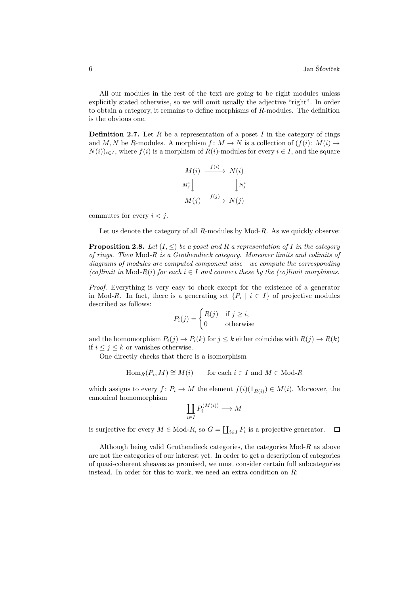All our modules in the rest of the text are going to be right modules unless explicitly stated otherwise, so we will omit usually the adjective "right". In order to obtain a category, it remains to define morphisms of R-modules. The definition is the obvious one.

**Definition 2.7.** Let  $R$  be a representation of a poset  $I$  in the category of rings and M, N be R-modules. A morphism  $f: M \to N$  is a collection of  $(f(i): M(i) \to$  $N(i)$ <sub>i∈I</sub>, where  $f(i)$  is a morphism of  $R(i)$ -modules for every  $i \in I$ , and the square

$$
M(i) \xrightarrow{f(i)} N(i)
$$
  
\n
$$
M_j^i \downarrow \qquad \qquad N_j^i
$$
  
\n
$$
M(j) \xrightarrow{f(j)} N(j)
$$

commutes for every  $i < j$ .

Let us denote the category of all R-modules by Mod-R. As we quickly observe:

**Proposition 2.8.** Let  $(I, \leq)$  be a poset and R a representation of I in the category of rings. Then Mod-R is a Grothendieck category. Moreover limits and colimits of diagrams of modules are computed component wise—we compute the corresponding (co)limit in Mod-R(i) for each  $i \in I$  and connect these by the (co)limit morphisms.

Proof. Everything is very easy to check except for the existence of a generator in Mod-R. In fact, there is a generating set  $\{P_i \mid i \in I\}$  of projective modules described as follows:

$$
P_i(j) = \begin{cases} R(j) & \text{if } j \ge i, \\ 0 & \text{otherwise} \end{cases}
$$

and the homomorphism  $P_i(j) \to P_i(k)$  for  $j \leq k$  either coincides with  $R(j) \to R(k)$ if  $i \leq j \leq k$  or vanishes otherwise.

One directly checks that there is a isomorphism

$$
\operatorname{Hom}_R(P_i, M) \cong M(i) \qquad \text{for each } i \in I \text{ and } M \in \text{Mod-}R
$$

which assigns to every  $f: P_i \to M$  the element  $f(i)(1_{R(i)}) \in M(i)$ . Moreover, the canonical homomorphism

$$
\coprod_{i\in I} P_i^{(M(i))}\longrightarrow M
$$

 $\Box$ is surjective for every  $M \in \text{Mod-}R$ , so  $G = \coprod_{i \in I} P_i$  is a projective generator.

<span id="page-5-0"></span>Although being valid Grothendieck categories, the categories  $Mod-R$  as above are not the categories of our interest yet. In order to get a description of categories of quasi-coherent sheaves as promised, we must consider certain full subcategories instead. In order for this to work, we need an extra condition on  $R$ :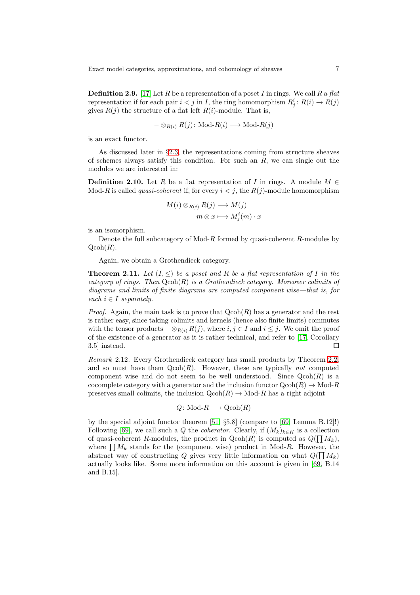**Definition 2.9.** [\[17\]](#page-66-7) Let R be a representation of a poset I in rings. We call R a flat representation if for each pair  $i < j$  in I, the ring homomorphism  $R_j^i: R(i) \to R(j)$ gives  $R(j)$  the structure of a flat left  $R(i)$ -module. That is,

$$
-\otimes_{R(i)} R(j) : \text{Mod-}R(i) \longrightarrow \text{Mod-}R(j)
$$

is an exact functor.

As discussed later in  $\S 2.3$ , the representations coming from structure sheaves of schemes always satisfy this condition. For such an  $R$ , we can single out the modules we are interested in:

**Definition 2.10.** Let R be a flat representation of I in rings. A module  $M \in$ Mod-R is called *quasi-coherent* if, for every  $i < j$ , the  $R(j)$ -module homomorphism

$$
M(i) \otimes_{R(i)} R(j) \longrightarrow M(j) \nm \otimes x \longmapsto M_j^i(m) \cdot x
$$

is an isomorphism.

Denote the full subcategory of Mod-R formed by quasi-coherent  $R$ -modules by  $Qcoh(R)$ .

Again, we obtain a Grothendieck category.

**Theorem 2.11.** Let  $(I, \leq)$  be a poset and R be a flat representation of I in the category of rings. Then  $Qcoh(R)$  is a Grothendieck category. Moreover colimits of diagrams and limits of finite diagrams are computed component wise—that is, for each  $i \in I$  separately.

*Proof.* Again, the main task is to prove that  $Qcoh(R)$  has a generator and the rest is rather easy, since taking colimits and kernels (hence also finite limits) commutes with the tensor products  $-\otimes_{R(i)} R(j)$ , where  $i, j \in I$  and  $i \leq j$ . We omit the proof of the existence of a generator as it is rather technical, and refer to [\[17,](#page-66-7) Corollary 3.5] instead.  $\Box$ 

<span id="page-6-0"></span>Remark 2.12. Every Grothendieck category has small products by Theorem [2.2,](#page-3-1) and so must have them  $Qcoh(R)$ . However, these are typically not computed component wise and do not seem to be well understood. Since  $Qcoh(R)$  is a cocomplete category with a generator and the inclusion functor  $Qcoh(R) \rightarrow Mod-R$ preserves small colimits, the inclusion  $Qcoh(R) \rightarrow Mod-R$  has a right adjoint

$$
Q: \text{Mod-}R \longrightarrow \text{Qcoh}(R)
$$

by the special adjoint functor theorem [\[51,](#page-68-15) §5.8] (compare to [\[69,](#page-68-10) Lemma B.12]!) Following [\[69\]](#page-68-10), we call such a Q the *coherator*. Clearly, if  $(M_k)_{k\in K}$  is a collection of quasi-coherent R-modules, the product in  $Qcoh(R)$  is computed as  $Q(\prod M_k)$ , where  $\prod M_k$  stands for the (component wise) product in Mod-R. However, the abstract way of constructing Q gives very little information on what  $Q(\prod M_k)$ actually looks like. Some more information on this account is given in [\[69,](#page-68-10) B.14 and B.15].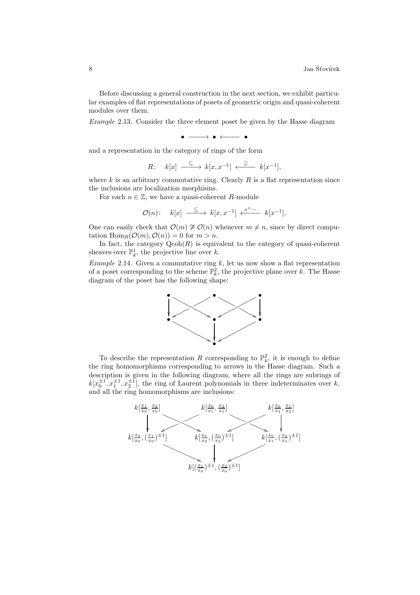Before discussing a general construction in the next section, we exhibit particular examples of flat representations of posets of geometric origin and quasi-coherent modules over them.

<span id="page-7-0"></span>Example 2.13. Consider the three element poset be given by the Hasse diagram

• −−−−→ • ←−−−− •

and a representation in the category of rings of the form

$$
R: \quad k[x] \xrightarrow{\subseteq} k[x, x^{-1}] \xleftarrow{\supseteq} k[x^{-1}],
$$

where  $k$  is an arbitrary commutative ring. Clearly  $R$  is a flat representation since the inclusions are localization morphisms.

For each  $n \in \mathbb{Z}$ , we have a quasi-coherent R-module

$$
\mathcal{O}(n): \quad k[x] \xrightarrow{\subseteq} k[x, x^{-1}] \xleftarrow{x^n - k}[x^{-1}].
$$

One can easily check that  $\mathcal{O}(m) \not\cong \mathcal{O}(n)$  whenever  $m \neq n$ , since by direct computation  $\text{Hom}_R(\mathcal{O}(m), \mathcal{O}(n)) = 0$  for  $m > n$ .

In fact, the category  $Qcoh(R)$  is equivalent to the category of quasi-coherent sheaves over  $\mathbb{P}_k^1$ , the projective line over k.

<span id="page-7-1"></span>Example 2.14. Given a commutative ring  $k$ , let us now show a flat representation of a poset corresponding to the scheme  $\mathbb{P}_k^2$ , the projective plane over k. The Hasse diagram of the poset has the following shape:



To describe the representation R corresponding to  $\mathbb{P}_k^2$ , it is enough to define the ring homomorphisms corresponding to arrows in the Hasse diagram. Such a description is given in the following diagram, where all the rings are subrings of  $k[x_0^{\pm 1}, x_1^{\pm 1}, x_2^{\pm 1}]$ , the ring of Laurent polynomials in three indeterminates over k, and all the ring homomorphisms are inclusions:

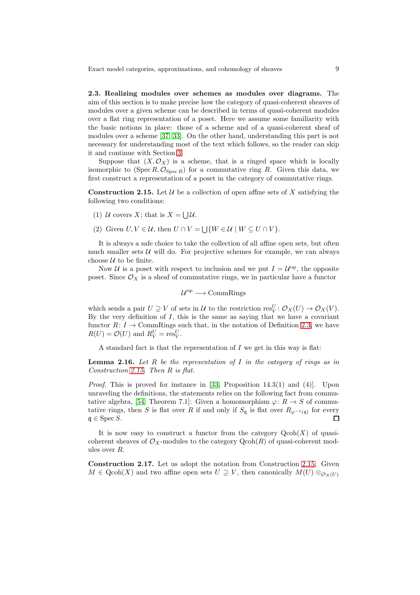<span id="page-8-0"></span>2.3. Realizing modules over schemes as modules over diagrams. The aim of this section is to make precise how the category of quasi-coherent sheaves of modules over a given scheme can be described in terms of quasi-coherent modules over a flat ring representation of a poset. Here we assume some familiarity with the basic notions in place: those of a scheme and of a quasi-coherent sheaf of modules over a scheme [\[37,](#page-67-11) [33\]](#page-67-12). On the other hand, understanding this part is not necessary for understanding most of the text which follows, so the reader can skip it and continue with Section [3.](#page-10-0)

Suppose that  $(X, \mathcal{O}_X)$  is a scheme, that is a ringed space which is locally isomorphic to (Spec R,  $\mathcal{O}_{\text{Spec } R}$ ) for a commutative ring R. Given this data, we first construct a representation of a poset in the category of commutative rings.

<span id="page-8-1"></span>**Construction 2.15.** Let U be a collection of open affine sets of X satisfying the following two conditions:

- (1) U covers X; that is  $X = \bigcup \mathcal{U}$ .
- (2) Given  $U, V \in \mathcal{U}$ , then  $U \cap V = \bigcup \{W \in \mathcal{U} \mid W \subseteq U \cap V\}.$

It is always a safe choice to take the collection of all affine open sets, but often much smaller sets  $\mathcal{U}$  will do. For projective schemes for example, we can always choose  $U$  to be finite.

Now U is a poset with respect to inclusion and we put  $I = U^{\text{op}}$ , the opposite poset. Since  $\mathcal{O}_X$  is a sheaf of commutative rings, we in particular have a functor

 $U^{\text{op}} \longrightarrow \text{CommRings}$ 

which sends a pair  $U \supseteq V$  of sets in  $\mathcal U$  to the restriction  $\text{res}_V^U \colon \mathcal O_X(U) \to \mathcal O_X(V)$ . By the very definition of  $I$ , this is the same as saying that we have a covariant functor  $R: I \to \text{CommRings}$  such that, in the notation of Definition [2.3,](#page-4-0) we have  $R(U) = \mathcal{O}(U)$  and  $R_V^U = \text{res}_V^U$ .

A standard fact is that the representation of  $I$  we get in this way is flat:

**Lemma 2.16.** Let R be the representation of I in the category of rings as in Construction [2.15.](#page-8-1) Then R is flat.

Proof. This is proved for instance in [\[33,](#page-67-12) Proposition 14.3(1) and (4)]. Upon unraveling the definitions, the statements relies on the following fact from commu-tative algebra, [\[54,](#page-68-16) Theorem 7.1]: Given a homomorphism  $\varphi: R \to S$  of commutative rings, then S is flat over R if and only if  $S_{\mathfrak{q}}$  is flat over  $R_{\varphi^{-1}(\mathfrak{q})}$  for every  $\mathfrak{q} \in \operatorname{Spec} S$ . 口

It is now easy to construct a functor from the category  $Qcoh(X)$  of quasicoherent sheaves of  $\mathcal{O}_X$ -modules to the category  $\mathrm{Qcoh}(R)$  of quasi-coherent modules over R.

<span id="page-8-2"></span>Construction 2.17. Let us adopt the notation from Construction [2.15.](#page-8-1) Given  $M \in \text{Qcoh}(X)$  and two affine open sets  $U \supseteq V$ , then canonically  $M(U) \otimes_{\mathcal{O}_X(U)}$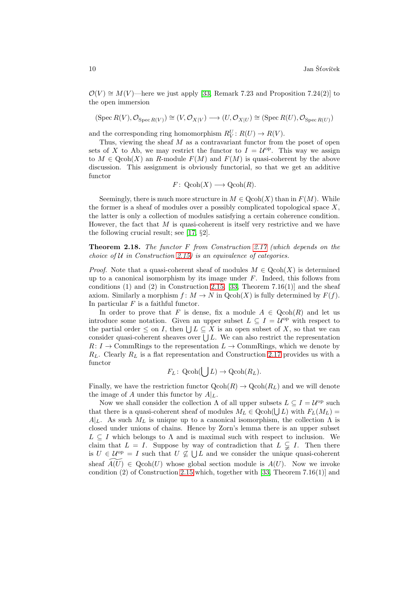$\mathcal{O}(V) \cong M(V)$ —here we just apply [\[33,](#page-67-12) Remark 7.23 and Proposition 7.24(2)] to the open immersion

$$
(\operatorname{Spec} R(V), \mathcal{O}_{\operatorname{Spec} R(V)}) \cong (V, \mathcal{O}_{X|V}) \longrightarrow (U, \mathcal{O}_{X|U}) \cong (\operatorname{Spec} R(U), \mathcal{O}_{\operatorname{Spec} R(U)})
$$

and the corresponding ring homomorphism  $R_V^U$ :  $R(U) \to R(V)$ .

Thus, viewing the sheaf  $M$  as a contravariant functor from the poset of open sets of X to Ab, we may restrict the functor to  $I = \mathcal{U}^{\mathrm{op}}$ . This way we assign to  $M \in \text{Qcoh}(X)$  an R-module  $F(M)$  and  $F(M)$  is quasi-coherent by the above discussion. This assignment is obviously functorial, so that we get an additive functor

$$
F: \text{Qcoh}(X) \longrightarrow \text{Qcoh}(R).
$$

Seemingly, there is much more structure in  $M \in \text{Qcoh}(X)$  than in  $F(M)$ . While the former is a sheaf of modules over a possibly complicated topological space  $X$ , the latter is only a collection of modules satisfying a certain coherence condition. However, the fact that  $M$  is quasi-coherent is itself very restrictive and we have the following crucial result; see [\[17,](#page-66-7) §2].

**Theorem 2.18.** The functor  $F$  from Construction [2.17](#page-8-2) (which depends on the choice of  $U$  in Construction [2.15\)](#page-8-1) is an equivalence of categories.

*Proof.* Note that a quasi-coherent sheaf of modules  $M \in \text{Qcoh}(X)$  is determined up to a canonical isomorphism by its image under  $F$ . Indeed, this follows from conditions (1) and (2) in Construction [2.15,](#page-8-1) [\[33,](#page-67-12) Theorem 7.16(1)] and the sheaf axiom. Similarly a morphism  $f: M \to N$  in  $Qcoh(X)$  is fully determined by  $F(f)$ . In particular  $F$  is a faithful functor.

In order to prove that F is dense, fix a module  $A \in \text{Qcoh}(R)$  and let us introduce some notation. Given an upper subset  $L \subseteq I = \mathcal{U}^{\text{op}}$  with respect to the partial order  $\leq$  on I, then  $\bigcup L \subseteq X$  is an open subset of X, so that we can consider quasi-coherent sheaves over  $\bigcup L$ . We can also restrict the representation  $R: I \to \text{CommRings}$  to the representation  $L \to \text{CommRings}$ , which we denote by  $R_L$ . Clearly  $R_L$  is a flat representation and Construction [2.17](#page-8-2) provides us with a functor

$$
F_L: \operatorname{Qcoh}(\bigcup L) \to \operatorname{Qcoh}(R_L).
$$

Finally, we have the restriction functor  $Qcoh(R) \rightarrow Qcoh(R_L)$  and we will denote the image of A under this functor by  $A|_L$ .

Now we shall consider the collection  $\Lambda$  of all upper subsets  $L \subseteq I = \mathcal{U}^{\mathrm{op}}$  such that there is a quasi-coherent sheaf of modules  $M_L \in \text{Qcoh}(\bigcup L)$  with  $F_L(M_L)$  $A|_L$ . As such  $M_L$  is unique up to a canonical isomorphism, the collection  $\Lambda$  is closed under unions of chains. Hence by Zorn's lemma there is an upper subset  $L \subseteq I$  which belongs to  $\Lambda$  and is maximal such with respect to inclusion. We claim that  $L = I$ . Suppose by way of contradiction that  $L \subsetneq I$ . Then there is  $U \in \mathcal{U}^{\text{op}} = I$  such that  $U \nsubseteq \bigcup L$  and we consider the unique quasi-coherent sheaf  $A(U) \in \text{Qcoh}(U)$  whose global section module is  $A(U)$ . Now we invoke condition  $(2)$  of Construction [2.15](#page-8-1) which, together with [\[33,](#page-67-12) Theorem 7.16(1)] and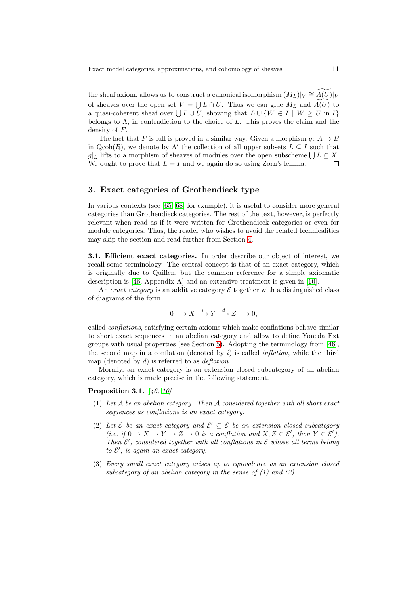the sheaf axiom, allows us to construct a canonical isomorphism  $(M_L)|_V \cong \widetilde{A(U)}|_V$ of sheaves over the open set  $V = \bigcup L \cap U$ . Thus we can glue  $M_L$  and  $\widetilde{A(U)}$  to a quasi-coherent sheaf over  $\bigcup L \cup U$ , showing that  $L \cup \{W \in I \mid W \geq U \text{ in } I\}$ belongs to  $\Lambda$ , in contradiction to the choice of L. This proves the claim and the density of F.

The fact that F is full is proved in a similar way. Given a morphism  $q: A \rightarrow B$ in  $Qcoh(R)$ , we denote by  $\Lambda'$  the collection of all upper subsets  $L \subseteq I$  such that  $g|_L$  lifts to a morphism of sheaves of modules over the open subscheme  $\bigcup L \subseteq X$ . We ought to prove that  $L = I$  and we again do so using Zorn's lemma. П

#### <span id="page-10-0"></span>3. Exact categories of Grothendieck type

In various contexts (see [\[65,](#page-68-1) [68\]](#page-68-6) for example), it is useful to consider more general categories than Grothendieck categories. The rest of the text, however, is perfectly relevant when read as if it were written for Grothendieck categories or even for module categories. Thus, the reader who wishes to avoid the related technicalities may skip the section and read further from Section [4.](#page-19-0)

3.1. Efficient exact categories. In order describe our object of interest, we recall some terminology. The central concept is that of an exact category, which is originally due to Quillen, but the common reference for a simple axiomatic description is [\[46,](#page-67-13) Appendix A] and an extensive treatment is given in [\[10\]](#page-65-5).

An exact category is an additive category  $\mathcal E$  together with a distinguished class of diagrams of the form

$$
0 \longrightarrow X \stackrel{i}{\longrightarrow} Y \stackrel{d}{\longrightarrow} Z \longrightarrow 0,
$$

called conflations, satisfying certain axioms which make conflations behave similar to short exact sequences in an abelian category and allow to define Yoneda Ext groups with usual properties (see Section [5\)](#page-23-0). Adopting the terminology from [\[46\]](#page-67-13), the second map in a conflation (denoted by i) is called *inflation*, while the third map (denoted by  $d$ ) is referred to as *deflation*.

<span id="page-10-1"></span>Morally, an exact category is an extension closed subcategory of an abelian category, which is made precise in the following statement.

### Proposition 3.1.  $\frac{1}{6}$ , 10

- (1) Let A be an abelian category. Then A considered together with all short exact sequences as conflations is an exact category.
- (2) Let  $\mathcal E$  be an exact category and  $\mathcal E' \subseteq \mathcal E$  be an extension closed subcategory (i.e. if  $0 \to X \to Y \to Z \to 0$  is a conflation and  $X, Z \in \mathcal{E}'$ , then  $Y \in \mathcal{E}'$ ). Then  $\mathcal{E}'$ , considered together with all conflations in  $\mathcal E$  whose all terms belong to  $\mathcal{E}'$ , is again an exact category.
- (3) Every small exact category arises up to equivalence as an extension closed subcategory of an abelian category in the sense of  $(1)$  and  $(2)$ .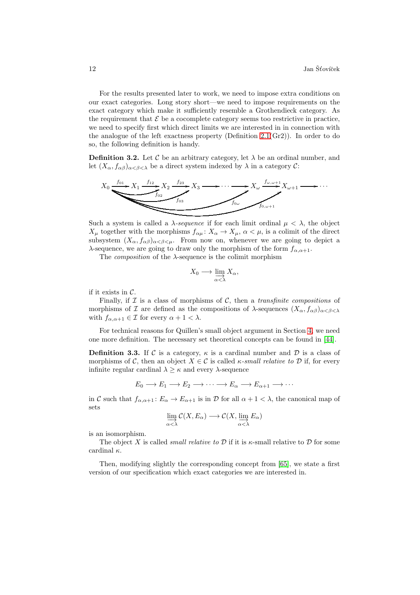For the results presented later to work, we need to impose extra conditions on our exact categories. Long story short—we need to impose requirements on the exact category which make it sufficiently resemble a Grothendieck category. As the requirement that  $\mathcal E$  be a cocomplete category seems too restrictive in practice, we need to specify first which direct limits we are interested in in connection with the analogue of the left exactness property (Definition  $2.1(\text{Gr2})$ ). In order to do so, the following definition is handy.

<span id="page-11-1"></span>**Definition 3.2.** Let C be an arbitrary category, let  $\lambda$  be an ordinal number, and let  $(X_{\alpha}, f_{\alpha\beta})_{\alpha < \beta < \lambda}$  be a direct system indexed by  $\lambda$  in a category C:



Such a system is called a  $\lambda$ -sequence if for each limit ordinal  $\mu < \lambda$ , the object  $X_{\mu}$  together with the morphisms  $f_{\alpha\mu} : X_{\alpha} \to X_{\mu}$ ,  $\alpha < \mu$ , is a colimit of the direct subsystem  $(X_\alpha, f_{\alpha\beta})_{\alpha<\beta<\mu}$ . From now on, whenever we are going to depict a λ-sequence, we are going to draw only the morphism of the form  $f_{\alpha,\alpha+1}$ .

The *composition* of the  $\lambda$ -sequence is the colimit morphism

$$
X_0 \longrightarrow \varinjlim_{\alpha < \lambda} X_\alpha,
$$

if it exists in  $C$ .

Finally, if  $\mathcal I$  is a class of morphisms of  $\mathcal C$ , then a transfinite compositions of morphisms of I are defined as the compositions of  $\lambda$ -sequences  $(X_{\alpha}, f_{\alpha\beta})_{\alpha<\beta<\lambda}$ with  $f_{\alpha,\alpha+1} \in \mathcal{I}$  for every  $\alpha+1 < \lambda$ .

<span id="page-11-2"></span>For technical reasons for Quillen's small object argument in Section [4,](#page-19-0) we need one more definition. The necessary set theoretical concepts can be found in [\[44\]](#page-67-14).

**Definition 3.3.** If C is a category,  $\kappa$  is a cardinal number and D is a class of morphisms of C, then an object  $X \in \mathcal{C}$  is called *κ*-small relative to D if, for every infinite regular cardinal  $\lambda \geq \kappa$  and every  $\lambda$ -sequence

$$
E_0 \longrightarrow E_1 \longrightarrow E_2 \longrightarrow \cdots \longrightarrow E_{\alpha} \longrightarrow E_{\alpha+1} \longrightarrow \cdots
$$

in C such that  $f_{\alpha,\alpha+1}$ :  $E_{\alpha} \to E_{\alpha+1}$  is in D for all  $\alpha+1 < \lambda$ , the canonical map of sets

$$
\varinjlim_{\alpha < \lambda} C(X, E_{\alpha}) \longrightarrow C(X, \varinjlim_{\alpha < \lambda} E_{\alpha})
$$

is an isomorphism.

The object X is called *small relative to*  $\mathcal D$  if it is  $\kappa$ -small relative to  $\mathcal D$  for some cardinal  $\kappa$ .

<span id="page-11-0"></span>Then, modifying slightly the corresponding concept from [\[65\]](#page-68-1), we state a first version of our specification which exact categories we are interested in.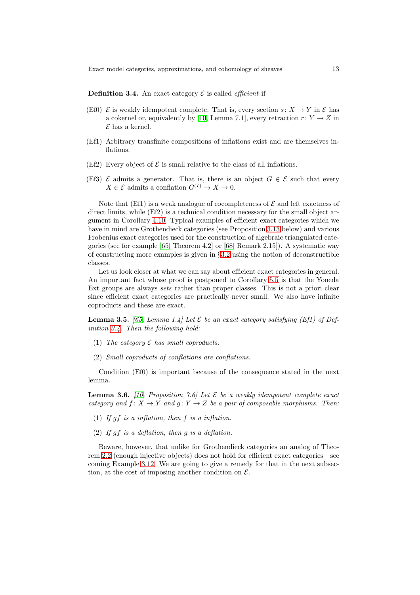**Definition 3.4.** An exact category  $\mathcal{E}$  is called *efficient* if

- (Ef0)  $\mathcal E$  is weakly idempotent complete. That is, every section  $s: X \to Y$  in  $\mathcal E$  has a cokernel or, equivalently by [\[10,](#page-65-5) Lemma 7.1], every retraction  $r: Y \to Z$  in  $\mathcal E$  has a kernel.
- (Ef1) Arbitrary transfinite compositions of inflations exist and are themselves inflations.
- (Ef2) Every object of  $\mathcal E$  is small relative to the class of all inflations.
- (Ef3)  $\mathcal E$  admits a generator. That is, there is an object  $G \in \mathcal E$  such that every  $X \in \mathcal{E}$  admits a conflation  $G^{(I)} \to X \to 0$ .

Note that (Ef1) is a weak analogue of cocompleteness of  $\mathcal E$  and left exactness of direct limits, while (Ef2) is a technical condition necessary for the small object argument in Corollary [4.10.](#page-23-1) Typical examples of efficient exact categories which we have in mind are Grothendieck categories (see Proposition [3.13](#page-14-0) below) and various Frobenius exact categories used for the construction of algebraic triangulated categories (see for example [\[65,](#page-68-1) Theorem 4.2] or [\[68,](#page-68-6) Remark 2.15]). A systematic way of constructing more examples is given in §[3.2](#page-13-0) using the notion of deconstructible classes.

Let us look closer at what we can say about efficient exact categories in general. An important fact whose proof is postponed to Corollary [5.5](#page-27-0) is that the Yoneda Ext groups are always sets rather than proper classes. This is not a priori clear since efficient exact categories are practically never small. We also have infinite coproducts and these are exact.

<span id="page-12-0"></span>**Lemma 3.5.** [\[65,](#page-68-1) Lemma 1.4] Let  $\mathcal E$  be an exact category satisfying (Ef1) of Definition [3.4.](#page-11-0) Then the following hold:

- (1) The category  $\mathcal E$  has small coproducts.
- (2) Small coproducts of conflations are conflations.

<span id="page-12-1"></span>Condition (Ef0) is important because of the consequence stated in the next lemma.

**Lemma 3.6.** [\[10,](#page-65-5) Proposition 7.6] Let  $\mathcal{E}$  be a weakly idempotent complete exact category and  $f: X \to Y$  and  $g: Y \to Z$  be a pair of composable morphisms. Then:

- (1) If  $qf$  is a inflation, then  $f$  is a inflation.
- (2) If  $qf$  is a deflation, then  $q$  is a deflation.

Beware, however, that unlike for Grothendieck categories an analog of Theorem [2.2](#page-3-1) (enough injective objects) does not hold for efficient exact categories—see coming Example [3.12.](#page-14-1) We are going to give a remedy for that in the next subsection, at the cost of imposing another condition on  $\mathcal{E}$ .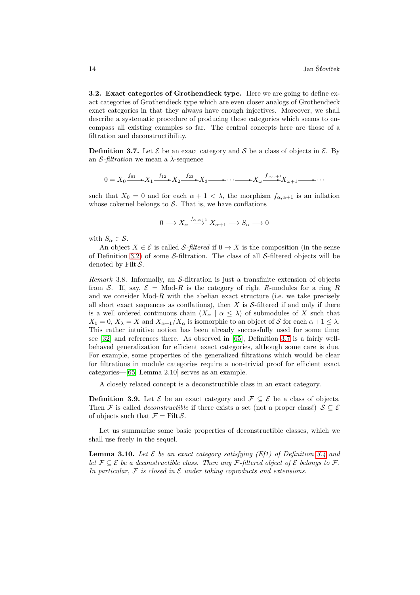<span id="page-13-0"></span>3.2. Exact categories of Grothendieck type. Here we are going to define exact categories of Grothendieck type which are even closer analogs of Grothendieck exact categories in that they always have enough injectives. Moreover, we shall describe a systematic procedure of producing these categories which seems to encompass all existing examples so far. The central concepts here are those of a filtration and deconstructibility.

<span id="page-13-1"></span>**Definition 3.7.** Let  $\mathcal{E}$  be an exact category and  $\mathcal{S}$  be a class of objects in  $\mathcal{E}$ . By an S-filtration we mean a  $\lambda$ -sequence

$$
0 = X_0 \xrightarrow{f_{01}} X_1 \xrightarrow{f_{12}} X_2 \xrightarrow{f_{23}} X_3 \xrightarrow{f_{\omega, \omega}} X_{\omega} \xrightarrow{f_{\omega, \omega+1}} X_{\omega+1} \xrightarrow{f_{\omega+1}} X_{\omega+1} \xrightarrow{f_{\omega+1}} X_{\omega+1} \xrightarrow{f_{\omega+1}} X_{\omega+1} \xrightarrow{f_{\omega+1}} X_{\omega+1} \xrightarrow{f_{\omega+1}} X_{\omega+1} \xrightarrow{f_{\omega+1}} X_{\omega+1} \xrightarrow{f_{\omega+1}} X_{\omega+1} \xrightarrow{f_{\omega+1}} X_{\omega+1} \xrightarrow{f_{\omega+1}} X_{\omega+1} \xrightarrow{f_{\omega+1}} X_{\omega+1} \xrightarrow{f_{\omega+1}} X_{\omega+1} \xrightarrow{f_{\omega+1}} X_{\omega+1} \xrightarrow{f_{\omega+1}} X_{\omega+1} \xrightarrow{f_{\omega+1}} X_{\omega+1} \xrightarrow{f_{\omega+1}} X_{\omega+1} \xrightarrow{f_{\omega+1}} X_{\omega+1} \xrightarrow{f_{\omega+1}} X_{\omega+1} \xrightarrow{f_{\omega+1}} X_{\omega+1} \xrightarrow{f_{\omega+1}} X_{\omega+1} \xrightarrow{f_{\omega+1}} X_{\omega+1} \xrightarrow{f_{\omega+1}} X_{\omega+1} \xrightarrow{f_{\omega+1}} X_{\omega+1} \xrightarrow{f_{\omega+1}} X_{\omega+1} \xrightarrow{f_{\omega+1}} X_{\omega+1} \xrightarrow{f_{\omega+1}} X_{\omega+1} \xrightarrow{f_{\omega+1}} X_{\omega+1} \xrightarrow{f_{\omega+1}} X_{\omega+1} \xrightarrow{f_{\omega+1}} X_{\omega+1} \xrightarrow{f_{\omega+1}} X_{\omega+1} \xrightarrow{f_{\omega+1}} X_{\omega+1} \xrightarrow{f_{\omega+1}} X_{\omega+1} \xrightarrow{f_{\omega+1}} X_{\omega+1} \xrightarrow{f_{\omega+1}} X_{\omega+1} \xrightarrow{f_{\omega+1}} X_{\omega+1} \xrightarrow{f_{\omega+1}} X_{\omega+1} \xrightarrow{f_{\omega+1}} X_{\omega+1} \xrightarrow{f_{\omega+1}} X_{\omega+1} \xrightarrow{f_{\omega+1}} X_{\
$$

such that  $X_0 = 0$  and for each  $\alpha + 1 < \lambda$ , the morphism  $f_{\alpha,\alpha+1}$  is an inflation whose cokernel belongs to  $S$ . That is, we have conflations

$$
0 \longrightarrow X_{\alpha} \stackrel{f_{\alpha,\alpha+1}}{\longrightarrow} X_{\alpha+1} \longrightarrow S_{\alpha} \longrightarrow 0
$$

with  $S_{\alpha} \in \mathcal{S}$ .

An object  $X \in \mathcal{E}$  is called S-filtered if  $0 \to X$  is the composition (in the sense of Definition [3.2\)](#page-11-1) of some  $S$ -filtration. The class of all  $S$ -filtered objects will be denoted by Filt  $S$ .

Remark 3.8. Informally, an  $S$ -filtration is just a transfinite extension of objects from S. If, say,  $\mathcal{E} = \text{Mod-}R$  is the category of right R-modules for a ring R and we consider  $Mod-R$  with the abelian exact structure (i.e. we take precisely all short exact sequences as conflations), then  $X$  is  $S$ -filtered if and only if there is a well ordered continuous chain  $(X_\alpha \mid \alpha \leq \lambda)$  of submodules of X such that  $X_0 = 0$ ,  $X_\lambda = X$  and  $X_{\alpha+1}/X_\alpha$  is isomorphic to an object of S for each  $\alpha + 1 \leq \lambda$ . This rather intuitive notion has been already successfully used for some time; see [\[32\]](#page-67-6) and references there. As observed in [\[65\]](#page-68-1), Definition [3.7](#page-13-1) is a fairly wellbehaved generalization for efficient exact categories, although some care is due. For example, some properties of the generalized filtrations which would be clear for filtrations in module categories require a non-trivial proof for efficient exact categories—[\[65,](#page-68-1) Lemma 2.10] serves as an example.

A closely related concept is a deconstructible class in an exact category.

**Definition 3.9.** Let  $\mathcal{E}$  be an exact category and  $\mathcal{F} \subseteq \mathcal{E}$  be a class of objects. Then F is called *deconstructible* if there exists a set (not a proper class!)  $S \subseteq \mathcal{E}$ of objects such that  $\mathcal{F} = \text{Filt} \, \mathcal{S}.$ 

<span id="page-13-2"></span>Let us summarize some basic properties of deconstructible classes, which we shall use freely in the sequel.

**Lemma 3.10.** Let  $\mathcal{E}$  be an exact category satisfying (Ef1) of Definition [3.4](#page-11-0) and let  $\mathcal{F} \subseteq \mathcal{E}$  be a deconstructible class. Then any F-filtered object of  $\mathcal{E}$  belongs to  $\mathcal{F}$ . In particular,  $\mathcal F$  is closed in  $\mathcal E$  under taking coproducts and extensions.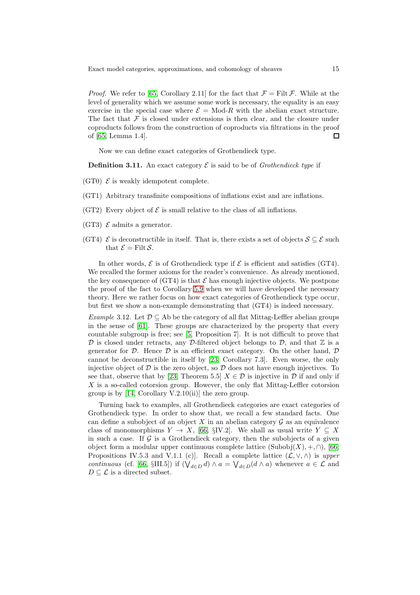*Proof.* We refer to [\[65,](#page-68-1) Corollary 2.11] for the fact that  $\mathcal{F} = \text{Filt }\mathcal{F}$ . While at the level of generality which we assume some work is necessary, the equality is an easy exercise in the special case where  $\mathcal{E} = Mod-R$  with the abelian exact structure. The fact that  $\mathcal F$  is closed under extensions is then clear, and the closure under coproducts follows from the construction of coproducts via filtrations in the proof of [\[65,](#page-68-1) Lemma 1.4]. П

<span id="page-14-2"></span>Now we can define exact categories of Grothendieck type.

**Definition 3.11.** An exact category  $\mathcal{E}$  is said to be of *Grothendieck type* if

- (GT0)  $\mathcal E$  is weakly idempotent complete.
- (GT1) Arbitrary transfinite compositions of inflations exist and are inflations.
- (GT2) Every object of  $\mathcal E$  is small relative to the class of all inflations.
- (GT3)  $\mathcal E$  admits a generator.
- (GT4)  $\mathcal E$  is deconstructible in itself. That is, there exists a set of objects  $\mathcal S \subseteq \mathcal E$  such that  $\mathcal{E} = \text{Filt } \mathcal{S}$ .

In other words,  $\mathcal E$  is of Grothendieck type if  $\mathcal E$  is efficient and satisfies (GT4). We recalled the former axioms for the reader's convenience. As already mentioned, the key consequence of  $(GT4)$  is that  $\mathcal E$  has enough injective objects. We postpone the proof of the fact to Corollary [5.9](#page-30-0) when we will have developed the necessary theory. Here we rather focus on how exact categories of Grothendieck type occur, but first we show a non-example demonstrating that (GT4) is indeed necessary.

<span id="page-14-1"></span>Example 3.12. Let  $\mathcal{D} \subseteq$  Ab be the category of all flat Mittag-Leffler abelian groups in the sense of [\[61\]](#page-68-17). These groups are characterized by the property that every countable subgroup is free; see [\[5,](#page-65-6) Proposition 7]. It is not difficult to prove that  $\mathcal D$  is closed under retracts, any  $\mathcal D$ -filtered object belongs to  $\mathcal D$ , and that  $\mathbb Z$  is a generator for  $D$ . Hence  $D$  is an efficient exact category. On the other hand,  $D$ cannot be deconstructible in itself by [\[23,](#page-66-0) Corollary 7.3]. Even worse, the only injective object of D is the zero object, so D does not have enough injectives. To see that, observe that by [\[23,](#page-66-0) Theorem 5.5]  $X \in \mathcal{D}$  is injective in  $\mathcal{D}$  if and only if  $X$  is a so-called cotorsion group. However, the only flat Mittag-Leffler cotorsion group is by  $[14, Corollary V.2.10(ii)]$  the zero group.

<span id="page-14-0"></span>Turning back to examples, all Grothendieck categories are exact categories of Grothendieck type. In order to show that, we recall a few standard facts. One can define a subobject of an object X in an abelian category  $\mathcal G$  as an equivalence class of monomorphisms  $Y \to X$ , [\[66,](#page-68-14) §IV.2]. We shall as usual write  $Y \subset X$ in such a case. If  $\mathcal G$  is a Grothendieck category, then the subobjects of a given object form a modular upper continuous complete lattice  $(\text{Subobj}(X), +, \cap), [66,$  $(\text{Subobj}(X), +, \cap), [66,$ Propositions IV.5.3 and V.1.1 (c). Recall a complete lattice  $(\mathcal{L}, \vee, \wedge)$  is upper continuous (cf. [\[66,](#page-68-14) §III.5]) if  $(\bigvee_{d \in D} d) \wedge a = \bigvee_{d \in D} (d \wedge a)$  whenever  $a \in \mathcal{L}$  and  $D \subseteq \mathcal{L}$  is a directed subset.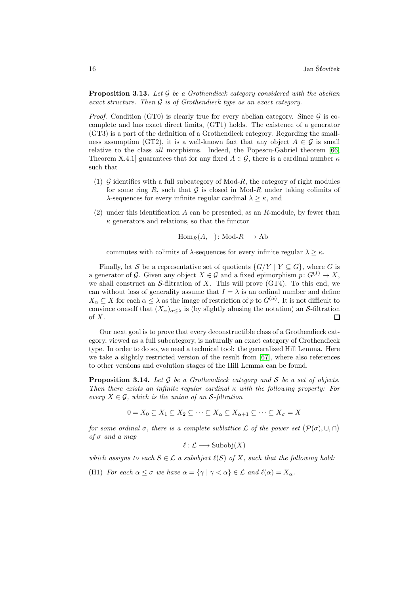**Proposition 3.13.** Let  $\mathcal G$  be a Grothendieck category considered with the abelian exact structure. Then  $\mathcal G$  is of Grothendieck type as an exact category.

*Proof.* Condition (GT0) is clearly true for every abelian category. Since  $G$  is cocomplete and has exact direct limits, (GT1) holds. The existence of a generator (GT3) is a part of the definition of a Grothendieck category. Regarding the smallness assumption (GT2), it is a well-known fact that any object  $A \in \mathcal{G}$  is small relative to the class all morphisms. Indeed, the Popescu-Gabriel theorem [\[66,](#page-68-14) Theorem X.4.1] guarantees that for any fixed  $A \in \mathcal{G}$ , there is a cardinal number  $\kappa$ such that

- (1)  $\mathcal G$  identifies with a full subcategory of Mod-R, the category of right modules for some ring R, such that  $G$  is closed in Mod-R under taking colimits of λ-sequences for every infinite regular cardinal  $λ > κ$ , and
- (2) under this identification  $A$  can be presented, as an  $R$ -module, by fewer than  $\kappa$  generators and relations, so that the functor

$$
Hom_R(A, -): Mod-R \longrightarrow Ab
$$

commutes with colimits of  $\lambda$ -sequences for every infinite regular  $\lambda > \kappa$ .

Finally, let S be a representative set of quotients  $\{G/Y | Y \subseteq G\}$ , where G is a generator of G. Given any object  $X \in \mathcal{G}$  and a fixed epimorphism  $p: G^{(I)} \to X$ , we shall construct an S-filtration of X. This will prove  $(GT4)$ . To this end, we can without loss of generality assume that  $I = \lambda$  is an ordinal number and define  $X_\alpha \subseteq X$  for each  $\alpha \leq \lambda$  as the image of restriction of p to  $G^{(\alpha)}$ . It is not difficult to convince oneself that  $(X_{\alpha})_{\alpha \leq \lambda}$  is (by slightly abusing the notation) an S-filtration of  $X$ . 口

Our next goal is to prove that every deconstructible class of a Grothendieck category, viewed as a full subcategory, is naturally an exact category of Grothendieck type. In order to do so, we need a technical tool: the generalized Hill Lemma. Here we take a slightly restricted version of the result from [\[67\]](#page-68-11), where also references to other versions and evolution stages of the Hill Lemma can be found.

<span id="page-15-0"></span>**Proposition 3.14.** Let  $\mathcal G$  be a Grothendieck category and  $\mathcal S$  be a set of objects. Then there exists an infinite regular cardinal  $\kappa$  with the following property: For every  $X \in \mathcal{G}$ , which is the union of an S-filtration

$$
0 = X_0 \subseteq X_1 \subseteq X_2 \subseteq \cdots \subseteq X_\alpha \subseteq X_{\alpha+1} \subseteq \cdots \subseteq X_\sigma = X
$$

for some ordinal  $\sigma$ , there is a complete sublattice  $\mathcal L$  of the power set  $(\mathcal P(\sigma), \cup, \cap)$ of  $\sigma$  and a map

$$
\ell : \mathcal{L} \longrightarrow \mathrm{Subobj}(X)
$$

which assigns to each  $S \in \mathcal{L}$  a subobject  $\ell(S)$  of X, such that the following hold:

(H1) For each  $\alpha \leq \sigma$  we have  $\alpha = {\gamma | \gamma < \alpha} \in \mathcal{L}$  and  $\ell(\alpha) = X_{\alpha}$ .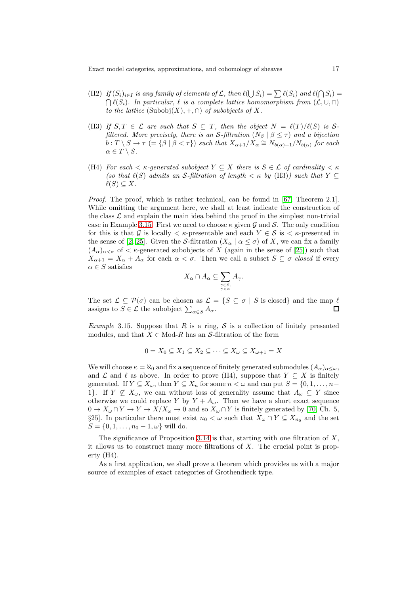- $(H2)$  If  $(S_i)_{i\in I}$  is any family of elements of  $\mathcal L$ , then  $\ell(\bigcup S_i)=\sum \ell(S_i)$  and  $\ell(\bigcap S_i)=\ell(\{S_i\})$  $\bigcap \ell(S_i)$ . In particular,  $\ell$  is a complete lattice homomorphism from  $(\mathcal{L}, \cup, \cap)$ to the lattice  $(\text{Subobj}(X), +, \cap)$  of subobjects of X.
- (H3) If  $S, T \in \mathcal{L}$  are such that  $S \subseteq T$ , then the object  $N = \ell(T)/\ell(S)$  is Sfiltered. More precisely, there is an S-filtration  $(N_\beta \mid \beta \leq \tau)$  and a bijection  $\overline{b}: T \setminus S \to \tau \ (= \{\beta \mid \beta < \tau\})$  such that  $X_{\alpha+1}/X_{\alpha} \cong N_{b(\alpha)+1}/N_{b(\alpha)}$  for each  $\alpha \in T \setminus S$ .
- (H4) For each  $\lt$   $\kappa$ -generated subobject  $Y \subseteq X$  there is  $S \in \mathcal{L}$  of cardinality  $\lt \kappa$ (so that  $\ell(S)$  admits an S-filtration of length  $\lt$   $\kappa$  by (H3)) such that  $Y \subseteq$  $\ell(S) \subseteq X$ .

Proof. The proof, which is rather technical, can be found in [\[67,](#page-68-11) Theorem 2.1]. While omitting the argument here, we shall at least indicate the construction of the class  $\mathcal L$  and explain the main idea behind the proof in the simplest non-trivial case in Example [3.15.](#page-16-0) First we need to choose  $\kappa$  given G and S. The only condition for this is that G is locally  $\lt$   $\kappa$ -presentable and each  $Y \in \mathcal{S}$  is  $\lt$   $\kappa$ -presented in the sense of [\[2,](#page-65-7) [25\]](#page-66-15). Given the S-filtration  $(X_\alpha \mid \alpha \leq \sigma)$  of X, we can fix a family  $(A_{\alpha})_{\alpha<\sigma}$  of  $\lt$   $\kappa$ -generated subobjects of X (again in the sense of [\[25\]](#page-66-15)) such that  $X_{\alpha+1} = X_{\alpha} + A_{\alpha}$  for each  $\alpha < \sigma$ . Then we call a subset  $S \subseteq \sigma$  closed if every  $\alpha \in S$  satisfies

$$
X_{\alpha} \cap A_{\alpha} \subseteq \sum_{\substack{\gamma \in S, \\ \gamma < \alpha}} A_{\gamma}.
$$

The set  $\mathcal{L} \subseteq \mathcal{P}(\sigma)$  can be chosen as  $\mathcal{L} = \{S \subseteq \sigma \mid S \text{ is closed}\}\$ and the map  $\ell$ assigns to  $S \in \mathcal{L}$  the subobject  $\sum_{\alpha \in S} A_{\alpha}$ . П

<span id="page-16-0"></span>*Example* 3.15. Suppose that R is a ring, S is a collection of finitely presented modules, and that  $X \in Mod-R$  has an S-filtration of the form

$$
0 = X_0 \subseteq X_1 \subseteq X_2 \subseteq \cdots \subseteq X_{\omega} \subseteq X_{\omega+1} = X
$$

We will choose  $\kappa = \aleph_0$  and fix a sequence of finitely generated submodules  $(A_\alpha)_{\alpha \leq \omega}$ , and  $\mathcal L$  and  $\ell$  as above. In order to prove (H4), suppose that  $Y \subseteq X$  is finitely generated. If  $Y \subseteq X_\omega$ , then  $Y \subseteq X_n$  for some  $n < \omega$  and can put  $S = \{0, 1, \ldots, n-\}$ 1}. If  $Y \nsubseteq X_\omega$ , we can without loss of generality assume that  $A_\omega \subseteq Y$  since otherwise we could replace Y by  $Y + A_{\omega}$ . Then we have a short exact sequence  $0 \to X_\omega \cap Y \to Y \to X/X_\omega \to 0$  and so  $X_\omega \cap Y$  is finitely generated by [\[70,](#page-69-1) Ch. 5, §25]. In particular there must exist  $n_0 < \omega$  such that  $X_\omega \cap Y \subseteq X_{n_0}$  and the set  $S = \{0, 1, \ldots, n_0 - 1, \omega\}$  will do.

The significance of Proposition [3.14](#page-15-0) is that, starting with one filtration of  $X$ , it allows us to construct many more filtrations of  $X$ . The crucial point is property (H4).

<span id="page-16-1"></span>As a first application, we shall prove a theorem which provides us with a major source of examples of exact categories of Grothendieck type.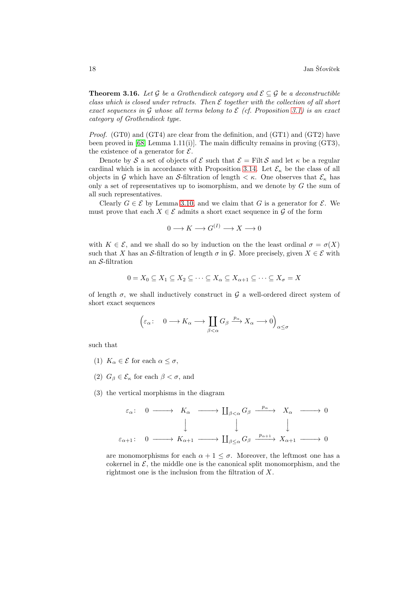**Theorem 3.16.** Let G be a Grothendieck category and  $\mathcal{E} \subseteq \mathcal{G}$  be a deconstructible class which is closed under retracts. Then  $\mathcal E$  together with the collection of all short exact sequences in G whose all terms belong to  $\mathcal E$  (cf. Proposition [3.1\)](#page-10-1) is an exact category of Grothendieck type.

*Proof.* (GT0) and (GT4) are clear from the definition, and (GT1) and (GT2) have been proved in  $[68, \text{Lemma 1.11(i)}]$ . The main difficulty remains in proving  $(GT3)$ , the existence of a generator for  $\mathcal{E}$ .

Denote by S a set of objects of E such that  $\mathcal{E} = \text{Filt } \mathcal{S}$  and let  $\kappa$  be a regular cardinal which is in accordance with Proposition [3.14.](#page-15-0) Let  $\mathcal{E}_{\kappa}$  be the class of all objects in G which have an S-filtration of length  $\lt \kappa$ . One observes that  $\mathcal{E}_{\kappa}$  has only a set of representatives up to isomorphism, and we denote by  $G$  the sum of all such representatives.

Clearly  $G \in \mathcal{E}$  by Lemma [3.10,](#page-13-2) and we claim that G is a generator for  $\mathcal{E}$ . We must prove that each  $X \in \mathcal{E}$  admits a short exact sequence in  $\mathcal{G}$  of the form

$$
0 \longrightarrow K \longrightarrow G^{(I)} \longrightarrow X \longrightarrow 0
$$

with  $K \in \mathcal{E}$ , and we shall do so by induction on the the least ordinal  $\sigma = \sigma(X)$ such that X has an S-filtration of length  $\sigma$  in G. More precisely, given  $X \in \mathcal{E}$  with an S-filtration

$$
0 = X_0 \subseteq X_1 \subseteq X_2 \subseteq \cdots \subseteq X_\alpha \subseteq X_{\alpha+1} \subseteq \cdots \subseteq X_\sigma = X
$$

of length  $\sigma$ , we shall inductively construct in G a well-ordered direct system of short exact sequences

$$
\left(\varepsilon_{\alpha}\colon \quad 0\longrightarrow K_{\alpha}\longrightarrow \coprod_{\beta<\alpha}G_{\beta}\stackrel{p_{\alpha}}{\longrightarrow} X_{\alpha}\longrightarrow 0\right)_{\alpha\leq\sigma}
$$

such that

- (1)  $K_{\alpha} \in \mathcal{E}$  for each  $\alpha \leq \sigma$ ,
- (2)  $G_{\beta} \in \mathcal{E}_{\kappa}$  for each  $\beta < \sigma$ , and
- (3) the vertical morphisms in the diagram

$$
\varepsilon_{\alpha}: 0 \longrightarrow K_{\alpha} \longrightarrow \coprod_{\beta<\alpha} G_{\beta} \xrightarrow{p_{\alpha}} X_{\alpha} \longrightarrow 0
$$
  

$$
\downarrow \qquad \qquad \downarrow \qquad \qquad \downarrow
$$
  

$$
\varepsilon_{\alpha+1}: 0 \longrightarrow K_{\alpha+1} \longrightarrow \coprod_{\beta\le\alpha} G_{\beta} \xrightarrow{p_{\alpha+1}} X_{\alpha+1} \longrightarrow 0
$$

are monomorphisms for each  $\alpha + 1 \leq \sigma$ . Moreover, the leftmost one has a cokernel in  $\mathcal{E}$ , the middle one is the canonical split monomorphism, and the rightmost one is the inclusion from the filtration of X.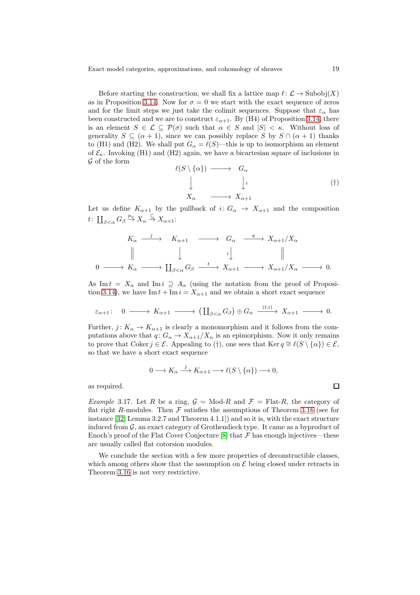Before starting the construction, we shall fix a lattice map  $\ell: \mathcal{L} \to \text{Subobj}(X)$ as in Proposition [3.14.](#page-15-0) Now for  $\sigma = 0$  we start with the exact sequence of zeros and for the limit steps we just take the colimit sequences. Suppose that  $\varepsilon_{\alpha}$  has been constructed and we are to construct  $\varepsilon_{\alpha+1}$ . By (H4) of Proposition [3.14,](#page-15-0) there is an element  $S \in \mathcal{L} \subseteq \mathcal{P}(\sigma)$  such that  $\alpha \in S$  and  $|S| < \kappa$ . Without loss of generality  $S \subseteq (\alpha + 1)$ , since we can possibly replace S by  $S \cap (\alpha + 1)$  thanks to (H1) and (H2). We shall put  $G_{\alpha} = \ell(S)$ —this is up to isomorphism an element of  $\mathcal{E}_{\kappa}$ . Invoking (H1) and (H2) again, we have a bicartesian square of inclusions in  $G$  of the form

$$
\begin{array}{ccc}\n\ell(S \setminus \{\alpha\}) & \longrightarrow & G_{\alpha} \\
\downarrow & & \downarrow i \\
X_{\alpha} & \longrightarrow & X_{\alpha+1}\n\end{array} \tag{\dagger}
$$

Let us define  $K_{\alpha+1}$  by the pullback of  $i: G_{\alpha} \to X_{\alpha+1}$  and the composition t:  $\prod_{\beta<\alpha}G_{\beta}\stackrel{p_{\alpha}}{\rightarrow}X_{\alpha}\stackrel{\subseteq}{\rightarrow}X_{\alpha+1}$ :

$$
K_{\alpha} \xrightarrow{j} K_{\alpha+1} \xrightarrow{\qquad} G_{\alpha} \xrightarrow{q} X_{\alpha+1}/X_{\alpha}
$$
  
\n
$$
\parallel \qquad \qquad \downarrow \qquad \qquad \downarrow \qquad \qquad \parallel
$$
  
\n
$$
0 \longrightarrow K_{\alpha} \longrightarrow \coprod_{\beta<\alpha} G_{\beta} \xrightarrow{t} X_{\alpha+1} \longrightarrow X_{\alpha+1}/X_{\alpha} \longrightarrow 0.
$$

As Im  $t = X_\alpha$  and Im  $i \supseteq A_\alpha$  (using the notation from the proof of Proposi-tion [3.14\)](#page-15-0), we have  $\text{Im } t + \text{Im } i = X_{\alpha+1}$  and we obtain a short exact sequence

$$
\varepsilon_{\alpha+1}: \quad 0 \longrightarrow K_{\alpha+1} \longrightarrow (\coprod_{\beta<\alpha} G_{\beta}) \oplus G_{\alpha} \xrightarrow{(t,i)} X_{\alpha+1} \longrightarrow 0.
$$

Further,  $j: K_{\alpha} \to K_{\alpha+1}$  is clearly a monomorphism and it follows from the computations above that  $q: G_{\alpha} \to X_{\alpha+1}/X_{\alpha}$  is an epimorphism. Now it only remains to prove that Coker  $j \in \mathcal{E}$ . Appealing to (†), one sees that Ker  $q \cong \ell(S \setminus {\{\alpha\}}) \in \mathcal{E}$ , so that we have a short exact sequence

$$
0 \longrightarrow K_{\alpha} \stackrel{j}{\longrightarrow} K_{\alpha+1} \longrightarrow \ell(S \setminus {\{\alpha\}}) \longrightarrow 0,
$$

<span id="page-18-0"></span>as required.

*Example* 3.17. Let R be a ring,  $\mathcal{G} = \text{Mod-}R$  and  $\mathcal{F} = \text{Flat-}R$ , the category of flat right R-modules. Then  $\mathcal F$  satisfies the assumptions of Theorem [3.16](#page-16-1) (see for instance [\[32,](#page-67-6) Lemma 3.2.7 and Theorem 4.1.1]) and so it is, with the exact structure induced from  $\mathcal{G}$ , an exact category of Grothendieck type. It came as a byproduct of Enoch's proof of the Flat Cover Conjecture  $[8]$  that  $\mathcal F$  has enough injectives—these are usually called flat cotorsion modules.

<span id="page-18-1"></span>We conclude the section with a few more properties of deconstructible classes, which among others show that the assumption on  $\mathcal E$  being closed under retracts in Theorem [3.16](#page-16-1) is not very restrictive.

 $\Box$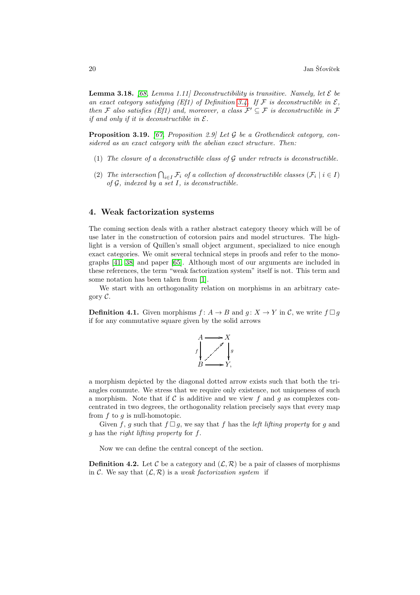**Lemma 3.18.** [\[68,](#page-68-6) Lemma 1.11] Deconstructibility is transitive. Namely, let  $\mathcal{E}$  be an exact category satisfying (Ef1) of Definition [3.4.](#page-11-0) If  $\mathcal F$  is deconstructible in  $\mathcal E$ , then F also satisfies (Ef1) and, moreover, a class  $\mathcal{F}' \subseteq \mathcal{F}$  is deconstructible in F if and only if it is deconstructible in  $\mathcal{E}.$ 

<span id="page-19-1"></span>**Proposition 3.19.** [\[67,](#page-68-11) Proposition 2.9] Let G be a Grothendieck category, considered as an exact category with the abelian exact structure. Then:

- (1) The closure of a deconstructible class of  $\mathcal G$  under retracts is deconstructible.
- (2) The intersection  $\bigcap_{i\in I} \mathcal{F}_i$  of a collection of deconstructible classes  $(\mathcal{F}_i \mid i \in I)$ of  $G$ , indexed by a set  $I$ , is deconstructible.

#### <span id="page-19-0"></span>4. Weak factorization systems

The coming section deals with a rather abstract category theory which will be of use later in the construction of cotorsion pairs and model structures. The highlight is a version of Quillen's small object argument, specialized to nice enough exact categories. We omit several technical steps in proofs and refer to the monographs [\[41,](#page-67-0) [38\]](#page-67-1) and paper [\[65\]](#page-68-1). Although most of our arguments are included in these references, the term "weak factorization system" itself is not. This term and some notation has been taken from [\[1\]](#page-65-8).

<span id="page-19-3"></span>We start with an orthogonality relation on morphisms in an arbitrary category C.

**Definition 4.1.** Given morphisms  $f: A \rightarrow B$  and  $g: X \rightarrow Y$  in C, we write  $f \square g$ if for any commutative square given by the solid arrows



a morphism depicted by the diagonal dotted arrow exists such that both the triangles commute. We stress that we require only existence, not uniqueness of such a morphism. Note that if C is additive and we view f and q as complexes concentrated in two degrees, the orthogonality relation precisely says that every map from  $f$  to  $g$  is null-homotopic.

Given f, g such that  $f \square g$ , we say that f has the *left lifting property* for g and g has the right lifting property for f.

<span id="page-19-2"></span>Now we can define the central concept of the section.

**Definition 4.2.** Let C be a category and  $(\mathcal{L}, \mathcal{R})$  be a pair of classes of morphisms in C. We say that  $(\mathcal{L}, \mathcal{R})$  is a weak factorization system if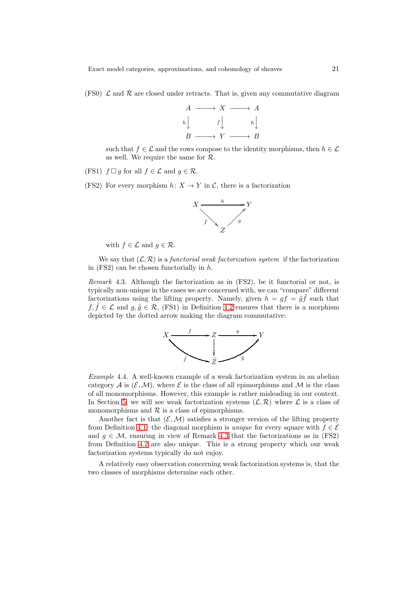(FS0)  $\mathcal L$  and  $\mathcal R$  are closed under retracts. That is, given any commutative diagram



such that  $f \in \mathcal{L}$  and the rows compose to the identity morphisms, then  $h \in \mathcal{L}$ as well. We require the same for R.

(FS1)  $f \Box g$  for all  $f \in \mathcal{L}$  and  $g \in \mathcal{R}$ .

(FS2) For every morphism  $h: X \to Y$  in C, there is a factorization



with  $f \in \mathcal{L}$  and  $q \in \mathcal{R}$ .

We say that  $(\mathcal{L}, \mathcal{R})$  is a functorial weak factorization system if the factorization in  $(FS2)$  can be chosen functorially in h.

<span id="page-20-0"></span>Remark 4.3. Although the factorization as in (FS2), be it functorial or not, is typically non-unique in the cases we are concerned with, we can "compare" different factorizations using the lifting property. Namely, given  $h = gf = \tilde{g}\tilde{f}$  such that  $f, \tilde{f} \in \mathcal{L}$  and  $g, \tilde{g} \in \mathcal{R}$ , (FS1) in Definition [4.2](#page-19-2) ensures that there is a morphism depicted by the dotted arrow making the diagram commutative:



Example 4.4. A well-known example of a weak factorization system in an abelian category A is  $(\mathcal{E}, \mathcal{M})$ , where  $\mathcal E$  is the class of all epimorphisms and M is the class of all monomorphisms. However, this example is rather misleading in our context. In Section [5,](#page-23-0) we will see weak factorization systems  $(\mathcal{L}, \mathcal{R})$  where  $\mathcal{L}$  is a class of monomorphisms and  $R$  is a class of epimorphisms.

Another fact is that  $(\mathcal{E}, \mathcal{M})$  satisfies a stronger version of the lifting property from Definition [4.1:](#page-19-3) the diagonal morphism is *unique* for every square with  $f \in \mathcal{E}$ and  $g \in \mathcal{M}$ , ensuring in view of Remark [4.3](#page-20-0) that the factorizations as in (FS2) from Definition [4.2](#page-19-2) are also unique. This is a strong property which our weak factorization systems typically do not enjoy.

A relatively easy observation concerning weak factorization systems is, that the two classes of morphisms determine each other.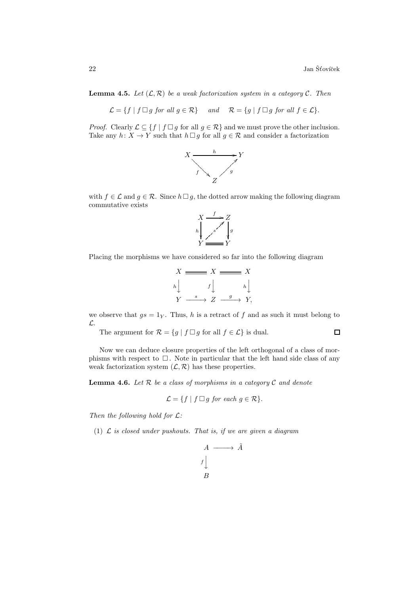**Lemma 4.5.** Let  $(L, \mathcal{R})$  be a weak factorization system in a category C. Then

 $\mathcal{L} = \{f \mid f \Box g \text{ for all } g \in \mathcal{R}\}$  and  $\mathcal{R} = \{g \mid f \Box g \text{ for all } f \in \mathcal{L}\}.$ 

*Proof.* Clearly  $\mathcal{L} \subseteq \{f \mid f \square g$  for all  $g \in \mathcal{R}\}$  and we must prove the other inclusion. Take any  $h: X \to Y$  such that  $h \Box g$  for all  $g \in \mathcal{R}$  and consider a factorization



with  $f \in \mathcal{L}$  and  $g \in \mathcal{R}$ . Since  $h \Box g$ , the dotted arrow making the following diagram commutative exists



Placing the morphisms we have considered so far into the following diagram

$$
X \xrightarrow{} X \xrightarrow{} X
$$
\n
$$
h \downarrow \qquad f \downarrow \qquad h \downarrow
$$
\n
$$
Y \xrightarrow{s} Z \xrightarrow{g} Y,
$$

we observe that  $gs = 1<sub>Y</sub>$ . Thus, h is a retract of f and as such it must belong to L.

The argument for  $\mathcal{R} = \{g \mid f \square g$  for all  $f \in \mathcal{L}\}\$ is dual.  $\Box$ 

Now we can deduce closure properties of the left orthogonal of a class of morphisms with respect to  $\square$ . Note in particular that the left hand side class of any weak factorization system  $(\mathcal{L}, \mathcal{R})$  has these properties.

<span id="page-21-0"></span>**Lemma 4.6.** Let  $\mathcal{R}$  be a class of morphisms in a category  $\mathcal{C}$  and denote

$$
\mathcal{L} = \{ f \mid f \Box g \text{ for each } g \in \mathcal{R} \}.
$$

Then the following hold for  $\mathcal{L}:$ 

(1)  $\mathcal L$  is closed under pushouts. That is, if we are given a diagram

$$
\begin{array}{ccc}\nA & \longrightarrow & \tilde{A} \\
f & & \\
B & & \\
B & & \n\end{array}
$$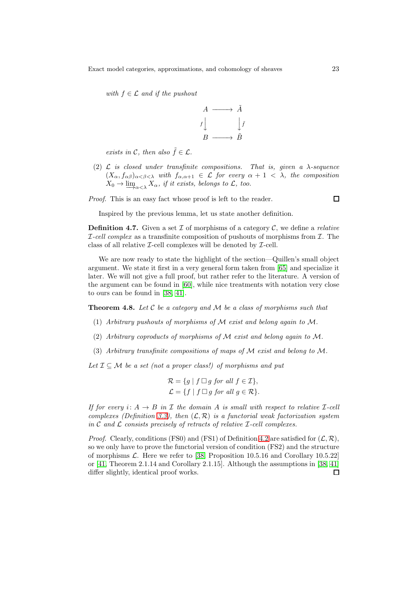with  $f \in \mathcal{L}$  and if the pushout



exists in C, then also  $\tilde{f} \in \mathcal{L}$ .

(2)  $\mathcal{L}$  is closed under transfinite compositions. That is, given a  $\lambda$ -sequence  $(X_\alpha, f_{\alpha\beta})_{\alpha<\beta<\lambda}$  with  $f_{\alpha,\alpha+1} \in \mathcal{L}$  for every  $\alpha+1 < \lambda$ , the composition  $X_0 \to \underline{\lim}_{\alpha < \lambda} X_\alpha$ , if it exists, belongs to  $\mathcal{L}$ , too.

Proof. This is an easy fact whose proof is left to the reader.

<span id="page-22-1"></span>Inspired by the previous lemma, let us state another definition.

**Definition 4.7.** Given a set  $\mathcal I$  of morphisms of a category  $\mathcal C$ , we define a *relative*  $\mathcal{I}\text{-}cell \text{ complex as a transfinite composition of pushouts of morphisms from }\mathcal{I}.$  The class of all relative  $\mathcal{I}\text{-cell}$  complexes will be denoted by  $\mathcal{I}\text{-cell}$ .

We are now ready to state the highlight of the section—Quillen's small object argument. We state it first in a very general form taken from [\[65\]](#page-68-1) and specialize it later. We will not give a full proof, but rather refer to the literature. A version of the argument can be found in [\[60\]](#page-68-0), while nice treatments with notation very close to ours can be found in [\[38,](#page-67-1) [41\]](#page-67-0).

<span id="page-22-0"></span>**Theorem 4.8.** Let  $\mathcal C$  be a category and  $\mathcal M$  be a class of morphisms such that

- (1) Arbitrary pushouts of morphisms of M exist and belong again to M.
- (2) Arbitrary coproducts of morphisms of  $\mathcal M$  exist and belong again to  $\mathcal M$ .
- (3) Arbitrary transfinite compositions of maps of M exist and belong to M.

Let  $\mathcal{I} \subseteq \mathcal{M}$  be a set (not a proper class!) of morphisms and put

$$
\mathcal{R} = \{ g \mid f \Box g \text{ for all } f \in \mathcal{I} \},
$$
  

$$
\mathcal{L} = \{ f \mid f \Box g \text{ for all } g \in \mathcal{R} \}.
$$

If for every  $i: A \rightarrow B$  in  $I$  the domain  $A$  is small with respect to relative  $I$ -cell complexes (Definition [3.3\)](#page-11-2), then  $(L, \mathcal{R})$  is a functorial weak factorization system in  $\mathcal C$  and  $\mathcal L$  consists precisely of retracts of relative  $\mathcal I$ -cell complexes.

*Proof.* Clearly, conditions (FS0) and (FS1) of Definition [4.2](#page-19-2) are satisfied for  $(\mathcal{L}, \mathcal{R})$ , so we only have to prove the functorial version of condition (FS2) and the structure of morphisms  $\mathcal{L}$ . Here we refer to [\[38,](#page-67-1) Proposition 10.5.16 and Corollary 10.5.22] or [\[41,](#page-67-0) Theorem 2.1.14 and Corollary 2.1.15]. Although the assumptions in [\[38,](#page-67-1) [41\]](#page-67-0) differ slightly, identical proof works. $\Box$ 

 $\Box$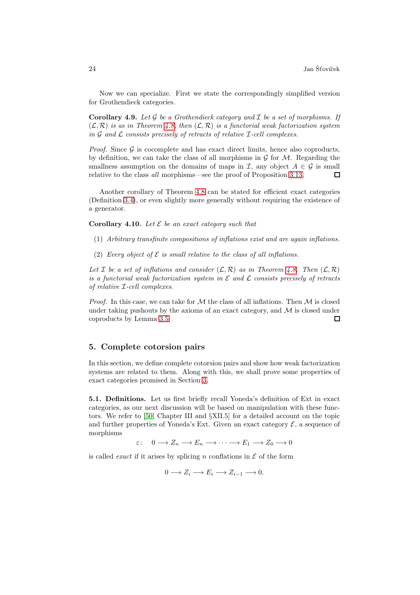Now we can specialize. First we state the correspondingly simplified version for Grothendieck categories.

**Corollary 4.9.** Let  $\mathcal G$  be a Grothendieck category and  $\mathcal I$  be a set of morphisms. If  $(\mathcal{L}, \mathcal{R})$  is as in Theorem [4.8,](#page-22-0) then  $(\mathcal{L}, \mathcal{R})$  is a functorial weak factorization system in  $G$  and  $L$  consists precisely of retracts of relative  $I$ -cell complexes.

*Proof.* Since  $\mathcal G$  is cocomplete and has exact direct limits, hence also coproducts, by definition, we can take the class of all morphisms in  $\mathcal G$  for  $\mathcal M$ . Regarding the smallness assumption on the domains of maps in  $\mathcal{I}$ , any object  $A \in \mathcal{G}$  is small relative to the class all morphisms—see the proof of Proposition [3.13.](#page-14-0)  $\Box$ 

Another corollary of Theorem [4.8](#page-22-0) can be stated for efficient exact categories (Definition [3.4\)](#page-11-0), or even slightly more generally without requiring the existence of a generator.

<span id="page-23-1"></span>Corollary 4.10. Let  $\mathcal E$  be an exact category such that

- (1) Arbitrary transfinite compositions of inflations exist and are again inflations.
- (2) Every object of  $\mathcal E$  is small relative to the class of all inflations.

Let  $\mathcal I$  be a set of inflations and consider  $(\mathcal L, \mathcal R)$  as in Theorem [4.8.](#page-22-0) Then  $(\mathcal L, \mathcal R)$ is a functorial weak factorization system in  $\mathcal E$  and  $\mathcal L$  consists precisely of retracts of relative I-cell complexes.

*Proof.* In this case, we can take for  $M$  the class of all inflations. Then  $M$  is closed under taking pushouts by the axioms of an exact category, and  $\mathcal M$  is closed under coproducts by Lemma [3.5.](#page-12-0) 口

#### <span id="page-23-0"></span>5. Complete cotorsion pairs

In this section, we define complete cotorsion pairs and show how weak factorization systems are related to them. Along with this, we shall prove some properties of exact categories promised in Section [3.](#page-10-0)

5.1. Definitions. Let us first briefly recall Yoneda's definition of Ext in exact categories, as our next discussion will be based on manipulation with these functors. We refer to [\[50,](#page-67-15) Chapter III and §XII.5] for a detailed account on the topic and further properties of Yoneda's Ext. Given an exact category  $\mathcal{E}$ , a sequence of morphisms

 $\varepsilon: 0 \longrightarrow Z_n \longrightarrow E_n \longrightarrow \cdots \longrightarrow E_1 \longrightarrow Z_0 \longrightarrow 0$ 

is called *exact* if it arises by splicing n conflations in  $\mathcal E$  of the form

 $0 \longrightarrow Z_i \longrightarrow E_i \longrightarrow Z_{i-1} \longrightarrow 0.$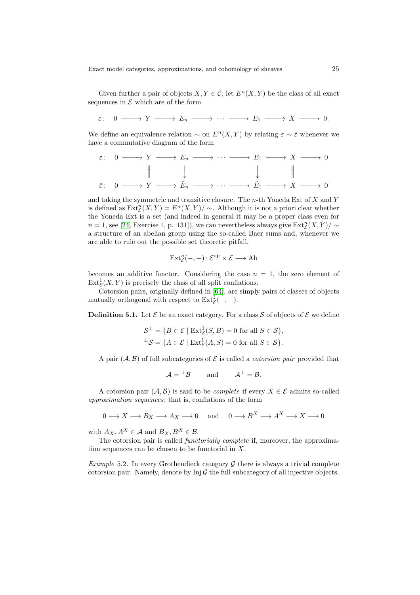Given further a pair of objects  $X, Y \in \mathcal{C}$ , let  $E^{n}(X, Y)$  be the class of all exact sequences in  $\mathcal E$  which are of the form

 $\varepsilon: 0 \longrightarrow Y \longrightarrow E_n \longrightarrow \cdots \longrightarrow E_1 \longrightarrow X \longrightarrow 0.$ 

We define an equivalence relation  $\sim$  on  $E^{n}(X, Y)$  by relating  $\varepsilon \sim \tilde{\varepsilon}$  whenever we have a commutative diagram of the form

$$
\varepsilon: \quad 0 \longrightarrow Y \longrightarrow E_n \longrightarrow \cdots \longrightarrow E_1 \longrightarrow X \longrightarrow 0
$$
\n
$$
\downarrow \qquad \qquad \downarrow \qquad \qquad \parallel
$$
\n
$$
\varepsilon: \quad 0 \longrightarrow Y \longrightarrow \tilde{E}_n \longrightarrow \cdots \longrightarrow \tilde{E}_1 \longrightarrow X \longrightarrow 0
$$

and taking the symmetric and transitive closure. The  $n$ -th Yoneda Ext of X and Y is defined as  $\text{Ext}^n_{\mathcal{E}}(X, Y) = E^n(X, Y) / \sim$ . Although it is not a priori clear whether the Yoneda Ext is a set (and indeed in general it may be a proper class even for  $n = 1$ , see [\[24,](#page-66-16) Exercise 1, p. 131]), we can nevertheless always give  $\text{Ext}^n_{\mathcal{E}}(X, Y)/\sim$ a structure of an abelian group using the so-called Baer sums and, whenever we are able to rule out the possible set theoretic pitfall,

$$
\text{Ext}^n_{\mathcal{E}}(-,-)\colon \mathcal{E}^{\text{op}} \times \mathcal{E} \longrightarrow \text{Ab}
$$

becomes an additive functor. Considering the case  $n = 1$ , the zero element of  $\text{Ext}^1_{\mathcal{E}}(X, Y)$  is precisely the class of all split conflations.

<span id="page-24-0"></span>Cotorsion pairs, originally defined in [\[64\]](#page-68-7), are simply pairs of classes of objects mutually orthogonal with respect to  $\text{Ext}_{\mathcal{E}}^{\mathcal{I}}(-,-)$ .

**Definition 5.1.** Let  $\mathcal{E}$  be an exact category. For a class  $\mathcal{S}$  of objects of  $\mathcal{E}$  we define

$$
\mathcal{S}^{\perp} = \{ B \in \mathcal{E} \mid \text{Ext}^{1}_{\mathcal{E}}(S, B) = 0 \text{ for all } S \in \mathcal{S} \},
$$
  

$$
^{\perp}\mathcal{S} = \{ A \in \mathcal{E} \mid \text{Ext}^{1}_{\mathcal{E}}(A, S) = 0 \text{ for all } S \in \mathcal{S} \}.
$$

A pair  $(A, B)$  of full subcategories of  $\mathcal E$  is called a *cotorsion pair* provided that

$$
\mathcal{A} = {}^{\perp} \mathcal{B} \quad \text{and} \quad \mathcal{A}^{\perp} = \mathcal{B}.
$$

A cotorsion pair  $(A, \mathcal{B})$  is said to be *complete* if every  $X \in \mathcal{E}$  admits so-called approximation sequences; that is, conflations of the form

$$
0 \longrightarrow X \longrightarrow B_X \longrightarrow A_X \longrightarrow 0 \quad \text{and} \quad 0 \longrightarrow B^X \longrightarrow A^X \longrightarrow X \longrightarrow 0
$$

with  $A_X, A^X \in \mathcal{A}$  and  $B_X, B^X \in \mathcal{B}$ .

The cotorsion pair is called functorially complete if, moreover, the approximation sequences can be chosen to be functorial in  $X$ .

<span id="page-24-1"></span>*Example* 5.2. In every Grothendieck category  $G$  there is always a trivial complete cotorsion pair. Namely, denote by  $\text{Inj } \mathcal{G}$  the full subcategory of all injective objects.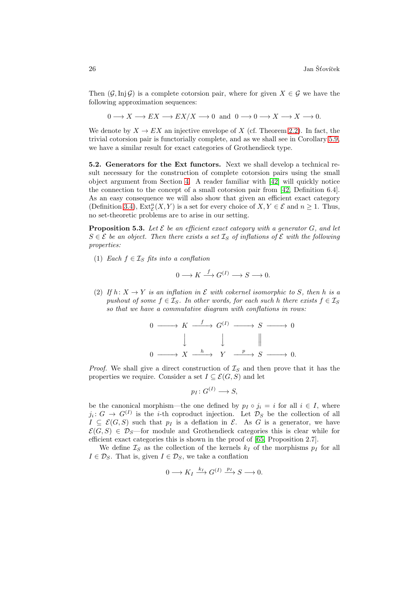Then  $(\mathcal{G}, \text{Inj }\mathcal{G})$  is a complete cotorsion pair, where for given  $X \in \mathcal{G}$  we have the following approximation sequences:

$$
0 \longrightarrow X \longrightarrow EX \longrightarrow EX/X \longrightarrow 0 \text{ and } 0 \longrightarrow 0 \longrightarrow X \longrightarrow X \longrightarrow 0.
$$

We denote by  $X \to EX$  an injective envelope of X (cf. Theorem [2.2\)](#page-3-1). In fact, the trivial cotorsion pair is functorially complete, and as we shall see in Corollary [5.9,](#page-30-0) we have a similar result for exact categories of Grothendieck type.

5.2. Generators for the Ext functors. Next we shall develop a technical result necessary for the construction of complete cotorsion pairs using the small object argument from Section [4.](#page-19-0) A reader familiar with [\[42\]](#page-67-2) will quickly notice the connection to the concept of a small cotorsion pair from [\[42,](#page-67-2) Definition 6.4]. As an easy consequence we will also show that given an efficient exact category (Definition [3.4\)](#page-11-0),  $\text{Ext}_{\mathcal{E}}^n(X, Y)$  is a set for every choice of  $X, Y \in \mathcal{E}$  and  $n \geq 1$ . Thus, no set-theoretic problems are to arise in our setting.

<span id="page-25-0"></span>**Proposition 5.3.** Let  $\mathcal{E}$  be an efficient exact category with a generator  $G$ , and let  $S \in \mathcal{E}$  be an object. Then there exists a set  $\mathcal{I}_S$  of inflations of  $\mathcal{E}$  with the following properties:

(1) Each  $f \in \mathcal{I}_S$  fits into a conflation

$$
0 \longrightarrow K \stackrel{f}{\longrightarrow} G^{(I)} \longrightarrow S \longrightarrow 0.
$$

(2) If  $h: X \to Y$  is an inflation in E with cokernel isomorphic to S, then h is a pushout of some  $f \in \mathcal{I}_S$ . In other words, for each such h there exists  $f \in \mathcal{I}_S$ so that we have a commutative diagram with conflations in rows:

$$
0 \longrightarrow K \xrightarrow{f} G^{(I)} \longrightarrow S \longrightarrow 0
$$
  

$$
\downarrow \qquad \qquad \downarrow \qquad \qquad \parallel
$$
  

$$
0 \longrightarrow X \xrightarrow{h} Y \xrightarrow{p} S \longrightarrow 0.
$$

*Proof.* We shall give a direct construction of  $\mathcal{I}_S$  and then prove that it has the properties we require. Consider a set  $I \subseteq \mathcal{E}(G, S)$  and let

$$
p_I \colon G^{(I)} \longrightarrow S,
$$

be the canonical morphism—the one defined by  $p_i \circ j_i = i$  for all  $i \in I$ , where  $j_i: G \to G^{(I)}$  is the *i*-th coproduct injection. Let  $\mathcal{D}_S$  be the collection of all  $I \subseteq \mathcal{E}(G, S)$  such that  $p_I$  is a deflation in  $\mathcal{E}$ . As G is a generator, we have  $\mathcal{E}(G, S) \in \mathcal{D}_S$ —for module and Grothendieck categories this is clear while for efficient exact categories this is shown in the proof of [\[65,](#page-68-1) Proposition 2.7].

We define  $\mathcal{I}_S$  as the collection of the kernels  $k_I$  of the morphisms  $p_I$  for all  $I \in \mathcal{D}_S$ . That is, given  $I \in \mathcal{D}_S$ , we take a conflation

$$
0 \longrightarrow K_I \xrightarrow{k_I} G^{(I)} \xrightarrow{p_I} S \longrightarrow 0.
$$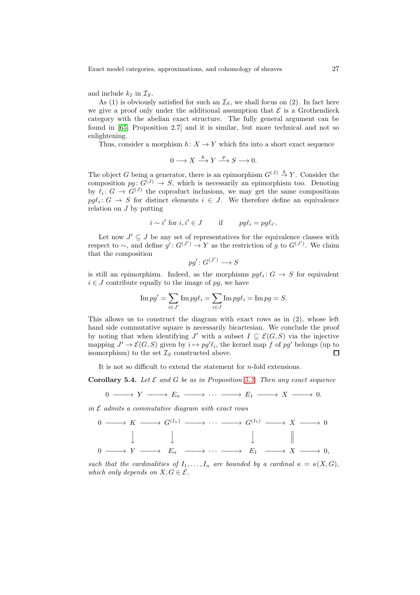and include  $k_I$  in  $\mathcal{I}_S$ .

As (1) is obviously satisfied for such an  $\mathcal{I}_S$ , we shall focus on (2). In fact here we give a proof only under the additional assumption that  $\mathcal E$  is a Grothendieck category with the abelian exact structure. The fully general argument can be found in [\[65,](#page-68-1) Proposition 2.7] and it is similar, but more technical and not so enlightening.

Thus, consider a morphism  $h: X \to Y$  which fits into a short exact sequence

$$
0 \longrightarrow X \stackrel{h}{\longrightarrow} Y \stackrel{p}{\longrightarrow} S \longrightarrow 0.
$$

The object G being a generator, there is an epimorphism  $G^{(J)} \stackrel{g}{\to} Y$ . Consider the composition  $pq: G^{(J)} \rightarrow S$ , which is necessarily an epimorphism too. Denoting by  $\ell_i: G \to G^{(J)}$  the coproduct inclusions, we may get the same compositions  $pg\ell_i: G \to S$  for distinct elements  $i \in J$ . We therefore define an equivalence relation on  $J$  by putting

$$
i \sim i'
$$
 for  $i, i' \in J$  if  $p g \ell_i = p g \ell_{i'}$ .

Let now  $J' \subseteq J$  be any set of representatives for the equivalence classes with respect to ~, and define  $g' : G^{(J')} \to Y$  as the restriction of g to  $G^{(J')}$ . We claim that the composition

$$
pg' \colon G^{(J')} \longrightarrow S
$$

is still an epimorphism. Indeed, as the morphisms  $pg\ell_i: G \to S$  for equivalent  $i \in J$  contribute equally to the image of pg, we have

$$
\operatorname{Im} pg' = \sum_{i \in J'} \operatorname{Im} pg\ell_i = \sum_{i \in J} \operatorname{Im} pg\ell_i = \operatorname{Im} pg = S.
$$

This allows us to construct the diagram with exact rows as in (2), whose left hand side commutative square is necessarily bicartesian. We conclude the proof by noting that when identifying  $J'$  with a subset  $I \subseteq \mathcal{E}(G, S)$  via the injective mapping  $J' \to \mathcal{E}(G, S)$  given by  $i \mapsto pg'\ell_i$ , the kernel map f of pg' belongs (up to isomorphism) to the set  $\mathcal{I}_S$  constructed above.  $\Box$ 

<span id="page-26-0"></span>It is not so difficult to extend the statement for n-fold extensions.

**Corollary 5.4.** Let  $\mathcal E$  and  $G$  be as in Proposition [5.3.](#page-25-0) Then any exact sequence

$$
0 \longrightarrow Y \longrightarrow E_n \longrightarrow \cdots \longrightarrow E_1 \longrightarrow X \longrightarrow 0.
$$

in  $\mathcal E$  admits a commutative diagram with exact rows

$$
\begin{array}{ccccccc}\n0 & \longrightarrow & K & \longrightarrow & G^{(I_n)} & \longrightarrow & \cdots & \longrightarrow & G^{(I_1)} & \longrightarrow & X & \longrightarrow & 0 \\
 & & & & & & & & & \\
 & & & & & & & & & & \\
0 & \longrightarrow & Y & \longrightarrow & E_n & \longrightarrow & \cdots & \longrightarrow & E_1 & \longrightarrow & X & \longrightarrow & 0,\n\end{array}
$$

such that the cardinalities of  $I_1, \ldots, I_n$  are bounded by a cardinal  $\kappa = \kappa(X, G)$ , which only depends on  $X, G \in \mathcal{E}$ .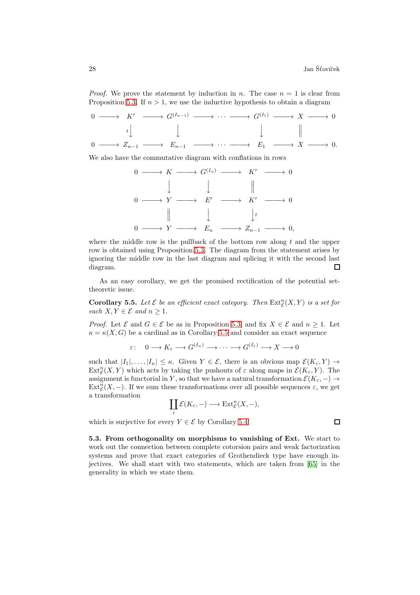*Proof.* We prove the statement by induction in n. The case  $n = 1$  is clear from Proposition [5.3.](#page-25-0) If  $n > 1$ , we use the inductive hypothesis to obtain a diagram

$$
\begin{array}{ccccccc}\n0 & \longrightarrow & K' & \longrightarrow & G^{(I_{n-1})} & \longrightarrow & \cdots & \longrightarrow & G^{(I_1)} & \longrightarrow & X & \longrightarrow & 0 \\
\downarrow & & & & & & & & \\
0 & \longrightarrow & Z_{n-1} & \longrightarrow & E_{n-1} & \longrightarrow & \cdots & \longrightarrow & E_1 & \longrightarrow & X & \longrightarrow & 0.\n\end{array}
$$

We also have the commutative diagram with conflations in rows

0 −−−−→ K −−−−→ G(In) −−−−→ K′ −−−−→ 0 y y 0 −−−−→ Y −−−−→ E′ −−−−→ K′ −−−−→ 0 y yt 0 −−−−→ Y −−−−→ E<sup>n</sup> −−−−→ Zn−<sup>1</sup> −−−−→ 0,

where the middle row is the pullback of the bottom row along  $t$  and the upper row is obtained using Proposition [5.3.](#page-25-0) The diagram from the statement arises by ignoring the middle row in the last diagram and splicing it with the second last diagram.  $\Box$ 

<span id="page-27-0"></span>As an easy corollary, we get the promised rectification of the potential settheoretic issue.

**Corollary 5.5.** Let  $\mathcal{E}$  be an efficient exact category. Then  $\text{Ext}_{\mathcal{E}}^{n}(X, Y)$  is a set for each  $X, Y \in \mathcal{E}$  and  $n \geq 1$ .

*Proof.* Let  $\mathcal{E}$  and  $G \in \mathcal{E}$  be as in Proposition [5.3,](#page-25-0) and fix  $X \in \mathcal{E}$  and  $n \geq 1$ . Let  $\kappa = \kappa(X, G)$  be a cardinal as in Corollary [5.5](#page-27-0) and consider an exact sequence

$$
\varepsilon\colon \quad 0\longrightarrow K_{\varepsilon}\longrightarrow G^{(I_n)}\longrightarrow\cdots\longrightarrow G^{(I_1)}\longrightarrow X\longrightarrow 0
$$

such that  $|I_1|, \ldots, |I_n| \leq \kappa$ . Given  $Y \in \mathcal{E}$ , there is an obvious map  $\mathcal{E}(K_{\varepsilon}, Y) \to$  $\mathrm{Ext}^n_{\mathcal{E}}(X,Y)$  which acts by taking the pushouts of  $\varepsilon$  along maps in  $\mathcal{E}(K_{\varepsilon},Y)$ . The assignment is functorial in Y, so that we have a natural transformation  $\mathcal{E}(K_{\varepsilon}, -) \to$  $\mathrm{Ext}^n_{\mathcal{E}}(X,-)$ . If we sum these transformations over all possible sequences  $\varepsilon$ , we get a transformation

$$
\coprod_{\varepsilon} \mathcal{E}(K_{\varepsilon}, -) \longrightarrow \text{Ext}_{\mathcal{E}}^{n}(X, -),
$$

which is surjective for every  $Y \in \mathcal{E}$  by Corollary [5.4.](#page-26-0)

<span id="page-27-1"></span>5.3. From orthogonality on morphisms to vanishing of Ext. We start to work out the connection between complete cotorsion pairs and weak factorization systems and prove that exact categories of Grothendieck type have enough injectives. We shall start with two statements, which are taken from [\[65\]](#page-68-1) in the generality in which we state them.

 $\Box$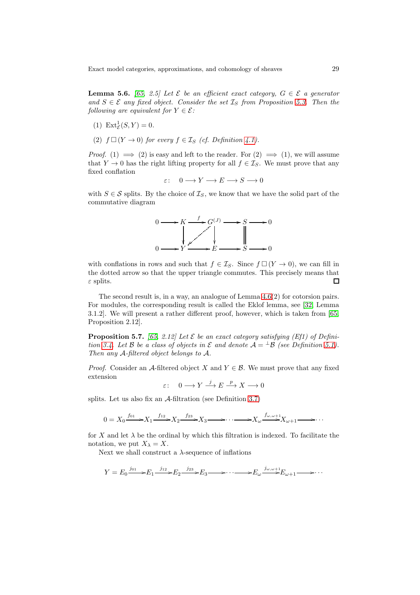**Lemma 5.6.** [\[65,](#page-68-1) 2.5] Let  $\mathcal{E}$  be an efficient exact category,  $G \in \mathcal{E}$  a generator and  $S \in \mathcal{E}$  any fixed object. Consider the set  $\mathcal{I}_S$  from Proposition [5.3.](#page-25-0) Then the following are equivalent for  $Y \in \mathcal{E}$ :

- (1)  $\text{Ext}^{1}_{\mathcal{E}}(S, Y) = 0.$
- (2)  $f \square (Y \rightarrow 0)$  for every  $f \in \mathcal{I}_S$  (cf. Definition [4.1\)](#page-19-3).

*Proof.* (1)  $\implies$  (2) is easy and left to the reader. For (2)  $\implies$  (1), we will assume that  $Y \to 0$  has the right lifting property for all  $f \in \mathcal{I}_S$ . We must prove that any fixed conflation

$$
\varepsilon\colon\quad 0\longrightarrow Y\longrightarrow E\longrightarrow S\longrightarrow 0
$$

with  $S \in \mathcal{S}$  splits. By the choice of  $\mathcal{I}_S$ , we know that we have the solid part of the commutative diagram



with conflations in rows and such that  $f \in \mathcal{I}_S$ . Since  $f \square (Y \to 0)$ , we can fill in the dotted arrow so that the upper triangle commutes. This precisely means that  $\varepsilon$  splits.  $\Box$ 

The second result is, in a way, an analogue of Lemma [4.6\(](#page-21-0)2) for cotorsion pairs. For modules, the corresponding result is called the Eklof lemma, see [\[32,](#page-67-6) Lemma 3.1.2]. We will present a rather different proof, however, which is taken from [\[65,](#page-68-1) Proposition 2.12].

<span id="page-28-0"></span>**Proposition 5.7.** [\[65,](#page-68-1) 2.12] Let  $\mathcal E$  be an exact category satisfying (Ef1) of Defini-tion [3.4.](#page-11-0) Let B be a class of objects in  $\mathcal E$  and denote  $\mathcal A = {}^{\perp} \mathcal B$  (see Definition [5.1\)](#page-24-0). Then any A-filtered object belongs to A.

*Proof.* Consider an A-filtered object X and  $Y \in \mathcal{B}$ . We must prove that any fixed extension

 $\varepsilon: 0 \longrightarrow Y \stackrel{j}{\longrightarrow} E \stackrel{p}{\longrightarrow} X \longrightarrow 0$ 

splits. Let us also fix an A-filtration (see Definition [3.7\)](#page-13-1)

$$
0 = X_0 \xrightarrow{f_{01}} X_1 \xrightarrow{f_{12}} X_2 \xrightarrow{f_{23}} X_3 \xrightarrow{f_{\omega, \omega+1}} X_{\omega} \xrightarrow{f_{\omega, \omega+1}} X_{\omega+1} \xrightarrow{\cdots}
$$

for X and let  $\lambda$  be the ordinal by which this filtration is indexed. To facilitate the notation, we put  $X_{\lambda} = X$ .

Next we shall construct a  $\lambda$ -sequence of inflations

 $Y = E_0 \xrightarrow{j_{01}} E_1 \xrightarrow{j_{12}} E_2 \xrightarrow{j_{23}} E_3 \longrightarrow \cdots \longrightarrow E_\omega \xrightarrow{j_{\omega,\omega+1}} E_{\omega+1} \longrightarrow \cdots$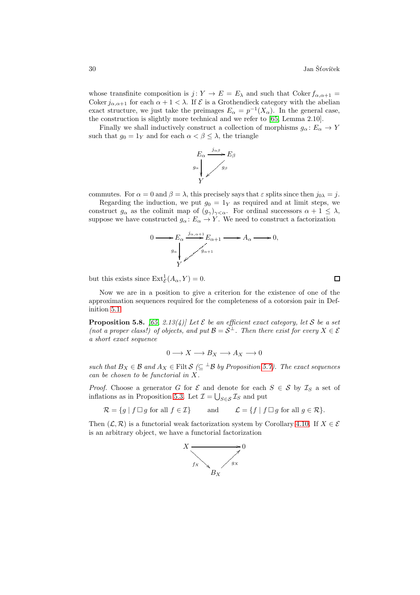whose transfinite composition is  $j: Y \to E = E_{\lambda}$  and such that Coker  $f_{\alpha,\alpha+1} =$ Coker  $j_{\alpha,\alpha+1}$  for each  $\alpha+1<\lambda$ . If  $\mathcal E$  is a Grothendieck category with the abelian exact structure, we just take the preimages  $E_{\alpha} = p^{-1}(X_{\alpha})$ . In the general case, the construction is slightly more technical and we refer to [\[65,](#page-68-1) Lemma 2.10].

Finally we shall inductively construct a collection of morphisms  $g_{\alpha} : E_{\alpha} \to Y$ such that  $g_0 = 1_Y$  and for each  $\alpha < \beta \leq \lambda$ , the triangle



commutes. For  $\alpha = 0$  and  $\beta = \lambda$ , this precisely says that  $\varepsilon$  splits since then  $j_{0\lambda} = j$ .

Regarding the induction, we put  $g_0 = 1_Y$  as required and at limit steps, we construct  $g_{\alpha}$  as the colimit map of  $(g_{\gamma})_{\gamma<\alpha}$ . For ordinal successors  $\alpha+1 \leq \lambda$ , suppose we have constructed  $g_{\alpha} : E_{\alpha} \to Y$ . We need to construct a factorization



but this exists since  $\text{Ext}^1_{\mathcal{E}}(A_\alpha, Y) = 0.$ 

Now we are in a position to give a criterion for the existence of one of the approximation sequences required for the completeness of a cotorsion pair in Definition [5.1.](#page-24-0)

<span id="page-29-0"></span>**Proposition 5.8.** [\[65,](#page-68-1) 2.13(4)] Let  $\mathcal{E}$  be an efficient exact category, let  $\mathcal{S}$  be a set (not a proper class!) of objects, and put  $\mathcal{B} = \mathcal{S}^{\perp}$ . Then there exist for every  $X \in \mathcal{E}$ a short exact sequence

$$
0\longrightarrow X\longrightarrow B_X\longrightarrow A_X\longrightarrow 0
$$

such that  $B_X \in \mathcal{B}$  and  $A_X \in \text{Filt } \mathcal{S} \subset \perp \mathcal{B}$  by Proposition [5.7\)](#page-28-0). The exact sequences can be chosen to be functorial in X.

*Proof.* Choose a generator G for  $\mathcal{E}$  and denote for each  $S \in \mathcal{S}$  by  $\mathcal{I}_S$  a set of inflations as in Proposition [5.3.](#page-25-0) Let  $\mathcal{I} = \bigcup_{S \in \mathcal{S}} \mathcal{I}_S$  and put

 $\mathcal{R} = \{g \mid f \Box g \text{ for all } f \in \mathcal{I}\}\$ and  $\mathcal{L} = \{f \mid f \Box g \text{ for all } g \in \mathcal{R}\}.$ 

Then  $(\mathcal{L}, \mathcal{R})$  is a functorial weak factorization system by Corollary [4.10.](#page-23-1) If  $X \in \mathcal{E}$ is an arbitrary object, we have a functorial factorization



 $\Box$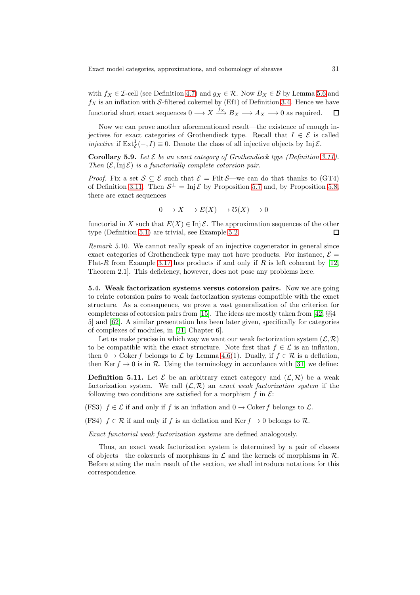with  $f_X \in \mathcal{I}$ -cell (see Definition [4.7\)](#page-22-1) and  $g_X \in \mathcal{R}$ . Now  $B_X \in \mathcal{B}$  by Lemma [5.6](#page-27-1) and  $f_X$  is an inflation with S-filtered cokernel by (Ef1) of Definition [3.4.](#page-11-0) Hence we have functorial short exact sequences  $0 \longrightarrow X \stackrel{f_X}{\longrightarrow} B_X \longrightarrow A_X \longrightarrow 0$  as required.  $\Box$ 

Now we can prove another aforementioned result—the existence of enough injectives for exact categories of Grothendieck type. Recall that  $I \in \mathcal{E}$  is called injective if  $\text{Ext}^1_{\mathcal{E}}(-, I) \equiv 0$ . Denote the class of all injective objects by Inj  $\mathcal{E}$ .

<span id="page-30-0"></span>**Corollary 5.9.** Let  $\mathcal{E}$  be an exact category of Grothendieck type (Definition [3.11\)](#page-14-2). Then  $(\mathcal{E}, \text{Inj }\mathcal{E})$  is a functorially complete cotorsion pair.

*Proof.* Fix a set  $S \subseteq \mathcal{E}$  such that  $\mathcal{E} =$  Filt S—we can do that thanks to (GT4) of Definition [3.11.](#page-14-2) Then  $S^{\perp} = \text{Inj }\mathcal{E}$  by Proposition [5.7](#page-28-0) and, by Proposition [5.8,](#page-29-0) there are exact sequences

$$
0 \longrightarrow X \longrightarrow E(X) \longrightarrow \mathcal{O}(X) \longrightarrow 0
$$

functorial in X such that  $E(X) \in \text{Inj }\mathcal{E}$ . The approximation sequences of the other type (Definition [5.1\)](#page-24-0) are trivial, see Example [5.2.](#page-24-1) П

Remark 5.10. We cannot really speak of an injective cogenerator in general since exact categories of Grothendieck type may not have products. For instance,  $\mathcal{E} =$ Flat-R from Example [3.17](#page-18-0) has products if and only if R is left coherent by [\[12,](#page-65-9) Theorem 2.1]. This deficiency, however, does not pose any problems here.

5.4. Weak factorization systems versus cotorsion pairs. Now we are going to relate cotorsion pairs to weak factorization systems compatible with the exact structure. As a consequence, we prove a vast generalization of the criterion for completeness of cotorsion pairs from [\[15\]](#page-66-6). The ideas are mostly taken from [\[42,](#page-67-2) §§4– 5] and [\[62\]](#page-68-8). A similar presentation has been later given, specifically for categories of complexes of modules, in [\[21,](#page-66-12) Chapter 6].

Let us make precise in which way we want our weak factorization system  $(\mathcal{L}, \mathcal{R})$ to be compatible with the exact structure. Note first that  $f \in \mathcal{L}$  is an inflation, then  $0 \to \text{Coker } f$  belongs to  $\mathcal L$  by Lemma [4.6\(](#page-21-0)1). Dually, if  $f \in \mathcal R$  is a deflation, then Ker  $f \to 0$  is in R. Using the terminology in accordance with [\[31\]](#page-66-13) we define:

<span id="page-30-1"></span>**Definition 5.11.** Let  $\mathcal{E}$  be an arbitrary exact category and  $(\mathcal{L}, \mathcal{R})$  be a weak factorization system. We call  $(\mathcal{L}, \mathcal{R})$  an exact weak factorization system if the following two conditions are satisfied for a morphism f in  $\mathcal{E}$ :

(FS3)  $f \in \mathcal{L}$  if and only if f is an inflation and  $0 \to \text{Coker } f$  belongs to  $\mathcal{L}$ .

(FS4)  $f \in \mathcal{R}$  if and only if f is an deflation and Ker  $f \to 0$  belongs to  $\mathcal{R}$ .

Exact functorial weak factorization systems are defined analogously.

Thus, an exact weak factorization system is determined by a pair of classes of objects—the cokernels of morphisms in  $\mathcal L$  and the kernels of morphisms in  $\mathcal R$ . Before stating the main result of the section, we shall introduce notations for this correspondence.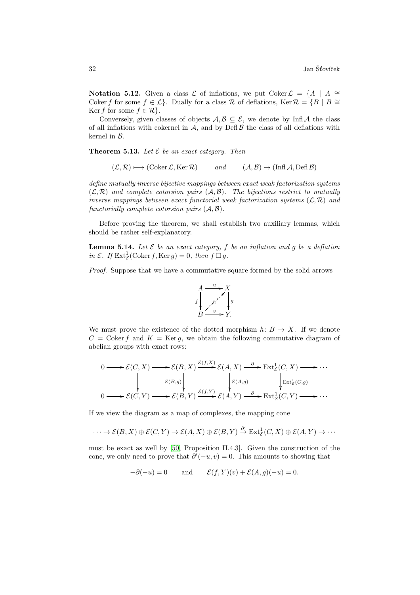Notation 5.12. Given a class L of inflations, we put Coker  $\mathcal{L} = \{A \mid A \cong \emptyset\}$ Coker f for some  $f \in \mathcal{L}$ . Dually for a class R of deflations, Ker  $\mathcal{R} = \{B \mid B \cong \mathcal{L}\}$ Ker f for some  $f \in \mathcal{R}$ .

Conversely, given classes of objects  $A, B \subseteq \mathcal{E}$ , we denote by Infl A the class of all inflations with cokernel in  $A$ , and by Defl $B$  the class of all deflations with kernel in B.

<span id="page-31-0"></span>**Theorem 5.13.** Let  $\mathcal{E}$  be an exact category. Then

$$
(\mathcal{L}, \mathcal{R}) \mapsto (\mathrm{Coker} \mathcal{L}, \mathrm{Ker} \mathcal{R})
$$
 and  $(\mathcal{A}, \mathcal{B}) \mapsto (\mathrm{Inf} \mathcal{A}, \mathrm{Def} \mathcal{B})$ 

define mutually inverse bijective mappings between exact weak factorization systems  $(\mathcal{L}, \mathcal{R})$  and complete cotorsion pairs  $(\mathcal{A}, \mathcal{B})$ . The bijections restrict to mutually inverse mappings between exact functorial weak factorization systems  $(\mathcal{L}, \mathcal{R})$  and functorially complete cotorsion pairs  $(A, B)$ .

<span id="page-31-1"></span>Before proving the theorem, we shall establish two auxiliary lemmas, which should be rather self-explanatory.

**Lemma 5.14.** Let  $\mathcal{E}$  be an exact category, f be an inflation and g be a deflation in  $\mathcal{E}$ . If  $\text{Ext}_{\mathcal{E}}^1(\text{Coker }f, \text{Ker }g) = 0$ , then  $f \square g$ .

Proof. Suppose that we have a commutative square formed by the solid arrows



We must prove the existence of the dotted morphism  $h: B \to X$ . If we denote  $C = \text{Coker } f$  and  $K = \text{Ker } q$ , we obtain the following commutative diagram of abelian groups with exact rows:

 $E$  ,  $E$  ,  $E$ 

$$
0 \longrightarrow \mathcal{E}(C, X) \longrightarrow \mathcal{E}(B, X) \xrightarrow{\mathcal{E}(f, X)} \mathcal{E}(A, X) \xrightarrow{\partial} \operatorname{Ext}^1_{\mathcal{E}}(C, X) \longrightarrow \cdots
$$
  
\n
$$
\downarrow \qquad \qquad \downarrow \qquad \qquad \downarrow \qquad \qquad \downarrow \qquad \qquad \downarrow \qquad \downarrow \qquad \downarrow \qquad \downarrow \qquad \downarrow \qquad \downarrow \qquad \downarrow \qquad \downarrow \qquad \downarrow \qquad \downarrow \qquad \downarrow \qquad \downarrow \qquad \downarrow \qquad \downarrow \qquad \downarrow \qquad \downarrow \qquad \downarrow \qquad \downarrow \qquad \downarrow \qquad \downarrow \qquad \downarrow \qquad \downarrow \qquad \downarrow \qquad \downarrow \qquad \downarrow \qquad \downarrow \qquad \downarrow \qquad \downarrow \qquad \downarrow \qquad \downarrow \qquad \downarrow \qquad \downarrow \qquad \downarrow \qquad \downarrow \qquad \downarrow \qquad \downarrow \qquad \downarrow \qquad \downarrow \qquad \downarrow \qquad \downarrow \qquad \downarrow \qquad \downarrow \qquad \downarrow \qquad \downarrow \qquad \downarrow \qquad \downarrow \qquad \downarrow \qquad \downarrow \qquad \downarrow \qquad \downarrow \qquad \downarrow \qquad \downarrow \qquad \downarrow \qquad \downarrow \qquad \downarrow \qquad \downarrow \qquad \downarrow \qquad \downarrow \qquad \downarrow \qquad \downarrow \qquad \downarrow \qquad \downarrow \qquad \downarrow \qquad \downarrow \qquad \downarrow \qquad \downarrow \qquad \downarrow \qquad \downarrow \qquad \downarrow \qquad \downarrow \qquad \downarrow \qquad \downarrow \qquad \downarrow \qquad \downarrow \qquad \downarrow \qquad \downarrow \qquad \downarrow \qquad \downarrow \qquad \downarrow \qquad \downarrow \qquad \downarrow \qquad \downarrow \qquad \downarrow \qquad \downarrow \qquad \downarrow \qquad \downarrow \qquad \downarrow \qquad \downarrow \qquad \downarrow \qquad \downarrow \qquad \downarrow \qquad \downarrow \qquad \downarrow \qquad \downarrow \qquad \downarrow \qquad \downarrow \qquad \downarrow \qquad \downarrow \qquad \downarrow \qquad \downarrow \qquad \downarrow \qquad \downarrow \qquad \downarrow \qquad \downarrow \qquad \downarrow \qquad \downarrow
$$

If we view the diagram as a map of complexes, the mapping cone

$$
\cdots \to \mathcal{E}(B,X) \oplus \mathcal{E}(C,Y) \to \mathcal{E}(A,X) \oplus \mathcal{E}(B,Y) \stackrel{\partial'}{\to} \mathrm{Ext}^1_{\mathcal{E}}(C,X) \oplus \mathcal{E}(A,Y) \to \cdots
$$

must be exact as well by [\[50,](#page-67-15) Proposition II.4.3]. Given the construction of the cone, we only need to prove that  $\partial'(-u, v) = 0$ . This amounts to showing that

 $-\partial(-u) = 0$  and  $\mathcal{E}(f, Y)(v) + \mathcal{E}(A, g)(-u) = 0.$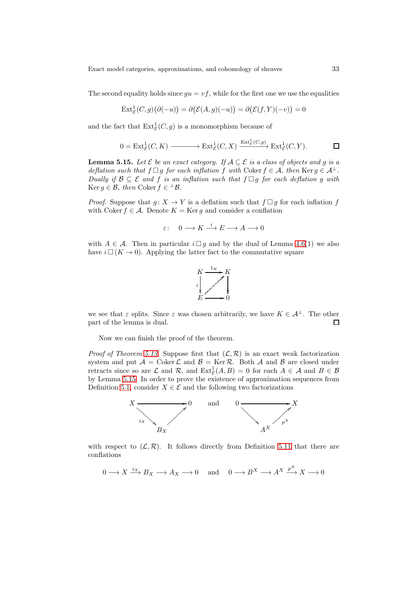The second equality holds since  $gu = vf$ , while for the first one we use the equalities

$$
\text{Ext}^1_{\mathcal{E}}(C,g)(\partial(-u)) = \partial(\mathcal{E}(A,g)(-u)) = \partial(\mathcal{E}(f,Y)(-v)) = 0
$$

and the fact that  $\text{Ext}^1_{\mathcal{E}}(C,g)$  is a monomorphism because of

$$
0 = \mathrm{Ext}^1_{\mathcal{E}}(C, K) \longrightarrow \mathrm{Ext}^1_{\mathcal{E}}(C, X) \xrightarrow{\mathrm{Ext}^1_{\mathcal{E}}(C, g)} \mathrm{Ext}^1_{\mathcal{E}}(C, Y).
$$

<span id="page-32-0"></span>**Lemma 5.15.** Let  $\mathcal{E}$  be an exact category. If  $\mathcal{A} \subseteq \mathcal{E}$  is a class of objects and g is a deflation such that  $f \Box g$  for each inflation f with Coker  $f \in A$ , then Ker  $g \in A^{\perp}$ . Dually if  $\mathcal{B} \subseteq \mathcal{E}$  and f is an inflation such that  $f \Box g$  for each deflation g with  $\text{Ker } g \in \mathcal{B}, \text{ then } \text{Coker } f \in {}^{\perp} \mathcal{B}.$ 

*Proof.* Suppose that  $g: X \to Y$  is a deflation such that  $f \Box g$  for each inflation f with Coker  $f \in \mathcal{A}$ . Denote  $K = \text{Ker } g$  and consider a conflation

$$
\varepsilon\colon \quad 0\longrightarrow K\stackrel{i}{\longrightarrow} E\longrightarrow A\longrightarrow 0
$$

with  $A \in \mathcal{A}$ . Then in particular  $i \square q$  and by the dual of Lemma [4.6\(](#page-21-0)1) we also have  $i \square (K \to 0)$ . Applying the latter fact to the commutative square



we see that  $\varepsilon$  splits. Since  $\varepsilon$  was chosen arbitrarily, we have  $K \in \mathcal{A}^{\perp}$ . The other part of the lemma is dual. 口

Now we can finish the proof of the theorem.

*Proof of Theorem [5.13.](#page-31-0)* Suppose first that  $(\mathcal{L}, \mathcal{R})$  is an exact weak factorization system and put  $A = \text{Coker}\,\mathcal{L}$  and  $\mathcal{B} = \text{Ker}\,\mathcal{R}$ . Both A and B are closed under retracts since so are  $\mathcal L$  and  $\mathcal R$ , and  $\text{Ext}^1_{\mathcal E}(A, B) = 0$  for each  $A \in \mathcal A$  and  $B \in \mathcal B$ by Lemma [5.15.](#page-32-0) In order to prove the existence of approximation sequences from Definition [5.1,](#page-24-0) consider  $X \in \mathcal{E}$  and the following two factorizations



with respect to  $(\mathcal{L}, \mathcal{R})$ . It follows directly from Definition [5.11](#page-30-1) that there are conflations

 $0 \longrightarrow X \xrightarrow{i_X} B_X \longrightarrow A_X \longrightarrow 0$  and  $0 \longrightarrow B^X \longrightarrow A^X \xrightarrow{p^X} X \longrightarrow 0$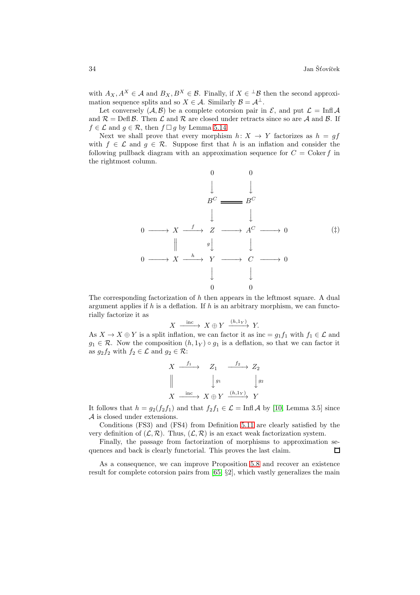with  $A_X, A^X \in \mathcal{A}$  and  $B_X, B^X \in \mathcal{B}$ . Finally, if  $X \in {}^{\perp} \mathcal{B}$  then the second approximation sequence splits and so  $X \in \mathcal{A}$ . Similarly  $\mathcal{B} = \mathcal{A}^{\perp}$ .

Let conversely  $(A, \mathcal{B})$  be a complete cotorsion pair in  $\mathcal{E}$ , and put  $\mathcal{L} = \text{Inf } A$ and  $\mathcal{R} = \text{Defi}\,\mathcal{B}$ . Then  $\mathcal{L}$  and  $\mathcal{R}$  are closed under retracts since so are  $\mathcal{A}$  and  $\mathcal{B}$ . If  $f \in \mathcal{L}$  and  $g \in \mathcal{R}$ , then  $f \Box g$  by Lemma [5.14.](#page-31-1)

Next we shall prove that every morphism  $h: X \rightarrow Y$  factorizes as  $h = gf$ with  $f \in \mathcal{L}$  and  $g \in \mathcal{R}$ . Suppose first that h is an inflation and consider the following pullback diagram with an approximation sequence for  $C = \text{Coker } f$  in the rightmost column.



The corresponding factorization of  $h$  then appears in the leftmost square. A dual argument applies if  $h$  is a deflation. If  $h$  is an arbitrary morphism, we can functorially factorize it as

$$
X \xrightarrow{\text{inc}} X \oplus Y \xrightarrow{(h,1_Y)} Y.
$$

As  $X \to X \oplus Y$  is a split inflation, we can factor it as inc =  $g_1 f_1$  with  $f_1 \in \mathcal{L}$  and  $g_1 \in \mathcal{R}$ . Now the composition  $(h, 1_Y) \circ g_1$  is a deflation, so that we can factor it as  $g_2 f_2$  with  $f_2 \in \mathcal{L}$  and  $g_2 \in \mathcal{R}$ :

$$
X \xrightarrow{f_1} Z_1 \xrightarrow{f_2} Z_2
$$
  

$$
\parallel \qquad \qquad \downarrow g_1 \qquad \qquad \downarrow g_2
$$
  

$$
X \xrightarrow{\text{inc}} X \oplus Y \xrightarrow{(h,1_Y)} Y
$$

It follows that  $h = g_2(f_2f_1)$  and that  $f_2f_1 \in \mathcal{L} = \text{Infl } \mathcal{A}$  by [\[10,](#page-65-5) Lemma 3.5] since A is closed under extensions.

Conditions (FS3) and (FS4) from Definition [5.11](#page-30-1) are clearly satisfied by the very definition of  $(\mathcal{L}, \mathcal{R})$ . Thus,  $(\mathcal{L}, \mathcal{R})$  is an exact weak factorization system.

Finally, the passage from factorization of morphisms to approximation sequences and back is clearly functorial. This proves the last claim.  $\Box$ 

As a consequence, we can improve Proposition [5.8](#page-29-0) and recover an existence result for complete cotorsion pairs from [\[65,](#page-68-1) §2], which vastly generalizes the main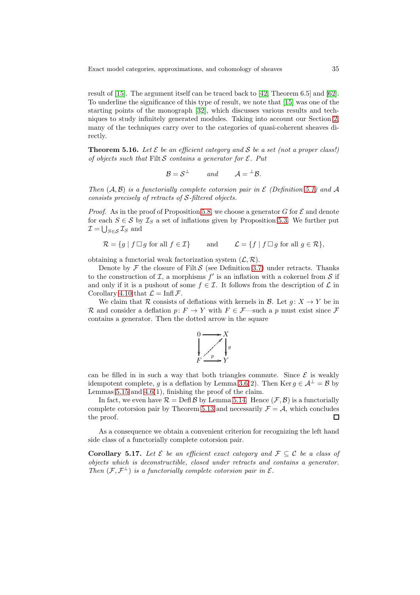result of [\[15\]](#page-66-6). The argument itself can be traced back to [\[42,](#page-67-2) Theorem 6.5] and [\[62\]](#page-68-8). To underline the significance of this type of result, we note that [\[15\]](#page-66-6) was one of the starting points of the monograph [\[32\]](#page-67-6), which discusses various results and techniques to study infinitely generated modules. Taking into account our Section [2,](#page-3-0) many of the techniques carry over to the categories of quasi-coherent sheaves directly.

<span id="page-34-0"></span>**Theorem 5.16.** Let  $\mathcal{E}$  be an efficient category and  $\mathcal{S}$  be a set (not a proper class!) of objects such that Filt S contains a generator for  $\mathcal{E}$ . Put

$$
\mathcal{B} = \mathcal{S}^{\perp} \quad \text{and} \quad \mathcal{A} = {}^{\perp} \mathcal{B}.
$$

Then  $(A, \mathcal{B})$  is a functorially complete cotorsion pair in  $\mathcal E$  (Definition [5.1\)](#page-24-0) and A consists precisely of retracts of S-filtered objects.

*Proof.* As in the proof of Proposition [5.8,](#page-29-0) we choose a generator G for  $\mathcal E$  and denote for each  $S \in \mathcal{S}$  by  $\mathcal{I}_S$  a set of inflations given by Proposition [5.3.](#page-25-0) We further put  $\mathcal{I} = \bigcup_{S \in \mathcal{S}} \mathcal{I}_S$  and

$$
\mathcal{R} = \{ g \mid f \Box g \text{ for all } f \in \mathcal{I} \} \quad \text{and} \quad \mathcal{L} = \{ f \mid f \Box g \text{ for all } g \in \mathcal{R} \},
$$

obtaining a functorial weak factorization system  $(\mathcal{L}, \mathcal{R})$ .

Denote by  $\mathcal F$  the closure of Filt  $\mathcal S$  (see Definition [3.7\)](#page-13-1) under retracts. Thanks to the construction of  $\mathcal{I}$ , a morphisms  $f'$  is an inflation with a cokernel from  $\mathcal{S}$  if and only if it is a pushout of some  $f \in \mathcal{I}$ . It follows from the description of  $\mathcal{L}$  in Corollary [4.10](#page-23-1) that  $\mathcal{L} = \text{Inf }\mathcal{F}.$ 

We claim that R consists of deflations with kernels in B. Let  $g: X \to Y$  be in R and consider a deflation  $p: F \to Y$  with  $F \in \mathcal{F}$ —such a p must exist since F contains a generator. Then the dotted arrow in the square



can be filled in in such a way that both triangles commute. Since  $\mathcal E$  is weakly idempotent complete, g is a deflation by Lemma [3.6\(](#page-12-1)2). Then Ker  $g \in A^{\perp} = B$  by Lemmas [5.15](#page-32-0) and [4.6\(](#page-21-0)1), finishing the proof of the claim.

In fact, we even have  $\mathcal{R} = \text{Def}\,\mathcal{B}$  by Lemma [5.14.](#page-31-1) Hence  $(\mathcal{F}, \mathcal{B})$  is a functorially complete cotorsion pair by Theorem [5.13](#page-31-0) and necessarily  $\mathcal{F} = \mathcal{A}$ , which concludes the proof.  $\Box$ 

<span id="page-34-1"></span>As a consequence we obtain a convenient criterion for recognizing the left hand side class of a functorially complete cotorsion pair.

Corollary 5.17. Let  $\mathcal E$  be an efficient exact category and  $\mathcal F \subseteq \mathcal C$  be a class of objects which is deconstructible, closed under retracts and contains a generator. Then  $(\mathcal{F}, \mathcal{F}^{\perp})$  is a functorially complete cotorsion pair in  $\mathcal{E}.$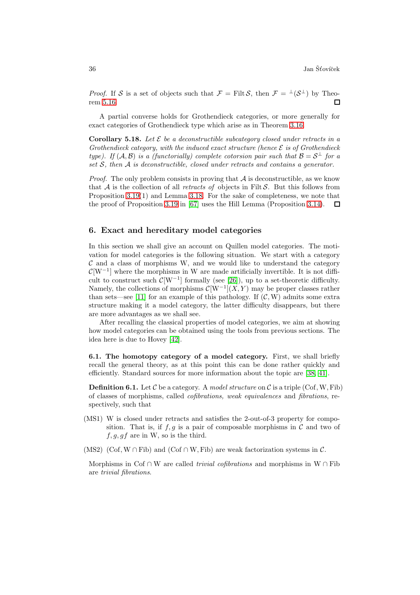*Proof.* If S is a set of objects such that  $\mathcal{F} = \text{Filt } S$ , then  $\mathcal{F} = {}^{\perp}(\mathcal{S}^{\perp})$  by Theorem [5.16.](#page-34-0) П

<span id="page-35-1"></span>A partial converse holds for Grothendieck categories, or more generally for exact categories of Grothendieck type which arise as in Theorem [3.16.](#page-16-1)

**Corollary 5.18.** Let  $\mathcal{E}$  be a deconstructible subcategory closed under retracts in a Grothendieck category, with the induced exact structure (hence  $\mathcal E$  is of Grothendieck type). If  $(A, B)$  is a (functorially) complete cotorsion pair such that  $B = S^{\perp}$  for a set S, then A is deconstructible, closed under retracts and contains a generator.

*Proof.* The only problem consists in proving that  $A$  is deconstructible, as we know that  $A$  is the collection of all *retracts of* objects in Filt  $S$ . But this follows from Proposition [3.19\(](#page-19-1)1) and Lemma [3.18.](#page-18-1) For the sake of completeness, we note that the proof of Proposition [3.19](#page-19-1) in [\[67\]](#page-68-11) uses the Hill Lemma (Proposition [3.14\)](#page-15-0).  $\Box$ 

### <span id="page-35-0"></span>6. Exact and hereditary model categories

In this section we shall give an account on Quillen model categories. The motivation for model categories is the following situation. We start with a category  $\mathcal C$  and a class of morphisms W, and we would like to understand the category  $\mathcal{C}[W^{-1}]$  where the morphisms in W are made artificially invertible. It is not difficult to construct such  $\mathcal{C}[W^{-1}]$  formally (see [\[26\]](#page-66-17)), up to a set-theoretic difficulty. Namely, the collections of morphisms  $\mathcal{C}[W^{-1}](X,Y)$  may be proper classes rather than sets—see [\[11\]](#page-65-10) for an example of this pathology. If  $(C, W)$  admits some extra structure making it a model category, the latter difficulty disappears, but there are more advantages as we shall see.

After recalling the classical properties of model categories, we aim at showing how model categories can be obtained using the tools from previous sections. The idea here is due to Hovey [\[42\]](#page-67-2).

6.1. The homotopy category of a model category. First, we shall briefly recall the general theory, as at this point this can be done rather quickly and efficiently. Standard sources for more information about the topic are [\[38,](#page-67-1) [41\]](#page-67-0).

<span id="page-35-2"></span>**Definition 6.1.** Let C be a category. A model structure on C is a triple (Cof, W, Fib) of classes of morphisms, called cofibrations, weak equivalences and fibrations, respectively, such that

- (MS1) W is closed under retracts and satisfies the 2-out-of-3 property for composition. That is, if  $f, g$  is a pair of composable morphisms in  $\mathcal C$  and two of  $f, g, gf$  are in W, so is the third.
- (MS2) (Cof, W ∩ Fib) and (Cof ∩ W, Fib) are weak factorization systems in  $\mathcal{C}$ .

Morphisms in Cof ∩ W are called *trivial cofibrations* and morphisms in W ∩ Fib are trivial fibrations.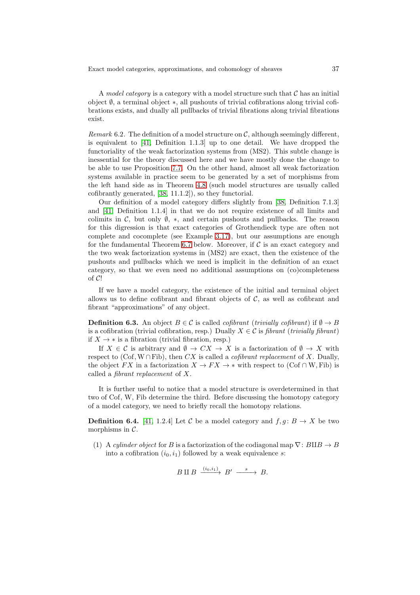A model category is a category with a model structure such that  $\mathcal C$  has an initial object ∅, a terminal object ∗, all pushouts of trivial cofibrations along trivial cofibrations exists, and dually all pullbacks of trivial fibrations along trivial fibrations exist.

Remark 6.2. The definition of a model structure on  $\mathcal{C}$ , although seemingly different, is equivalent to [\[41,](#page-67-0) Definition 1.1.3] up to one detail. We have dropped the functoriality of the weak factorization systems from (MS2). This subtle change is inessential for the theory discussed here and we have mostly done the change to be able to use Proposition [7.7.](#page-50-0) On the other hand, almost all weak factorization systems available in practice seem to be generated by a set of morphisms from the left hand side as in Theorem [4.8](#page-22-0) (such model structures are usually called cofibrantly generated, [\[38,](#page-67-1) 11.1.2]), so they functorial.

Our definition of a model category differs slightly from [\[38,](#page-67-1) Definition 7.1.3] and [\[41,](#page-67-0) Definition 1.1.4] in that we do not require existence of all limits and colimits in  $\mathcal{C}$ , but only  $\emptyset$ , \*, and certain pushouts and pullbacks. The reason for this digression is that exact categories of Grothendieck type are often not complete and cocomplete (see Example [3.17\)](#page-18-0), but our assumptions are enough for the fundamental Theorem [6.7](#page-37-0) below. Moreover, if  $C$  is an exact category and the two weak factorization systems in (MS2) are exact, then the existence of the pushouts and pullbacks which we need is implicit in the definition of an exact category, so that we even need no additional assumptions on (co)completeness of C!

If we have a model category, the existence of the initial and terminal object allows us to define cofibrant and fibrant objects of  $C$ , as well as cofibrant and fibrant "approximations" of any object.

<span id="page-36-0"></span>**Definition 6.3.** An object  $B \in \mathcal{C}$  is called *cofibrant* (*trivially cofibrant*) if  $\emptyset \to B$ is a cofibration (trivial cofibration, resp.) Dually  $X \in \mathcal{C}$  is fibrant (trivially fibrant) if  $X \to *$  is a fibration (trivial fibration, resp.)

If  $X \in \mathcal{C}$  is arbitrary and  $\emptyset \to CX \to X$  is a factorization of  $\emptyset \to X$  with respect to (Cof, W∩Fib), then CX is called a *cofibrant replacement* of X. Dually, the object FX in a factorization  $X \to FX \to *$  with respect to (Cof ∩ W, Fib) is called a fibrant replacement of X.

It is further useful to notice that a model structure is overdetermined in that two of Cof, W, Fib determine the third. Before discussing the homotopy category of a model category, we need to briefly recall the homotopy relations.

**Definition 6.4.** [\[41,](#page-67-0) 1.2.4] Let C be a model category and  $f, g: B \to X$  be two morphisms in  $\mathcal{C}$ .

(1) A cylinder object for B is a factorization of the codiagonal map  $\nabla$ : BIIB  $\rightarrow$  B into a cofibration  $(i_0, i_1)$  followed by a weak equivalence s:

 $B \amalg B \xrightarrow{(i_0,i_1)} B' \xrightarrow{s} B.$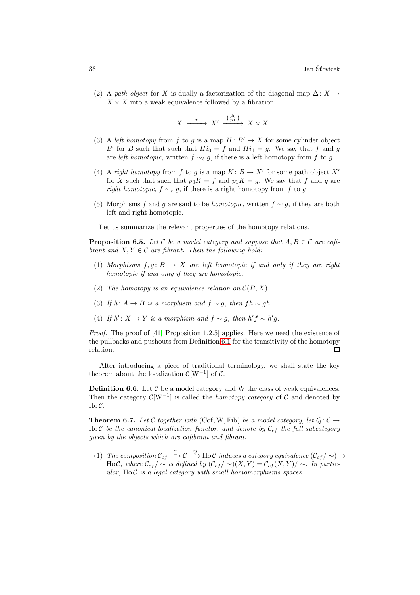(2) A path object for X is dually a factorization of the diagonal map  $\Delta: X \rightarrow$  $X \times X$  into a weak equivalence followed by a fibration:

$$
X \xrightarrow{r} X' \xrightarrow{\binom{p_0}{p_1}} X \times X.
$$

- (3) A left homotopy from f to g is a map  $H: B' \to X$  for some cylinder object B' for B such that such that  $Hi_0 = f$  and  $Hi_1 = g$ . We say that f and g are left homotopic, written  $f \sim_{\ell} g$ , if there is a left homotopy from f to g.
- (4) A right homotopy from f to g is a map  $K: B \to X'$  for some path object X' for X such that such that  $p_0K = f$  and  $p_1K = g$ . We say that f and g are right homotopic,  $f \sim_r g$ , if there is a right homotopy from f to g.
- (5) Morphisms f and g are said to be *homotopic*, written  $f \sim g$ , if they are both left and right homotopic.

Let us summarize the relevant properties of the homotopy relations.

**Proposition 6.5.** Let C be a model category and suppose that  $A, B \in \mathcal{C}$  are cofibrant and  $X, Y \in \mathcal{C}$  are fibrant. Then the following hold:

- (1) Morphisms  $f, g: B \to X$  are left homotopic if and only if they are right homotopic if and only if they are homotopic.
- (2) The homotopy is an equivalence relation on  $\mathcal{C}(B, X)$ .
- (3) If  $h: A \rightarrow B$  is a morphism and  $f \sim g$ , then  $fh \sim gh$ .
- (4) If  $h' : X \to Y$  is a morphism and  $f \sim g$ , then  $h'f \sim h'g$ .

Proof. The proof of [\[41,](#page-67-0) Proposition 1.2.5] applies. Here we need the existence of the pullbacks and pushouts from Definition [6.1](#page-35-2) for the transitivity of the homotopy relation.  $\Box$ 

After introducing a piece of traditional terminology, we shall state the key theorem about the localization  $\mathcal{C}[W^{-1}]$  of  $\mathcal{C}$ .

**Definition 6.6.** Let  $\mathcal{C}$  be a model category and W the class of weak equivalences. Then the category  $\mathcal{C}[W^{-1}]$  is called the *homotopy category* of  $\mathcal C$  and denoted by  $HoC.$ 

<span id="page-37-0"></span>**Theorem 6.7.** Let C together with (Cof, W, Fib) be a model category, let  $Q: \mathcal{C} \rightarrow$ Ho C be the canonical localization functor, and denote by  $\mathcal{C}_{cf}$  the full subcategory given by the objects which are cofibrant and fibrant.

(1) The composition  $\mathcal{C}_{cf} \stackrel{\subseteq}{\longrightarrow} \mathcal{C} \stackrel{Q}{\longrightarrow}$  Ho  $\mathcal C$  induces a category equivalence  $(\mathcal{C}_{cf}/\sim) \rightarrow$ Ho C, where  $\mathcal{C}_{cf}/\sim$  is defined by  $(\mathcal{C}_{cf}/\sim)(X,Y)=\mathcal{C}_{cf}(X,Y)/\sim$ . In particular,  $H_0C$  is a legal category with small homomorphisms spaces.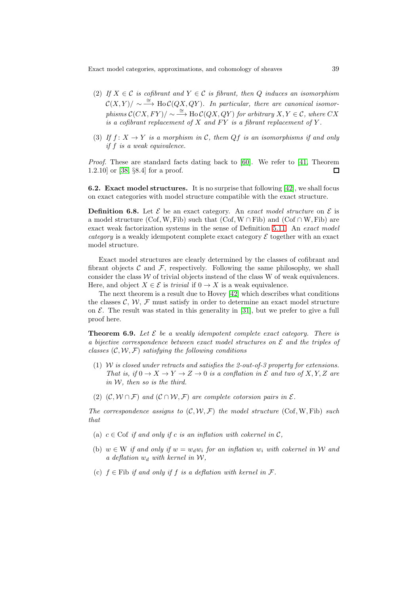- (2) If  $X \in \mathcal{C}$  is cofibrant and  $Y \in \mathcal{C}$  is fibrant, then Q induces an isomorphism  $\mathcal{C}(X,Y)/\sim \stackrel{\cong}{\longrightarrow} {\rm Ho}\,\mathcal{C}(QX, QY)$ . In particular, there are canonical isomorphisms  $\mathcal{C}(CX,FY)/\sim \stackrel{\cong}{\longrightarrow} \text{Ho }\mathcal{C}(QX,QY)$  for arbitrary  $X,Y\in \mathcal{C}$ , where  $CX$ is a cofibrant replacement of  $X$  and  $FY$  is a fibrant replacement of  $Y$ .
- (3) If  $f: X \to Y$  is a morphism in C, them Qf is an isomorphisms if and only if f is a weak equivalence.

Proof. These are standard facts dating back to [\[60\]](#page-68-0). We refer to [\[41,](#page-67-0) Theorem 1.2.10] or [\[38,](#page-67-1) §8.4] for a proof.  $\Box$ 

<span id="page-38-1"></span>**6.2.** Exact model structures. It is no surprise that following  $[42]$ , we shall focus on exact categories with model structure compatible with the exact structure.

**Definition 6.8.** Let  $\mathcal{E}$  be an exact category. An exact model structure on  $\mathcal{E}$  is a model structure (Cof, W, Fib) such that  $(Cof, W \cap Fib)$  and  $(Cof \cap W, Fib)$  are exact weak factorization systems in the sense of Definition [5.11.](#page-30-1) An exact model category is a weakly idempotent complete exact category  $\mathcal E$  together with an exact model structure.

Exact model structures are clearly determined by the classes of cofibrant and fibrant objects  $\mathcal C$  and  $\mathcal F$ , respectively. Following the same philosophy, we shall consider the class  $W$  of trivial objects instead of the class W of weak equivalences. Here, and object  $X \in \mathcal{E}$  is *trivial* if  $0 \to X$  is a weak equivalence.

The next theorem is a result due to Hovey [\[42\]](#page-67-2) which describes what conditions the classes C,  $W$ ,  $\mathcal F$  must satisfy in order to determine an exact model structure on  $\mathcal{E}$ . The result was stated in this generality in [\[31\]](#page-66-13), but we prefer to give a full proof here.

<span id="page-38-0"></span>**Theorem 6.9.** Let  $\mathcal{E}$  be a weakly idempotent complete exact category. There is a bijective correspondence between exact model structures on  $\mathcal E$  and the triples of classes  $(C, W, \mathcal{F})$  satisfying the following conditions

- (1) W is closed under retracts and satisfies the 2-out-of-3 property for extensions. That is, if  $0 \to X \to Y \to Z \to 0$  is a conflation in  $\mathcal E$  and two of X, Y, Z are in W, then so is the third.
- (2)  $(C, W \cap \mathcal{F})$  and  $(C \cap W, \mathcal{F})$  are complete cotorsion pairs in  $\mathcal{E}$ .

The correspondence assigns to  $(C, W, \mathcal{F})$  the model structure (Cof, W, Fib) such that

- (a)  $c \in \text{Cof } i\text{f}$  and only if c is an inflation with cokernel in C.
- (b)  $w \in W$  if and only if  $w = w_d w_i$  for an inflation  $w_i$  with cokernel in W and a deflation  $w_d$  with kernel in W,
- (c)  $f \in$  Fib if and only if f is a deflation with kernel in  $\mathcal{F}$ .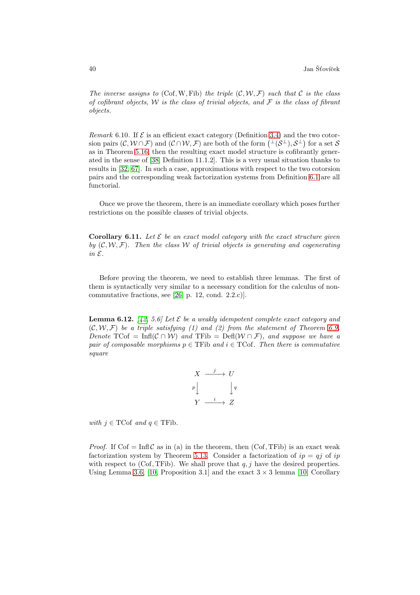The inverse assigns to (Cof, W, Fib) the triple  $(C, W, \mathcal{F})$  such that C is the class of cofibrant objects, W is the class of trivial objects, and  $\mathcal F$  is the class of fibrant objects.

<span id="page-39-2"></span>Remark 6.10. If  $\mathcal E$  is an efficient exact category (Definition [3.4\)](#page-11-0) and the two cotorsion pairs  $(C, W \cap F)$  and  $(C \cap W, F)$  are both of the form  $(\perp(S^{\perp}), S^{\perp})$  for a set S as in Theorem [5.16,](#page-34-0) then the resulting exact model structure is cofibrantly generated in the sense of [\[38,](#page-67-1) Definition 11.1.2]. This is a very usual situation thanks to results in [\[32,](#page-67-6) [67\]](#page-68-11). In such a case, approximations with respect to the two cotorsion pairs and the corresponding weak factorization systems from Definition [6.1](#page-35-2) are all functorial.

<span id="page-39-1"></span>Once we prove the theorem, there is an immediate corollary which poses further restrictions on the possible classes of trivial objects.

Corollary 6.11. Let  $\mathcal E$  be an exact model category with the exact structure given by  $(C, W, \mathcal{F})$ . Then the class W of trivial objects is generating and cogenerating in E.

<span id="page-39-0"></span>Before proving the theorem, we need to establish three lemmas. The first of them is syntactically very similar to a necessary condition for the calculus of noncommutative fractions, see [\[26,](#page-66-17) p. 12, cond. 2.2.c)].

**Lemma 6.12.** [\[42,](#page-67-2) 5.6] Let  $\mathcal{E}$  be a weakly idempotent complete exact category and  $(C, W, \mathcal{F})$  be a triple satisfying (1) and (2) from the statement of Theorem [6.9.](#page-38-0) Denote TCof = Infl( $\mathcal{C} \cap \mathcal{W}$ ) and TFib = Defl( $\mathcal{W} \cap \mathcal{F}$ ), and suppose we have a pair of composable morphisms  $p \in \text{TFib}$  and  $i \in \text{TCof}$ . Then there is commutative square

$$
X \xrightarrow{j} U
$$
  
\n
$$
p \downarrow \qquad \qquad \downarrow q
$$
  
\n
$$
Y \xrightarrow{i} Z
$$

with  $j \in \text{TCof}$  and  $q \in \text{TFib}$ .

*Proof.* If Cof = Infl C as in (a) in the theorem, then (Cof, TFib) is an exact weak factorization system by Theorem [5.13.](#page-31-0) Consider a factorization of  $ip = qj$  of ip with respect to (Cof, TFib). We shall prove that  $q, j$  have the desired properties. Using Lemma [3.6,](#page-12-1) [\[10,](#page-65-5) Proposition 3.1] and the exact  $3 \times 3$  lemma [10, Corollary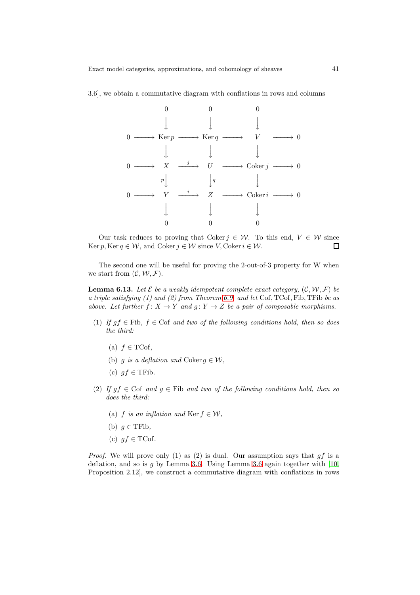3.6], we obtain a commutative diagram with conflations in rows and columns



Our task reduces to proving that Coker  $j \in \mathcal{W}$ . To this end,  $V \in \mathcal{W}$  since Ker p, Ker  $q \in \mathcal{W}$ , and Coker  $j \in \mathcal{W}$  since  $V$ , Coker  $i \in \mathcal{W}$ .  $\Box$ 

<span id="page-40-0"></span>The second one will be useful for proving the 2-out-of-3 property for W when we start from  $(C, W, \mathcal{F})$ .

**Lemma 6.13.** Let  $\mathcal{E}$  be a weakly idempotent complete exact category,  $(\mathcal{C}, \mathcal{W}, \mathcal{F})$  be a triple satisfying (1) and (2) from Theorem [6.9,](#page-38-0) and let Cof, TCof, Fib, TFib be as above. Let further  $f: X \to Y$  and  $g: Y \to Z$  be a pair of composable morphisms.

- (1) If  $gf \in Fib$ ,  $f \in Cof$  and two of the following conditions hold, then so does the third:
	- (a)  $f \in \text{TCof}$ ,
	- (b) g is a deflation and Coker  $g \in \mathcal{W}$ ,
	- (c)  $gf \in \text{TFib.}$
- (2) If  $q f \in \text{Cof}$  and  $q \in \text{Fib}$  and two of the following conditions hold, then so does the third:
	- (a) f is an inflation and Ker  $f \in \mathcal{W}$ ,
	- (b)  $q \in \text{TFib}$ ,
	- (c)  $gf \in \text{TCof}.$

*Proof.* We will prove only (1) as (2) is dual. Our assumption says that  $gf$  is a deflation, and so is q by Lemma [3.6.](#page-12-1) Using Lemma [3.6](#page-12-1) again together with [\[10,](#page-65-5) Proposition 2.12], we construct a commutative diagram with conflations in rows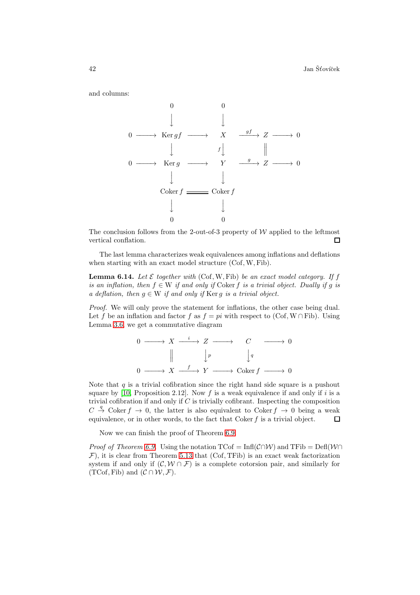and columns:



The conclusion follows from the 2-out-of-3 property of  $W$  applied to the leftmost vertical conflation.  $\Box$ 

<span id="page-41-0"></span>The last lemma characterizes weak equivalences among inflations and deflations when starting with an exact model structure  $(Cof, W, Fib)$ .

**Lemma 6.14.** Let  $\mathcal{E}$  together with (Cof, W, Fib) be an exact model category. If f is an inflation, then  $f \in W$  if and only if Coker f is a trivial object. Dually if q is a deflation, then  $g \in W$  if and only if  $\text{Ker } g$  is a trivial object.

Proof. We will only prove the statement for inflations, the other case being dual. Let f be an inflation and factor f as  $f = pi$  with respect to (Cof, W∩Fib). Using Lemma [3.6,](#page-12-1) we get a commutative diagram

$$
0 \longrightarrow X \xrightarrow{i} Z \longrightarrow C \longrightarrow 0
$$
  
\n
$$
\parallel \qquad \downarrow p \qquad \qquad \downarrow q
$$
  
\n
$$
0 \longrightarrow X \xrightarrow{f} Y \longrightarrow \operatorname{Coker} f \longrightarrow 0
$$

Note that  $q$  is a trivial cofibration since the right hand side square is a pushout square by [\[10,](#page-65-5) Proposition 2.12]. Now f is a weak equivalence if and only if i is a trivial cofibration if and only if  $C$  is trivially cofibrant. Inspecting the composition  $C \stackrel{q}{\rightarrow} \text{Coker } f \rightarrow 0$ , the latter is also equivalent to Coker  $f \rightarrow 0$  being a weak equivalence, or in other words, to the fact that  $Coker f$  is a trivial object.  $\Box$ 

Now we can finish the proof of Theorem [6.9.](#page-38-0)

*Proof of Theorem [6.9.](#page-38-0)* Using the notation  $TCof = Infl(C \cap W)$  and  $TFib = Def(N \cap W)$  $\mathcal{F}$ ), it is clear from Theorem [5.13](#page-31-0) that (Cof, TFib) is an exact weak factorization system if and only if  $(C, W \cap F)$  is a complete cotorsion pair, and similarly for  $(TCof, Fib)$  and  $(C \cap W, \mathcal{F})$ .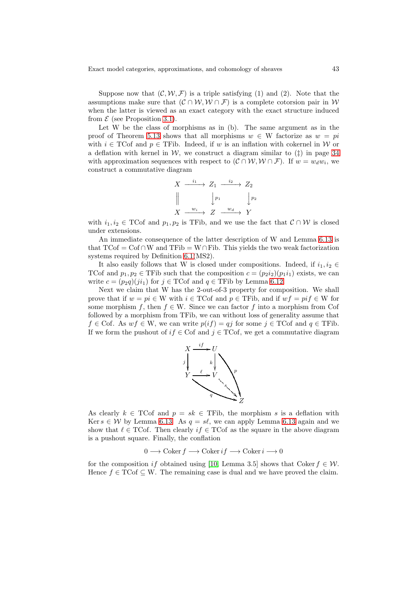Suppose now that  $(C, W, \mathcal{F})$  is a triple satisfying (1) and (2). Note that the assumptions make sure that  $(C \cap W, W \cap \mathcal{F})$  is a complete cotorsion pair in W when the latter is viewed as an exact category with the exact structure induced from  $\mathcal E$  (see Proposition [3.1\)](#page-10-1).

Let W be the class of morphisms as in (b). The same argument as in the proof of Theorem [5.13](#page-31-0) shows that all morphisms  $w \in W$  factorize as  $w = pi$ with  $i \in \text{TCof}$  and  $p \in \text{TFib}$ . Indeed, if w is an inflation with cokernel in W or a deflation with kernel in W, we construct a diagram similar to  $(1)$  in page [34](#page-32-0) with approximation sequences with respect to  $(C \cap W, W \cap \mathcal{F})$ . If  $w = w_d w_i$ , we construct a commutative diagram

$$
X \xrightarrow{i_1} Z_1 \xrightarrow{i_2} Z_2
$$
  
\n
$$
\parallel \qquad \qquad \downarrow p_1 \qquad \qquad \downarrow p_2
$$
  
\n
$$
X \xrightarrow{w_i} Z \xrightarrow{w_d} Y
$$

with  $i_1, i_2 \in \text{TCof}$  and  $p_1, p_2$  is TFib, and we use the fact that  $\mathcal{C} \cap \mathcal{W}$  is closed under extensions.

An immediate consequence of the latter description of W and Lemma [6.13](#page-40-0) is that  $TCof = Cof \cap W$  and  $TFib = W \cap Fib$ . This yields the two weak factorization systems required by Definition [6.1\(](#page-35-2)MS2).

It also easily follows that W is closed under compositions. Indeed, if  $i_1, i_2 \in$ TCof and  $p_1, p_2 \in \text{TFib such that the composition } c = (p_2 i_2)(p_1 i_1)$  exists, we can write  $c = (p_2q)(ji_1)$  for  $j \in \text{TCof}$  and  $q \in \text{TFib}$  by Lemma [6.12.](#page-39-0)

Next we claim that W has the 2-out-of-3 property for composition. We shall prove that if  $w = pi \in W$  with  $i \in T\text{Cof}$  and  $p \in T\text{Fib}$ , and if  $wf = pi f \in W$  for some morphism f, then  $f \in W$ . Since we can factor f into a morphism from Cof followed by a morphism from TFib, we can without loss of generality assume that  $f \in \text{Cof.}$  As  $wf \in W$ , we can write  $p(if) = qj$  for some  $j \in \text{TCof}$  and  $q \in \text{TFib.}$ If we form the pushout of  $if \in \text{Cof}$  and  $j \in \text{TCof}$ , we get a commutative diagram



As clearly  $k \in \text{TCof}$  and  $p = sk \in \text{TFib}$ , the morphism s is a deflation with Ker  $s \in \mathcal{W}$  by Lemma [6.13.](#page-40-0) As  $q = s\ell$ , we can apply Lemma [6.13](#page-40-0) again and we show that  $\ell \in \text{TCof}$ . Then clearly  $if \in \text{TCof}$  as the square in the above diagram is a pushout square. Finally, the conflation

$$
0 \longrightarrow \text{Coker } f \longrightarrow \text{Coker } if \longrightarrow \text{Coker } i \longrightarrow 0
$$

for the composition if obtained using [\[10,](#page-65-5) Lemma 3.5] shows that Coker  $f \in \mathcal{W}$ . Hence  $f \in \text{TCof} \subseteq W$ . The remaining case is dual and we have proved the claim.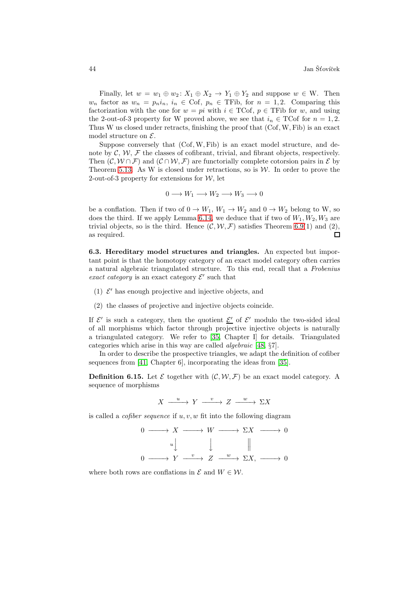Finally, let  $w = w_1 \oplus w_2$ :  $X_1 \oplus X_2 \rightarrow Y_1 \oplus Y_2$  and suppose  $w \in W$ . Then  $w_n$  factor as  $w_n = p_n i_n$ ,  $i_n \in \text{Cof}, p_n \in \text{TFib},$  for  $n = 1, 2$ . Comparing this factorization with the one for  $w = pi$  with  $i \in \text{TCof}, p \in \text{TFib}$  for w, and using the 2-out-of-3 property for W proved above, we see that  $i_n \in \text{TCof}$  for  $n = 1, 2$ . Thus W us closed under retracts, finishing the proof that (Cof,W, Fib) is an exact model structure on  $\mathcal{E}.$ 

Suppose conversely that (Cof,W, Fib) is an exact model structure, and denote by  $\mathcal{C}, \mathcal{W}, \mathcal{F}$  the classes of cofibrant, trivial, and fibrant objects, respectively. Then  $(C, W \cap F)$  and  $(C \cap W, F)$  are functorially complete cotorsion pairs in E by Theorem [5.13.](#page-31-0) As W is closed under retractions, so is  $W$ . In order to prove the 2-out-of-3 property for extensions for  $W$ , let

$$
0\longrightarrow W_1\longrightarrow W_2\longrightarrow W_3\longrightarrow 0
$$

be a conflation. Then if two of  $0 \to W_1, W_1 \to W_2$  and  $0 \to W_2$  belong to W, so does the third. If we apply Lemma [6.14,](#page-41-0) we deduce that if two of  $W_1, W_2, W_3$  are trivial objects, so is the third. Hence  $(C, W, \mathcal{F})$  satisfies Theorem [6.9\(](#page-38-0)1) and (2), as required.  $\Box$ 

6.3. Hereditary model structures and triangles. An expected but important point is that the homotopy category of an exact model category often carries a natural algebraic triangulated structure. To this end, recall that a Frobenius exact category is an exact category  $\mathcal{E}'$  such that

- (1)  $\mathcal{E}'$  has enough projective and injective objects, and
- (2) the classes of projective and injective objects coincide.

If  $\mathcal{E}'$  is such a category, then the quotient  $\underline{\mathcal{E}'}$  of  $\mathcal{E}'$  modulo the two-sided ideal of all morphisms which factor through projective injective objects is naturally a triangulated category. We refer to [\[35,](#page-67-16) Chapter I] for details. Triangulated categories which arise in this way are called algebraic [\[48,](#page-67-17) §7].

<span id="page-43-0"></span>In order to describe the prospective triangles, we adapt the definition of cofiber sequences from [\[41,](#page-67-0) Chapter 6], incorporating the ideas from [\[35\]](#page-67-16).

**Definition 6.15.** Let  $\mathcal{E}$  together with  $(\mathcal{C}, \mathcal{W}, \mathcal{F})$  be an exact model category. A sequence of morphisms

$$
X \xrightarrow{u} Y \xrightarrow{v} Z \xrightarrow{w} \Sigma X
$$

is called a *cofiber sequence* if  $u, v, w$  fit into the following diagram

$$
0 \longrightarrow X \longrightarrow W \longrightarrow \Sigma X \longrightarrow 0
$$
  
\n
$$
u \downarrow \qquad \qquad \downarrow \qquad \qquad \parallel
$$
  
\n
$$
0 \longrightarrow Y \xrightarrow{v} Z \xrightarrow{w} \Sigma X, \longrightarrow 0
$$

where both rows are conflations in  $\mathcal E$  and  $W \in \mathcal W$ .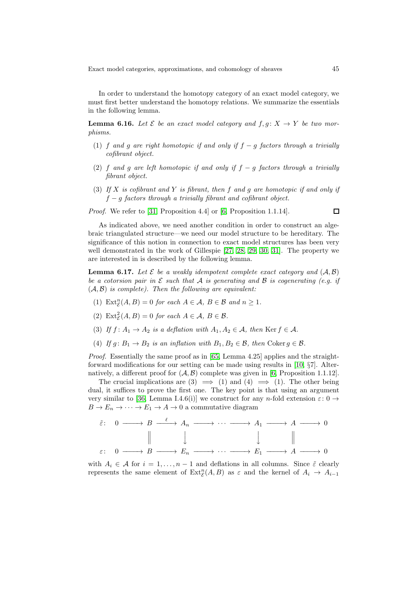In order to understand the homotopy category of an exact model category, we must first better understand the homotopy relations. We summarize the essentials in the following lemma.

<span id="page-44-1"></span>**Lemma 6.16.** Let  $\mathcal{E}$  be an exact model category and  $f, g: X \rightarrow Y$  be two morphisms.

- (1) f and g are right homotopic if and only if  $f g$  factors through a trivially cofibrant object.
- (2) f and g are left homotopic if and only if  $f g$  factors through a trivially fibrant object.
- (3) If  $X$  is cofibrant and  $Y$  is fibrant, then  $f$  and  $g$  are homotopic if and only if  $f - q$  factors through a trivially fibrant and cofibrant object.

Proof. We refer to [\[31,](#page-66-13) Proposition 4.4] or [\[6,](#page-65-0) Proposition 1.1.14].

$$
\Box
$$

As indicated above, we need another condition in order to construct an algebraic triangulated structure—we need our model structure to be hereditary. The significance of this notion in connection to exact model structures has been very well demonstrated in the work of Gillespie [\[27,](#page-66-1) [28,](#page-66-2) [29,](#page-66-3) [30,](#page-66-4) [31\]](#page-66-13). The property we are interested in is described by the following lemma.

<span id="page-44-0"></span>**Lemma 6.17.** Let  $\mathcal E$  be a weakly idempotent complete exact category and  $(\mathcal A, \mathcal B)$ be a cotorsion pair in  $\mathcal E$  such that  $\mathcal A$  is generating and  $\mathcal B$  is cogenerating (e.g. if  $(A, B)$  is complete). Then the following are equivalent:

- (1)  $\text{Ext}_{\mathcal{E}}^n(A, B) = 0$  for each  $A \in \mathcal{A}, B \in \mathcal{B}$  and  $n \geq 1$ .
- (2)  $\text{Ext}_{\mathcal{E}}^2(A, B) = 0$  for each  $A \in \mathcal{A}, B \in \mathcal{B}$ .
- (3) If  $f: A_1 \to A_2$  is a deflation with  $A_1, A_2 \in \mathcal{A}$ , then Ker  $f \in \mathcal{A}$ .
- (4) If  $g: B_1 \to B_2$  is an inflation with  $B_1, B_2 \in \mathcal{B}$ , then Coker  $g \in \mathcal{B}$ .

Proof. Essentially the same proof as in [\[65,](#page-68-1) Lemma 4.25] applies and the straightforward modifications for our setting can be made using results in [\[10,](#page-65-5) §7]. Alternatively, a different proof for  $(A, B)$  complete was given in [\[6,](#page-65-0) Proposition 1.1.12].

The crucial implications are (3)  $\implies$  (1) and (4)  $\implies$  (1). The other being dual, it suffices to prove the first one. The key point is that using an argument very similar to [\[36,](#page-67-18) Lemma I.4.6(i)] we construct for any n-fold extension  $\varepsilon: 0 \rightarrow$  $B \to E_n \to \cdots \to E_1 \to A \to 0$  a commutative diagram

$$
\tilde{\varepsilon}: \quad 0 \longrightarrow B \xrightarrow{\ell} A_n \longrightarrow \cdots \longrightarrow A_1 \longrightarrow A \longrightarrow 0
$$
\n
$$
\downarrow \qquad \qquad \downarrow \qquad \qquad \parallel
$$
\n
$$
\varepsilon: \quad 0 \longrightarrow B \longrightarrow E_n \longrightarrow \cdots \longrightarrow E_1 \longrightarrow A \longrightarrow 0
$$

with  $A_i \in \mathcal{A}$  for  $i = 1, \ldots, n-1$  and deflations in all columns. Since  $\tilde{\varepsilon}$  clearly represents the same element of  $Ext_{\mathcal{E}}^n(A, B)$  as  $\varepsilon$  and the kernel of  $A_i \to A_{i-1}$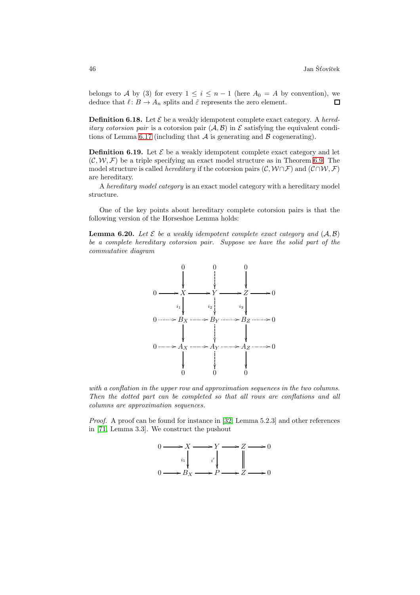belongs to A by (3) for every  $1 \leq i \leq n-1$  (here  $A_0 = A$  by convention), we deduce that  $\ell: B \to A_n$  splits and  $\tilde{\varepsilon}$  represents the zero element.  $\Box$ 

**Definition 6.18.** Let  $\mathcal{E}$  be a weakly idempotent complete exact category. A hered*itary cotorsion pair* is a cotorsion pair  $(A, B)$  in  $\mathcal E$  satisfying the equivalent condi-tions of Lemma [6.17](#page-44-0) (including that  $A$  is generating and  $B$  cogenerating).

<span id="page-45-1"></span>**Definition 6.19.** Let  $\mathcal{E}$  be a weakly idempotent complete exact category and let  $(C, W, \mathcal{F})$  be a triple specifying an exact model structure as in Theorem [6.9.](#page-38-0) The model structure is called *hereditary* if the cotorsion pairs  $(C, W \cap \mathcal{F})$  and  $(C \cap W, \mathcal{F})$ are hereditary.

A hereditary model category is an exact model category with a hereditary model structure.

<span id="page-45-0"></span>One of the key points about hereditary complete cotorsion pairs is that the following version of the Horseshoe Lemma holds:

**Lemma 6.20.** Let  $\mathcal{E}$  be a weakly idempotent complete exact category and  $(A, \mathcal{B})$ be a complete hereditary cotorsion pair. Suppose we have the solid part of the commutative diagram



with a conflation in the upper row and approximation sequences in the two columns. Then the dotted part can be completed so that all rows are conflations and all columns are approximation sequences.

Proof. A proof can be found for instance in [\[32,](#page-67-6) Lemma 5.2.3] and other references in [\[71,](#page-69-0) Lemma 3.3]. We construct the pushout

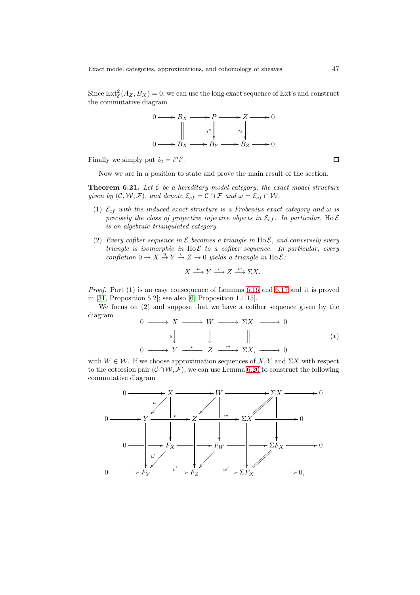Since  $\text{Ext}_{\mathcal{E}}^2(A_Z, B_X) = 0$ , we can use the long exact sequence of Ext's and construct the commutative diagram



Finally we simply put  $i_2 = i''i'$ .

<span id="page-46-0"></span>Now we are in a position to state and prove the main result of the section.

**Theorem 6.21.** Let  $\mathcal{E}$  be a hereditary model category, the exact model structure given by  $(C, W, \mathcal{F})$ , and denote  $\mathcal{E}_{cf} = C \cap \mathcal{F}$  and  $\omega = \mathcal{E}_{cf} \cap \mathcal{W}$ .

- (1)  $\mathcal{E}_{cf}$  with the induced exact structure is a Frobenius exact category and  $\omega$  is precisely the class of projective injective objects in  $\mathcal{E}_{cf}$ . In particular, Ho  $\mathcal E$ is an algebraic triangulated category.
- (2) Every cofiber sequence in  $\mathcal E$  becomes a triangle in Ho  $\mathcal E$ , and conversely every triangle is isomorphic in Ho  $\mathcal E$  to a cofiber sequence. In particular, every conflation  $0 \to X \stackrel{\tau_u}{\to} Y \stackrel{v}{\to} Z \to 0$  yields a triangle in Ho  $\mathcal{E}$ :

$$
X \xrightarrow{u} Y \xrightarrow{v} Z \xrightarrow{w} \Sigma X.
$$

Proof. Part (1) is an easy consequence of Lemmas [6.16](#page-44-1) and [6.17](#page-44-0) and it is proved in [\[31,](#page-66-13) Proposition 5.2]; see also [\[6,](#page-65-0) Proposition 1.1.15].

We focus on (2) and suppose that we have a cofiber sequence given by the diagram

$$
\begin{array}{ccc}\n0 & \longrightarrow & X & \longrightarrow & W & \longrightarrow & \Sigma X & \longrightarrow & 0 \\
 & u \downarrow & & \downarrow & & \parallel & \\
0 & \longrightarrow & Y & \xrightarrow{v} & Z & \xrightarrow{w} & \Sigma X, & \longrightarrow & 0\n\end{array}
$$
\n
$$
(*)
$$

with  $W \in \mathcal{W}$ . If we choose approximation sequences of X, Y and  $\Sigma X$  with respect to the cotorsion pair  $(C \cap W, \mathcal{F})$ , we can use Lemma [6.20](#page-45-0) to construct the following commutative diagram



 $\Box$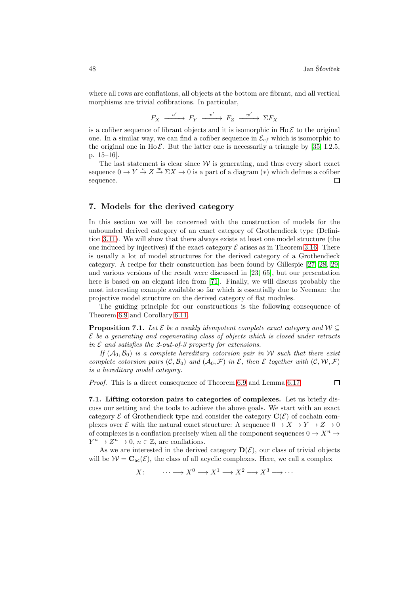where all rows are conflations, all objects at the bottom are fibrant, and all vertical morphisms are trivial cofibrations. In particular,

$$
F_X \xrightarrow{u'} F_Y \xrightarrow{v'} F_Z \xrightarrow{w'} \Sigma F_X
$$

is a cofiber sequence of fibrant objects and it is isomorphic in Ho  $\mathcal E$  to the original one. In a similar way, we can find a cofiber sequence in  $\mathcal{E}_{cf}$  which is isomorphic to the original one in Ho  $\mathcal{E}$ . But the latter one is necessarily a triangle by [\[35,](#page-67-16) I.2.5, p. 15–16].

The last statement is clear since  $W$  is generating, and thus every short exact sequence  $0 \to Y \stackrel{v}{\to} Z \stackrel{w}{\to} \Sigma X \to 0$  is a part of a diagram  $(*)$  which defines a cofiber sequence.  $\Box$ 

# <span id="page-47-0"></span>7. Models for the derived category

In this section we will be concerned with the construction of models for the unbounded derived category of an exact category of Grothendieck type (Definition [3.11\)](#page-14-2). We will show that there always exists at least one model structure (the one induced by injectives) if the exact category  $\mathcal E$  arises as in Theorem [3.16.](#page-16-1) There is usually a lot of model structures for the derived category of a Grothendieck category. A recipe for their construction has been found by Gillespie [\[27,](#page-66-1) [28,](#page-66-2) [29\]](#page-66-3) and various versions of the result were discussed in [\[23,](#page-66-0) [65\]](#page-68-1), but our presentation here is based on an elegant idea from [\[71\]](#page-69-0). Finally, we will discuss probably the most interesting example available so far which is essentially due to Neeman: the projective model structure on the derived category of flat modules.

<span id="page-47-1"></span>The guiding principle for our constructions is the following consequence of Theorem [6.9](#page-38-0) and Corollary [6.11.](#page-39-1)

**Proposition 7.1.** Let  $\mathcal E$  be a weakly idempotent complete exact category and  $\mathcal W \subseteq$  $\mathcal E$  be a generating and cogenerating class of objects which is closed under retracts in  $\mathcal E$  and satisfies the 2-out-of-3 property for extensions.

If  $(A_0, B_0)$  is a complete hereditary cotorsion pair in W such that there exist complete cotorsion pairs  $(C, \mathcal{B}_0)$  and  $(\mathcal{A}_0, \mathcal{F})$  in  $\mathcal{E}$ , then  $\mathcal{E}$  together with  $(C, \mathcal{W}, \mathcal{F})$ is a hereditary model category.

Proof. This is a direct consequence of Theorem [6.9](#page-38-0) and Lemma [6.17.](#page-44-0)

 $\Box$ 

7.1. Lifting cotorsion pairs to categories of complexes. Let us briefly discuss our setting and the tools to achieve the above goals. We start with an exact category  $\mathcal{E}$  of Grothendieck type and consider the category  $\mathbf{C}(\mathcal{E})$  of cochain complexes over E with the natural exact structure: A sequence  $0 \to X \to Y \to Z \to 0$ of complexes is a conflation precisely when all the component sequences  $0 \to X^n \to$  $Y^n \to Z^n \to 0$ ,  $n \in \mathbb{Z}$ , are conflations.

As we are interested in the derived category  $\mathbf{D}(\mathcal{E})$ , our class of trivial objects will be  $W = \mathbf{C}_{ac}(\mathcal{E})$ , the class of all acyclic complexes. Here, we call a complex

 $X: \cdots \longrightarrow X^0 \longrightarrow X^1 \longrightarrow X^2 \longrightarrow X^3 \longrightarrow \cdots$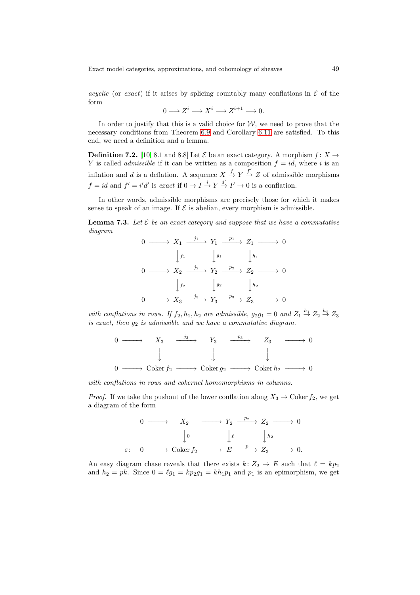acyclic (or exact) if it arises by splicing countably many conflations in  $\mathcal E$  of the form

$$
0 \longrightarrow Z^i \longrightarrow X^i \longrightarrow Z^{i+1} \longrightarrow 0.
$$

In order to justify that this is a valid choice for  $W$ , we need to prove that the necessary conditions from Theorem [6.9](#page-38-0) and Corollary [6.11](#page-39-1) are satisfied. To this end, we need a definition and a lemma.

**Definition 7.2.** [\[10,](#page-65-5) 8.1 and 8.8] Let  $\mathcal{E}$  be an exact category. A morphism  $f: X \rightarrow$ Y is called *admissible* if it can be written as a composition  $f = id$ , where i is an inflation and d is a deflation. A sequence  $X \stackrel{f}{\to} Y \stackrel{f'}{\to} Z$  of admissible morphisms  $f = id$  and  $f' = i'd'$  is exact if  $0 \to I \stackrel{i}{\to} Y \stackrel{d'}{\to} I' \to 0$  is a conflation.

<span id="page-48-0"></span>In other words, admissible morphisms are precisely those for which it makes sense to speak of an image. If  $\mathcal E$  is abelian, every morphism is admissible.

**Lemma 7.3.** Let  $\mathcal{E}$  be an exact category and suppose that we have a commutative diagram

$$
0 \longrightarrow X_1 \xrightarrow{j_1} Y_1 \xrightarrow{p_1} Z_1 \longrightarrow 0
$$
  
\n
$$
\downarrow f_1 \qquad \downarrow g_1 \qquad \downarrow h_1
$$
  
\n
$$
0 \longrightarrow X_2 \xrightarrow{j_2} Y_2 \xrightarrow{p_2} Z_2 \longrightarrow 0
$$
  
\n
$$
\downarrow f_2 \qquad \downarrow g_2 \qquad \downarrow h_2
$$
  
\n
$$
0 \longrightarrow X_3 \xrightarrow{j_3} Y_3 \xrightarrow{p_3} Z_3 \longrightarrow 0
$$

with conflations in rows. If  $f_2, h_1, h_2$  are admissible,  $g_2g_1 = 0$  and  $Z_1 \stackrel{h_1}{\rightarrow} Z_2 \stackrel{h_2}{\rightarrow} Z_3$ is exact, then  $g_2$  is admissible and we have a commutative diagram.

$$
0 \longrightarrow X_3 \xrightarrow{j_3} Y_3 \xrightarrow{p_3} Z_3 \longrightarrow 0
$$
  

$$
\downarrow \qquad \qquad \downarrow \qquad \qquad \downarrow
$$
  

$$
0 \longrightarrow \text{Coker } f_2 \longrightarrow \text{Coker } g_2 \longrightarrow \text{Coker } h_2 \longrightarrow 0
$$

with conflations in rows and cokernel homomorphisms in columns.

*Proof.* If we take the pushout of the lower conflation along  $X_3 \to \text{Coker } f_2$ , we get a diagram of the form

$$
0 \longrightarrow X_2 \longrightarrow Y_2 \longrightarrow Z_2 \longrightarrow 0
$$
  
\n
$$
\downarrow_0 \qquad \qquad \downarrow_\ell \qquad \qquad \downarrow_{h_2}
$$
  
\n
$$
\varepsilon: 0 \longrightarrow \text{Coker } f_2 \longrightarrow E \longrightarrow Z_3 \longrightarrow 0.
$$

An easy diagram chase reveals that there exists  $k: Z_2 \to E$  such that  $\ell = kp_2$ and  $h_2 = pk$ . Since  $0 = \ell g_1 = kp_2g_1 = kh_1p_1$  and  $p_1$  is an epimorphism, we get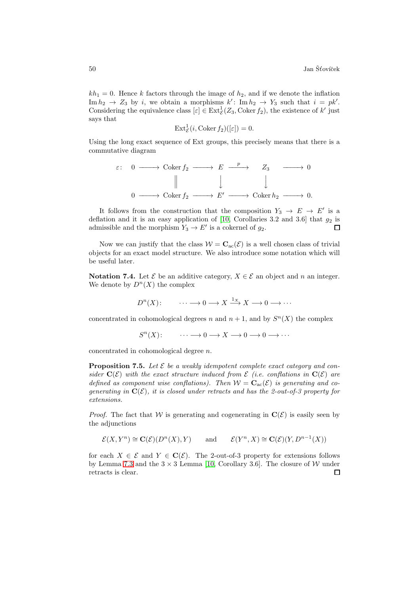$kh_1 = 0$ . Hence k factors through the image of  $h_2$ , and if we denote the inflation Im  $h_2 \to Z_3$  by i, we obtain a morphisms  $k'$ : Im  $h_2 \to Y_3$  such that  $i = pk'$ . Considering the equivalence class  $[\varepsilon] \in \text{Ext}^1_{\mathcal{E}}(Z_3, \text{Coker} f_2)$ , the existence of k' just says that

$$
\text{Ext}_{\mathcal{E}}^1(i, \text{Coker}\,f_2)([\varepsilon]) = 0.
$$

Using the long exact sequence of Ext groups, this precisely means that there is a commutative diagram

$$
\varepsilon: \quad 0 \longrightarrow \text{Coker } f_2 \longrightarrow E \longrightarrow Z_3 \longrightarrow 0
$$
  

$$
\parallel \qquad \qquad \downarrow \qquad \qquad \downarrow
$$
  

$$
0 \longrightarrow \text{Coker } f_2 \longrightarrow E' \longrightarrow \text{Coker } h_2 \longrightarrow 0.
$$

It follows from the construction that the composition  $Y_3 \to E \to E'$  is a deflation and it is an easy application of [\[10,](#page-65-5) Corollaries 3.2 and 3.6] that  $g_2$  is admissible and the morphism  $Y_3 \to E'$  is a cokernel of  $g_2$ .  $\Box$ 

Now we can justify that the class  $W = C_{ac}(\mathcal{E})$  is a well chosen class of trivial objects for an exact model structure. We also introduce some notation which will be useful later.

<span id="page-49-0"></span>Notation 7.4. Let  $\mathcal E$  be an additive category,  $X \in \mathcal E$  an object and n an integer. We denote by  $D^{n}(X)$  the complex

$$
D^{n}(X): \qquad \cdots \longrightarrow 0 \longrightarrow X \xrightarrow{1_{X}} X \longrightarrow 0 \longrightarrow \cdots
$$

concentrated in cohomological degrees n and  $n+1$ , and by  $S<sup>n</sup>(X)$  the complex

 $S^{n}(X)$ :  $\cdots \longrightarrow 0 \longrightarrow X \longrightarrow 0 \longrightarrow 0 \longrightarrow \cdots$ 

concentrated in cohomological degree n.

**Proposition 7.5.** Let  $\mathcal{E}$  be a weakly idempotent complete exact category and consider  $C(\mathcal{E})$  with the exact structure induced from  $\mathcal{E}$  (i.e. conflations in  $C(\mathcal{E})$  are defined as component wise conflations). Then  $W = \mathbf{C}_{ac}(\mathcal{E})$  is generating and cogenerating in  $C(\mathcal{E})$ , it is closed under retracts and has the 2-out-of-3 property for extensions.

*Proof.* The fact that W is generating and cogenerating in  $C(\mathcal{E})$  is easily seen by the adjunctions

$$
\mathcal{E}(X, Y^n) \cong \mathbf{C}(\mathcal{E})(D^n(X), Y) \quad \text{and} \quad \mathcal{E}(Y^n, X) \cong \mathbf{C}(\mathcal{E})(Y, D^{n-1}(X))
$$

for each  $X \in \mathcal{E}$  and  $Y \in \mathbf{C}(\mathcal{E})$ . The 2-out-of-3 property for extensions follows by Lemma [7.3](#page-48-0) and the  $3 \times 3$  Lemma [\[10,](#page-65-5) Corollary 3.6]. The closure of W under retracts is clear. $\Box$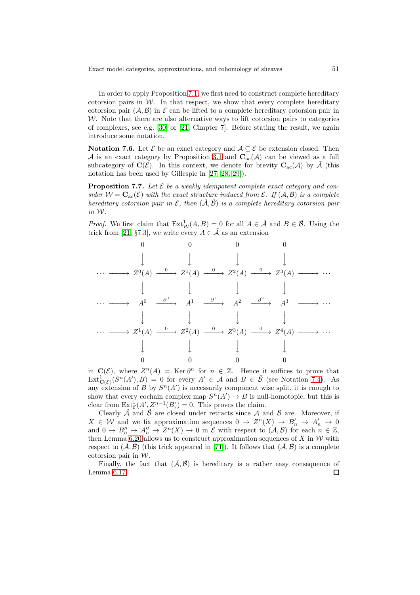In order to apply Proposition [7.1,](#page-47-1) we first need to construct complete hereditary cotorsion pairs in  $W$ . In that respect, we show that every complete hereditary cotorsion pair  $(\mathcal{A}, \mathcal{B})$  in  $\mathcal E$  can be lifted to a complete hereditary cotorsion pair in  $W$ . Note that there are also alternative ways to lift cotorsion pairs to categories of complexes, see e.g. [\[30\]](#page-66-4) or [\[21,](#page-66-12) Chapter 7]. Before stating the result, we again introduce some notation.

<span id="page-50-1"></span>Notation 7.6. Let  $\mathcal E$  be an exact category and  $\mathcal A \subseteq \mathcal E$  be extension closed. Then A is an exact category by Proposition [3.1](#page-10-1) and  $C_{ac}(A)$  can be viewed as a full subcategory of  $\mathbf{C}(\mathcal{E})$ . In this context, we denote for brevity  $\mathbf{C}_{ac}(\mathcal{A})$  by  $\tilde{\mathcal{A}}$  (this notation has been used by Gillespie in [\[27,](#page-66-1) [28,](#page-66-2) [29\]](#page-66-3)).

<span id="page-50-0"></span>**Proposition 7.7.** Let  $\mathcal{E}$  be a weakly idempotent complete exact category and consider  $W = C_{ac}(\mathcal{E})$  with the exact structure induced from  $\mathcal{E}$ . If  $(\mathcal{A}, \mathcal{B})$  is a complete hereditary cotorsion pair in  $\mathcal{E}$ , then  $(\tilde{A}, \tilde{B})$  is a complete hereditary cotorsion pair in W.

*Proof.* We first claim that  $\text{Ext}^1_{\mathcal{W}}(A, B) = 0$  for all  $A \in \tilde{\mathcal{A}}$  and  $B \in \tilde{\mathcal{B}}$ . Using the trick from [\[21,](#page-66-12) §7.3], we write every  $A \in \tilde{A}$  as an extension



in  $\mathbf{C}(\mathcal{E})$ , where  $Z^{n}(A) = \text{Ker }\partial^{n}$  for  $n \in \mathbb{Z}$ . Hence it suffices to prove that  $\text{Ext}^1_{\mathbf{C}(\mathcal{E})}(S^n(A'),B) = 0$  for every  $A' \in \mathcal{A}$  and  $B \in \tilde{\mathcal{B}}$  (see Notation [7.4\)](#page-49-0). As any extension of B by  $S<sup>n</sup>(A')$  is necessarily component wise split, it is enough to show that every cochain complex map  $S<sup>n</sup>(A') \to B$  is null-homotopic, but this is clear from  $\text{Ext}^1_{\mathcal{E}}(A', Z^{n-1}(B)) = 0$ . This proves the claim.

Clearly  $\tilde{\mathcal{A}}$  and  $\tilde{\mathcal{B}}$  are closed under retracts since  $\mathcal{A}$  and  $\mathcal{B}$  are. Moreover, if  $X \in \mathcal{W}$  and we fix approximation sequences  $0 \to Z^n(X) \to B'_n \to A'_n \to 0$ and  $0 \to B''_n \to A''_n \to Z^n(X) \to 0$  in  $\mathcal E$  with respect to  $(\mathcal A, \mathcal B)$  for each  $n \in \mathbb{Z}$ , then Lemma [6.20](#page-45-0) allows us to construct approximation sequences of  $X$  in  $W$  with respect to  $(\tilde{\mathcal{A}}, \tilde{\mathcal{B}})$  (this trick appeared in [\[71\]](#page-69-0)). It follows that  $(\tilde{\mathcal{A}}, \tilde{\mathcal{B}})$  is a complete cotorsion pair in  $W$ .

Finally, the fact that  $(\tilde{\mathcal{A}}, \tilde{\mathcal{B}})$  is hereditary is a rather easy consequence of Lemma [6.17.](#page-44-0) $\Box$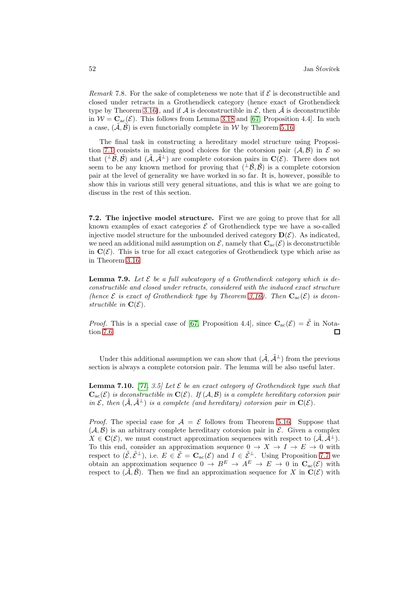Remark 7.8. For the sake of completeness we note that if  $\mathcal E$  is deconstructible and closed under retracts in a Grothendieck category (hence exact of Grothendieck type by Theorem [3.16\)](#page-16-1), and if A is deconstructible in  $\mathcal{E}$ , then  $\tilde{\mathcal{A}}$  is deconstructible in  $W = \mathbf{C}_{ac}(\mathcal{E})$ . This follows from Lemma [3.18](#page-18-1) and [\[67,](#page-68-11) Proposition 4.4]. In such a case,  $(\tilde{\mathcal{A}}, \tilde{\mathcal{B}})$  is even functorially complete in W by Theorem [5.16.](#page-34-0)

The final task in constructing a hereditary model structure using Proposi-tion [7.1](#page-47-1) consists in making good choices for the cotorsion pair  $(A, B)$  in  $\mathcal E$  so that  $(\perp \tilde{\mathcal{B}}, \tilde{\mathcal{B}})$  and  $(\tilde{\mathcal{A}}, \tilde{\mathcal{A}}^{\perp})$  are complete cotorsion pairs in  $\mathbf{C}(\mathcal{E})$ . There does not seem to be any known method for proving that  $(\perp \tilde{\mathcal{B}}, \tilde{\mathcal{B}})$  is a complete cotorsion pair at the level of generality we have worked in so far. It is, however, possible to show this in various still very general situations, and this is what we are going to discuss in the rest of this section.

<span id="page-51-2"></span>7.2. The injective model structure. First we are going to prove that for all known examples of exact categories  $\mathcal E$  of Grothendieck type we have a so-called injective model structure for the unbounded derived category  $\mathbf{D}(\mathcal{E})$ . As indicated, we need an additional mild assumption on  $\mathcal{E}$ , namely that  $\mathbf{C}_{ac}(\mathcal{E})$  is deconstructible in  $\mathbf{C}(\mathcal{E})$ . This is true for all exact categories of Grothendieck type which arise as in Theorem [3.16.](#page-16-1)

<span id="page-51-1"></span>**Lemma 7.9.** Let  $\mathcal{E}$  be a full subcategory of a Grothendieck category which is deconstructible and closed under retracts, considered with the induced exact structure (hence  $\mathcal E$  is exact of Grothendieck type by Theorem [3.16\)](#page-16-1). Then  $C_{ac}(\mathcal E)$  is deconstructible in  $\mathbf{C}(\mathcal{E})$ .

*Proof.* This is a special case of [\[67,](#page-68-11) Proposition 4.4], since  $C_{ac}(\mathcal{E}) = \tilde{\mathcal{E}}$  in Notation [7.6.](#page-50-1)  $\Box$ 

<span id="page-51-0"></span>Under this additional assumption we can show that  $(\tilde{\mathcal{A}}, \tilde{\mathcal{A}}^{\perp})$  from the previous section is always a complete cotorsion pair. The lemma will be also useful later.

**Lemma 7.10.** [\[71,](#page-69-0) 3.5] Let  $\mathcal E$  be an exact category of Grothendieck type such that  $\mathbf{C}_{\rm ac}(\mathcal{E})$  is deconstructible in  $\mathbf{C}(\mathcal{E})$ . If  $(\mathcal{A}, \mathcal{B})$  is a complete hereditary cotorsion pair in  $\mathcal{E}$ , then  $(\tilde{\mathcal{A}}, \tilde{\mathcal{A}}^{\perp})$  is a complete (and hereditary) cotorsion pair in  $\mathbf{C}(\mathcal{E})$ .

*Proof.* The special case for  $A = \mathcal{E}$  follows from Theorem [5.16.](#page-34-0) Suppose that  $(A, B)$  is an arbitrary complete hereditary cotorsion pair in  $\mathcal{E}$ . Given a complex  $X \in \mathbf{C}(\mathcal{E})$ , we must construct approximation sequences with respect to  $(\tilde{\mathcal{A}}, \tilde{\mathcal{A}}^{\perp})$ . To this end, consider an approximation sequence  $0 \to X \to I \to E \to 0$  with respect to  $(\tilde{\mathcal{E}}, \tilde{\mathcal{E}}^{\perp})$ , i.e.  $E \in \tilde{\mathcal{E}} = \mathbf{C}_{ac}(\mathcal{E})$  and  $I \in \tilde{\mathcal{E}}^{\perp}$ . Using Proposition [7.7](#page-50-0) we obtain an approximation sequence  $0 \to B^E \to A^E \to E \to 0$  in  $\mathbf{C}_{ac}(\mathcal{E})$  with respect to  $(\tilde{\mathcal{A}}, \tilde{\mathcal{B}})$ . Then we find an approximation sequence for X in  $\mathbf{C}(\mathcal{E})$  with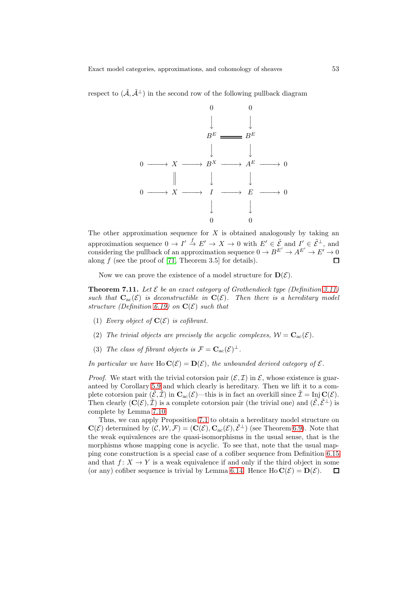respect to  $(\tilde{\mathcal{A}}, \tilde{\mathcal{A}}^{\perp})$  in the second row of the following pullback diagram



The other approximation sequence for  $X$  is obtained analogously by taking an approximation sequence  $0 \to I' \stackrel{f}{\to} E' \to X \to 0$  with  $E' \in \tilde{\mathcal{E}}$  and  $I' \in \tilde{\mathcal{E}}^{\perp}$ , and considering the pullback of an approximation sequence  $0 \to B^{E'} \to A^{E'} \to E' \to 0$ along f (see the proof of [\[71,](#page-69-0) Theorem 3.5] for details).  $\Box$ 

<span id="page-52-0"></span>Now we can prove the existence of a model structure for  $\mathbf{D}(\mathcal{E})$ .

**Theorem 7.11.** Let  $\mathcal E$  be an exact category of Grothendieck type (Definition [3.11\)](#page-14-2) such that  $C_{ac}(\mathcal{E})$  is deconstructible in  $C(\mathcal{E})$ . Then there is a hereditary model structure (Definition [6.19\)](#page-45-1) on  $\mathbf{C}(\mathcal{E})$  such that

- (1) Every object of  $\mathbf{C}(\mathcal{E})$  is cofibrant.
- (2) The trivial objects are precisely the acyclic complexes,  $W = C_{ac}(\mathcal{E})$ .
- (3) The class of fibrant objects is  $\mathcal{F} = \mathbf{C}_{ac}(\mathcal{E})^{\perp}$ .

In particular we have  $H_0 C(\mathcal{E}) = D(\mathcal{E})$ , the unbounded derived category of  $\mathcal{E}$ .

*Proof.* We start with the trivial cotorsion pair  $(\mathcal{E}, \mathcal{I})$  in  $\mathcal{E}$ , whose existence is guaranteed by Corollary [5.9](#page-30-0) and which clearly is hereditary. Then we lift it to a complete cotorsion pair  $(\mathcal{E}, \mathcal{I})$  in  $\mathbf{C}_{ac}(\mathcal{E})$ —this is in fact an overkill since  $\mathcal{I} = \text{Inj } \mathbf{C}(\mathcal{E})$ . Then clearly  $(C(\mathcal{E}), \tilde{\mathcal{I}})$  is a complete cotorsion pair (the trivial one) and  $(\tilde{\mathcal{E}}, \tilde{\mathcal{E}}^{\perp})$  is complete by Lemma [7.10.](#page-51-0)

Thus, we can apply Proposition [7.1](#page-47-1) to obtain a hereditary model structure on  $\mathbf{C}(\mathcal{E})$  determined by  $(\mathcal{C}, \mathcal{W}, \mathcal{F}) = (\mathbf{C}(\mathcal{E}), \mathbf{C}_{ac}(\mathcal{E}), \tilde{\mathcal{E}}^{\perp})$  (see Theorem [6.9\)](#page-38-0). Note that the weak equivalences are the quasi-isomorphisms in the usual sense, that is the morphisms whose mapping cone is acyclic. To see that, note that the usual mapping cone construction is a special case of a cofiber sequence from Definition [6.15](#page-43-0) and that  $f: X \to Y$  is a weak equivalence if and only if the third object in some (or any) cofiber sequence is trivial by Lemma [6.14.](#page-41-0) Hence  $Ho C(\mathcal{E}) = D(\mathcal{E})$ . П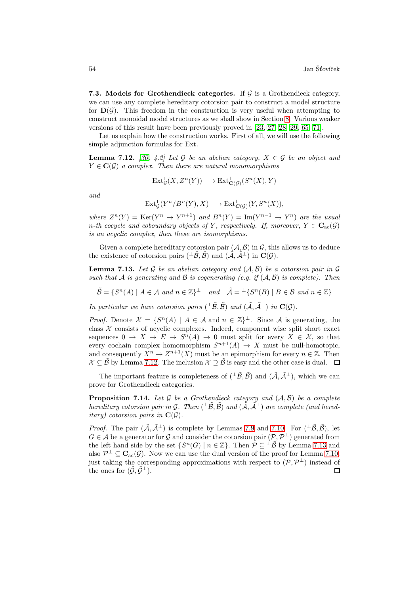7.3. Models for Grothendieck categories. If  $\mathcal G$  is a Grothendieck category, we can use any complete hereditary cotorsion pair to construct a model structure for  $\mathbf{D}(\mathcal{G})$ . This freedom in the construction is very useful when attempting to construct monoidal model structures as we shall show in Section [8.](#page-55-0) Various weaker versions of this result have been previously proved in [\[23,](#page-66-0) [27,](#page-66-1) [28,](#page-66-2) [29,](#page-66-3) [65,](#page-68-1) [71\]](#page-69-0).

<span id="page-53-0"></span>Let us explain how the construction works. First of all, we will use the following simple adjunction formulas for Ext.

**Lemma 7.12.** [\[30,](#page-66-4) 4.2] Let G be an abelian category,  $X \in \mathcal{G}$  be an object and  $Y \in \mathbf{C}(\mathcal{G})$  a complex. Then there are natural monomorphisms

$$
Ext^1_{\mathcal{G}}(X, Z^n(Y)) \longrightarrow Ext^1_{\mathbf{C}(\mathcal{G})}(S^n(X), Y)
$$

and

$$
\operatorname{Ext}^1_{\mathcal{G}}(Y^n/B^n(Y),X)\longrightarrow \operatorname{Ext}^1_{\mathbf{C}(\mathcal{G})}(Y,S^n(X)),
$$

where  $Z^{n}(Y) = \text{Ker}(Y^{n} \to Y^{n+1})$  and  $B^{n}(Y) = \text{Im}(Y^{n-1} \to Y^{n})$  are the usual n-th cocycle and coboundary objects of Y, respectively. If, moreover,  $Y \in C_{ac}(\mathcal{G})$ is an acyclic complex, then these are isomorphisms.

<span id="page-53-1"></span>Given a complete hereditary cotorsion pair  $(A, B)$  in  $G$ , this allows us to deduce the existence of cotorsion pairs  $(\perp \vec{B}, \vec{B})$  and  $(\vec{A}, \vec{A}^{\perp})$  in  $\mathbf{C}(\mathcal{G})$ .

**Lemma 7.13.** Let G be an abelian category and  $(A, \mathcal{B})$  be a cotorsion pair in G such that A is generating and B is cogenerating (e.g. if  $(A, B)$  is complete). Then

$$
\tilde{\mathcal{B}} = \{ S^n(A) \mid A \in \mathcal{A} \text{ and } n \in \mathbb{Z} \}^{\perp} \quad \text{and} \quad \tilde{\mathcal{A}} = {}^{\perp} \{ S^n(B) \mid B \in \mathcal{B} \text{ and } n \in \mathbb{Z} \}
$$

In particular we have cotorsion pairs  $(\perp \tilde{\mathcal{B}}, \tilde{\mathcal{B}})$  and  $(\tilde{\mathcal{A}}, \tilde{\mathcal{A}}^{\perp})$  in  $\mathbf{C}(\mathcal{G})$ .

*Proof.* Denote  $\mathcal{X} = \{ S^n(A) \mid A \in \mathcal{A} \text{ and } n \in \mathbb{Z} \}^{\perp}$ . Since A is generating, the class  $X$  consists of acyclic complexes. Indeed, component wise split short exact sequences  $0 \to X \to E \to S^{n}(A) \to 0$  must split for every  $X \in \mathcal{X}$ , so that every cochain complex homomorphism  $S^{n+1}(A) \to X$  must be null-homotopic, and consequently  $X^n \to Z^{n+1}(X)$  must be an epimorphism for every  $n \in \mathbb{Z}$ . Then  $\mathcal{X} \subseteq \tilde{\mathcal{B}}$  by Lemma [7.12.](#page-53-0) The inclusion  $\mathcal{X} \supset \tilde{\mathcal{B}}$  is easy and the other case is dual.  $\Box$ 

<span id="page-53-2"></span>The important feature is completeness of  $(^\perp \tilde{\mathcal{B}}, \tilde{\mathcal{B}})$  and  $(\tilde{\mathcal{A}}, \tilde{\mathcal{A}}^\perp)$ , which we can prove for Grothendieck categories.

**Proposition 7.14.** Let  $\mathcal G$  be a Grothendieck category and  $(\mathcal A, \mathcal B)$  be a complete hereditary cotorsion pair in G. Then  $(\perp \tilde{\mathcal{B}}, \tilde{\mathcal{B}})$  and  $(\tilde{\mathcal{A}}, \tilde{\mathcal{A}}^{\perp})$  are complete (and hered*itary*) cotorsion pairs in  $C(G)$ .

<span id="page-53-3"></span>*Proof.* The pair  $(\tilde{A}, \tilde{A}^{\perp})$  is complete by Lemmas [7.9](#page-51-1) and [7.10.](#page-51-0) For  $(^\perp \tilde{\mathcal{B}}, \tilde{\mathcal{B}})$ , let  $G \in \mathcal{A}$  be a generator for  $\mathcal G$  and consider the cotorsion pair  $(\mathcal{P}, \mathcal{P}^{\perp})$  generated from the left hand side by the set  $\{S^n(G) \mid n \in \mathbb{Z}\}$ . Then  $\mathcal{P} \subseteq {}^{\perp} \tilde{\mathcal{B}}$  by Lemma [7.13](#page-53-1) and also  $\mathcal{P}^{\perp} \subseteq \mathbf{C}_{\text{ac}}(\mathcal{G})$ . Now we can use the dual version of the proof for Lemma [7.10,](#page-51-0) just taking the corresponding approximations with respect to  $(\mathcal{P}, \mathcal{P}^{\perp})$  instead of the ones for  $(\tilde{\mathcal{G}}, \tilde{\mathcal{G}}^{\perp}).$  $\Box$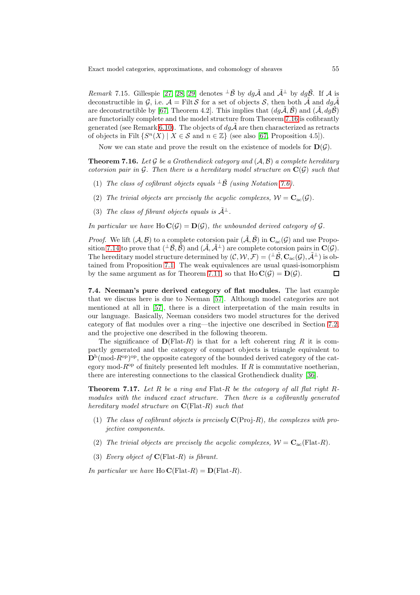Remark 7.15. Gillespie [\[27,](#page-66-1) [28,](#page-66-2) [29\]](#page-66-3) denotes  $\perp \tilde{\mathcal{B}}$  by  $dg\tilde{\mathcal{A}}$  and  $\tilde{\mathcal{A}}^{\perp}$  by  $dg\tilde{\mathcal{B}}$ . If  $\mathcal{A}$  is deconstructible in G, i.e.  $\mathcal{A} = \text{Filt}\,\mathcal{S}$  for a set of objects  $\mathcal{S}$ , then both  $\tilde{\mathcal{A}}$  and  $dg\tilde{\mathcal{A}}$ are deconstructible by [\[67,](#page-68-11) Theorem 4.2]. This implies that  $(dq\tilde{\mathcal{A}}, \tilde{\mathcal{B}})$  and  $(\tilde{\mathcal{A}}, dq\tilde{\mathcal{B}})$ are functorially complete and the model structure from Theorem [7.16](#page-54-0) is cofibrantly generated (see Remark [6.10\)](#page-39-2). The objects of  $dg\tilde{\mathcal{A}}$  are then characterized as retracts of objects in Filt  $\{S^n(X) \mid X \in \mathcal{S} \text{ and } n \in \mathbb{Z}\}$  (see also [\[67,](#page-68-11) Proposition 4.5]).

<span id="page-54-0"></span>Now we can state and prove the result on the existence of models for  $\mathbf{D}(\mathcal{G})$ .

**Theorem 7.16.** Let G be a Grothendieck category and  $(A, \mathcal{B})$  a complete hereditary cotorsion pair in  $G$ . Then there is a hereditary model structure on  $C(G)$  such that

- (1) The class of cofibrant objects equals  $\pm \tilde{\mathcal{B}}$  (using Notation [7.6\)](#page-50-1).
- (2) The trivial objects are precisely the acyclic complexes,  $W = C_{ac}(G)$ .
- (3) The class of fibrant objects equals is  $\tilde{A}^{\perp}$ .

In particular we have  $Ho\mathbf{C}(\mathcal{G}) = D(\mathcal{G})$ , the unbounded derived category of  $\mathcal{G}$ .

*Proof.* We lift  $(\mathcal{A}, \mathcal{B})$  to a complete cotorsion pair  $(\tilde{\mathcal{A}}, \tilde{\mathcal{B}})$  in  $\mathbf{C}_{ac}(\mathcal{G})$  and use Propo-sition [7.14](#page-53-2) to prove that  $(\perp \tilde{\mathcal{B}}, \tilde{\mathcal{B}})$  and  $(\tilde{\mathcal{A}}, \tilde{\mathcal{A}}^{\perp})$  are complete cotorsion pairs in  $\mathbf{C}(\mathcal{G})$ . The hereditary model structure determined by  $(C, \mathcal{W}, \mathcal{F}) = (\perp \tilde{\mathcal{B}}, \mathbf{C}_{ac}(\mathcal{G}), \tilde{\mathcal{A}}^{\perp})$  is obtained from Proposition [7.1.](#page-47-1) The weak equivalences are usual quasi-isomorphism by the same argument as for Theorem [7.11,](#page-52-0) so that  $Ho\mathbf{C}(\mathcal{G}) = D(\mathcal{G})$ .  $\Box$ 

7.4. Neeman's pure derived category of flat modules. The last example that we discuss here is due to Neeman [\[57\]](#page-68-3). Although model categories are not mentioned at all in [\[57\]](#page-68-3), there is a direct interpretation of the main results in our language. Basically, Neeman considers two model structures for the derived category of flat modules over a ring—the injective one described in Section [7.2,](#page-51-2) and the projective one described in the following theorem.

The significance of  $D(Flat-R)$  is that for a left coherent ring R it is compactly generated and the category of compact objects is triangle equivalent to  $\mathbf{D}^{\mathrm{b}}(\text{mod-}R^{\mathrm{op}})$ <sup>op</sup>, the opposite category of the bounded derived category of the category mod- $R^{op}$  of finitely presented left modules. If R is commutative noetherian, there are interesting connections to the classical Grothendieck duality [\[36\]](#page-67-18).

**Theorem 7.17.** Let  $R$  be a ring and Flat- $R$  be the category of all flat right  $R$ modules with the induced exact structure. Then there is a cofibrantly generated hereditary model structure on  $C(Flat-R)$  such that

- (1) The class of cofibrant objects is precisely  $C(Proj-R)$ , the complexes with projective components.
- (2) The trivial objects are precisely the acyclic complexes,  $W = C_{ac}(Flat-R)$ .
- (3) Every object of  $C(Flat-R)$  is fibrant.

In particular we have  $\text{Ho } \mathbf{C}(\text{Flat-}R) = \mathbf{D}(\text{Flat-}R)$ .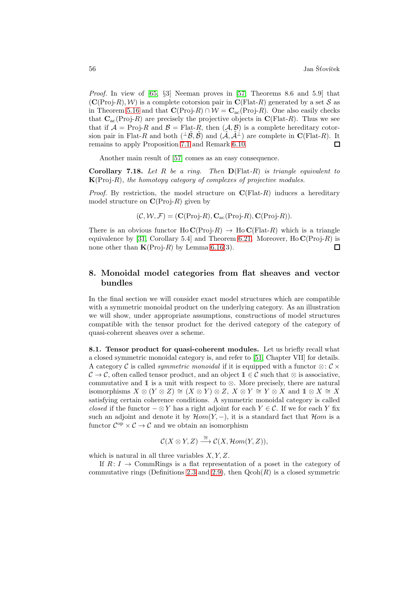Proof. In view of [\[65,](#page-68-1) §3] Neeman proves in [\[57,](#page-68-3) Theorems 8.6 and 5.9] that  $(C(\text{Proj}-R), W)$  is a complete cotorsion pair in  $C(\text{Flat}-R)$  generated by a set S as in Theorem [5.16](#page-34-0) and that  $\mathbf{C}(\text{Proj-}R) \cap \mathcal{W} = \mathbf{C}_{ac}(\text{Proj-}R)$ . One also easily checks that  $C_{ac}(Proj-R)$  are precisely the projective objects in  $C(Flat-R)$ . Thus we see that if  $A = \text{Proj-}R$  and  $B = \text{Flat-}R$ , then  $(A, B)$  is a complete hereditary cotorsion pair in Flat-R and both  $(\perp \tilde{\mathcal{B}}, \tilde{\mathcal{B}})$  and  $(\tilde{\mathcal{A}}, \tilde{\mathcal{A}}^{\perp})$  are complete in  $\mathbf{C}(\text{Flat-}R)$ . It remains to apply Proposition [7.1](#page-47-1) and Remark [6.10.](#page-39-2)  $\Box$ 

Another main result of [\[57\]](#page-68-3) comes as an easy consequence.

**Corollary 7.18.** Let R be a ring. Then  $D(Flat-R)$  is triangle equivalent to  $K(Proj-R)$ , the homotopy category of complexes of projective modules.

*Proof.* By restriction, the model structure on  $C(Flat-R)$  induces a hereditary model structure on  $C(\text{Proj-}R)$  given by

$$
(\mathcal{C}, \mathcal{W}, \mathcal{F}) = (\mathbf{C}(\text{Proj-}R), \mathbf{C}_{\text{ac}}(\text{Proj-}R), \mathbf{C}(\text{Proj-}R)).
$$

There is an obvious functor  $Ho C(Proj-R) \rightarrow Ho C(Flat-R)$  which is a triangle equivalence by [\[31,](#page-66-13) Corollary 5.4] and Theorem [6.21.](#page-46-0) Moreover, Ho  $\mathbf{C}(\text{Proj-}R)$  is none other than  $\mathbf{K}(\text{Proj-}R)$  by Lemma [6.16\(](#page-44-1)3).  $\Box$ 

# <span id="page-55-0"></span>8. Monoidal model categories from flat sheaves and vector bundles

In the final section we will consider exact model structures which are compatible with a symmetric monoidal product on the underlying category. As an illustration we will show, under appropriate assumptions, constructions of model structures compatible with the tensor product for the derived category of the category of quasi-coherent sheaves over a scheme.

<span id="page-55-1"></span>8.1. Tensor product for quasi-coherent modules. Let us briefly recall what a closed symmetric monoidal category is, and refer to [\[51,](#page-68-15) Chapter VII] for details. A category C is called *symmetric monoidal* if it is equipped with a functor ⊗:  $\mathcal{C} \times$  $\mathcal{C} \to \mathcal{C}$ , often called tensor product, and an object  $\mathbb{1} \in \mathcal{C}$  such that ⊗ is associative, commutative and  $\mathbb{1}$  is a unit with respect to  $\otimes$ . More precisely, there are natural isomorphisms  $X \otimes (Y \otimes Z) \cong (X \otimes Y) \otimes Z$ ,  $X \otimes Y \cong Y \otimes X$  and  $\mathbb{1} \otimes X \cong X$ satisfying certain coherence conditions. A symmetric monoidal category is called closed if the functor  $-\otimes Y$  has a right adjoint for each Y  $\in \mathcal{C}$ . If we for each Y fix such an adjoint and denote it by  $\mathcal{H}om(Y,-)$ , it is a standard fact that  $\mathcal{H}om$  is a functor  $\mathcal{C}^{op} \times \mathcal{C} \to \mathcal{C}$  and we obtain an isomorphism

$$
\mathcal{C}(X \otimes Y, Z) \stackrel{\cong}{\longrightarrow} \mathcal{C}(X, \mathcal{H}om(Y, Z)),
$$

which is natural in all three variables  $X, Y, Z$ .

If  $R: I \to \text{CommRings}$  is a flat representation of a poset in the category of commutative rings (Definitions [2.3](#page-4-0) and [2.9\)](#page-5-0), then  $Qcoh(R)$  is a closed symmetric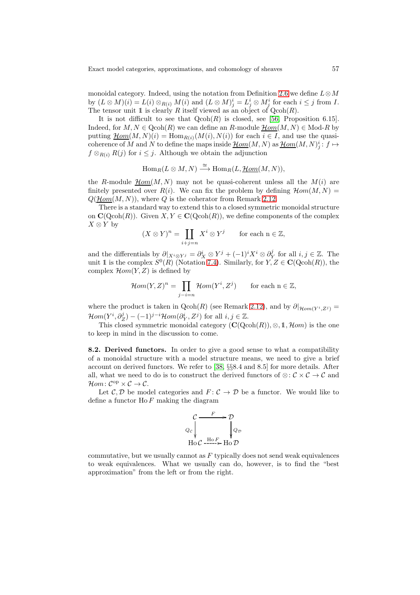monoidal category. Indeed, using the notation from Definition [2.6](#page-4-1) we define  $L \otimes M$ by  $(L \otimes M)(i) = L(i) \otimes_{R(i)} M(i)$  and  $(L \otimes M)^i_j = L^i_j \otimes M^i_j$  for each  $i \leq j$  from I. The tensor unit 1 is clearly R itself viewed as an object of  $Qcoh(R)$ .

It is not difficult to see that  $Qcoh(R)$  is closed, see [\[56,](#page-68-2) Proposition 6.15]. Indeed, for  $M, N \in \text{Qcoh}(R)$  we can define an R-module  $\underline{\mathcal{H}om}(M, N) \in \text{Mod-}R$  by putting  $\underline{\mathcal{H}}om(M, N)(i) = \text{Hom}_{R(i)}(M(i), N(i))$  for each  $i \in I$ , and use the quasicoherence of M and N to define the maps inside  $\underline{\mathcal{H}om}(M,N)$  as  $\underline{\mathcal{H}om}(M,N)^i_j: f \mapsto$  $f \otimes_{R(i)} R(j)$  for  $i \leq j$ . Although we obtain the adjunction

$$
\operatorname{Hom}_R(L \otimes M, N) \stackrel{\cong}{\longrightarrow} \operatorname{Hom}_R(L, \underline{\mathcal{H}om}(M, N)),
$$

the R-module  $\mathcal{H}om(M, N)$  may not be quasi-coherent unless all the  $M(i)$  are finitely presented over  $R(i)$ . We can fix the problem by defining  $\mathcal{H}om(M, N)$  $Q(\underline{\mathcal{H}om}(M, N))$ , where Q is the coherator from Remark [2.12.](#page-6-0)

There is a standard way to extend this to a closed symmetric monoidal structure on  $\mathbf{C}(\mathrm{Qcoh}(R))$ . Given  $X, Y \in \mathbf{C}(\mathrm{Qcoh}(R))$ , we define components of the complex  $X \otimes Y$  by

$$
(X \otimes Y)^n = \coprod_{i+j=n} X^i \otimes Y^j \quad \text{for each } n \in \mathbb{Z},
$$

and the differentials by  $\partial |_{X^i \otimes Y^j} = \partial_X^i \otimes Y^j + (-1)^i X^i \otimes \partial_Y^j$  for all  $i, j \in \mathbb{Z}$ . The unit 1 is the complex  $S^0(R)$  (Notation [7.4\)](#page-49-0). Similarly, for  $Y, Z \in \mathbf{C}(\mathrm{Qcoh}(R))$ , the complex  $\mathcal{H}om(Y,Z)$  is defined by

$$
\mathcal{H}om(Y,Z)^n = \prod_{j-i=n} \mathcal{H}om(Y^i,Z^j) \qquad \text{for each } n \in \mathbb{Z},
$$

where the product is taken in  $Qcoh(R)$  (see Remark [2.12\)](#page-6-0), and by  $\partial|_{\mathcal{H}om(Y^i, Z^j)} =$  $\mathcal{H}om(Y^i, \partial_Z^j) - (-1)^{j-i} \mathcal{H}om(\partial_Y^i, Z^j)$  for all  $i, j \in \mathbb{Z}$ .

This closed symmetric monoidal category  $(C(Qcoh(R)), \otimes, 1, \mathcal{H}om)$  is the one to keep in mind in the discussion to come.

8.2. Derived functors. In order to give a good sense to what a compatibility of a monoidal structure with a model structure means, we need to give a brief account on derived functors. We refer to [\[38,](#page-67-1) §§8.4 and 8.5] for more details. After all, what we need to do is to construct the derived functors of  $\otimes: \mathcal{C} \times \mathcal{C} \to \mathcal{C}$  and  $\mathcal{H}om\colon \mathcal{C}^{\mathrm{op}}\times \mathcal{C}\to \mathcal{C}.$ 

Let  $\mathcal{C}, \mathcal{D}$  be model categories and  $F : \mathcal{C} \to \mathcal{D}$  be a functor. We would like to define a functor  $\text{Ho } F$  making the diagram



commutative, but we usually cannot as  $F$  typically does not send weak equivalences to weak equivalences. What we usually can do, however, is to find the "best approximation" from the left or from the right.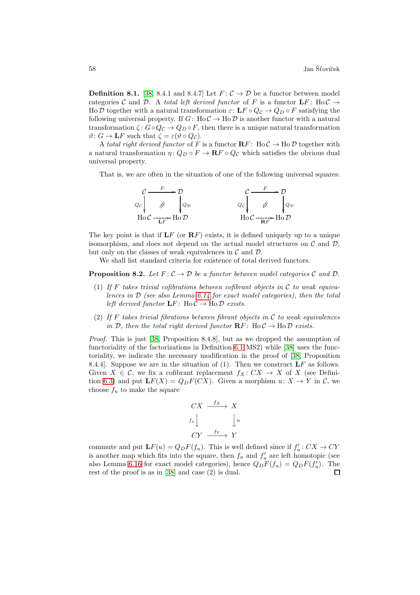**Definition 8.1.** [\[38,](#page-67-1) 8.4.1 and 8.4.7] Let  $F: \mathcal{C} \to \mathcal{D}$  be a functor between model categories C and D. A total left derived functor of F is a functor  $LF: HoC \rightarrow$ Ho D together with a natural transformation  $\varepsilon: \mathbf{L} F \circ Q_{\mathcal{C}} \to Q_{D} \circ F$  satisfying the following universal property. If  $G:$  Ho  $\mathcal{C} \to$  Ho  $\mathcal{D}$  is another functor with a natural transformation  $\zeta: G \circ Q_{\mathcal{C}} \to Q_{D} \circ F$ , then there is a unique natural transformation  $\vartheta: G \to \mathbf{L} F$  such that  $\zeta = \varepsilon(\vartheta \circ Q_{\mathcal{C}}).$ 

A total right derived functor of F is a functor  $\mathbf{R}F: \text{Ho}\mathcal{C} \to \text{Ho}\mathcal{D}$  together with a natural transformation  $\eta: Q_D \circ F \to \mathbf{R} F \circ Q_C$  which satisfies the obvious dual universal property.

That is, we are often in the situation of one of the following universal squares:



The key point is that if  $LF$  (or  $RF$ ) exists, it is defined uniquely up to a unique isomorphism, and does not depend on the actual model structures on  $\mathcal C$  and  $\mathcal D$ , but only on the classes of weak equivalences in  $\mathcal C$  and  $\mathcal D$ .

<span id="page-57-0"></span>We shall list standard criteria for existence of total derived functors.

**Proposition 8.2.** Let  $F: \mathcal{C} \to \mathcal{D}$  be a functor between model categories  $\mathcal{C}$  and  $\mathcal{D}$ .

- (1) If F takes trivial cofibrations between cofibrant objects in  $\mathcal C$  to weak equivalences in  $\mathcal D$  (see also Lemma [6.14](#page-41-0) for exact model categories), then the total left derived functor  $LF: HoC \rightarrow HoD$  exists.
- (2) If F takes trivial fibrations between fibrant objects in C to weak equivalences in D, then the total right derived functor  $\mathbf{R}F: \text{Ho}\,\mathcal{C} \to \text{Ho}\,\mathcal{D}$  exists.

Proof. This is just [\[38,](#page-67-1) Proposition 8.4.8], but as we dropped the assumption of functoriality of the factorizations in Definition [6.1\(](#page-35-2)MS2) while [\[38\]](#page-67-1) uses the functoriality, we indicate the necessary modification in the proof of [\[38,](#page-67-1) Proposition 8.4.4. Suppose we are in the situation of (1). Then we construct  $LF$  as follows. Given  $X \in \mathcal{C}$ , we fix a cofibrant replacement  $f_X: CX \to X$  of X (see Defini-tion [6.3\)](#page-36-0) and put  $LF(X) = Q_D F(CX)$ . Given a morphism  $u: X \to Y$  in C, we choose  $f_u$  to make the square

$$
\begin{array}{ccc}\nCX & \xrightarrow{f_X} & X \\
f_u & & \downarrow u \\
CY & \xrightarrow{f_Y} & Y\n\end{array}
$$

commute and put  $LF(u) = Q_D F(f_u)$ . This is well defined since if  $f'_u : CX \to CY$ is another map which fits into the square, then  $f_u$  and  $f'_u$  are left homotopic (see also Lemma [6.16](#page-44-1) for exact model categories), hence  $Q_D F(f_u) = Q_D F(f'_u)$ . The rest of the proof is as in [\[38\]](#page-67-1) and case (2) is dual. $\Box$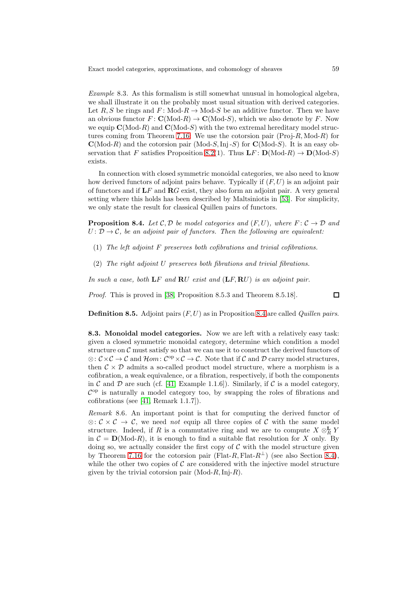Example 8.3. As this formalism is still somewhat unusual in homological algebra, we shall illustrate it on the probably most usual situation with derived categories. Let R, S be rings and F: Mod-R  $\rightarrow$  Mod-S be an additive functor. Then we have an obvious functor  $F: \mathbf{C}(\text{Mod-}R) \to \mathbf{C}(\text{Mod-}S)$ , which we also denote by F. Now we equip  $C(\text{Mod-}R)$  and  $C(\text{Mod-}S)$  with the two extremal hereditary model struc-tures coming from Theorem [7.16:](#page-54-0) We use the cotorsion pair  $(Proj-R, Mod-R)$  for  $\mathbf{C}(\text{Mod-}R)$  and the cotorsion pair  $(\text{Mod-}S,\text{Inj-}S)$  for  $\mathbf{C}(\text{Mod-}S)$ . It is an easy ob-servation that F satisfies Proposition [8.2\(](#page-57-0)1). Thus  $LF: D(\text{Mod-}R) \rightarrow D(\text{Mod-}S)$ exists.

In connection with closed symmetric monoidal categories, we also need to know how derived functors of adjoint pairs behave. Typically if  $(F, U)$  is an adjoint pair of functors and if  $\mathbf{L}F$  and  $\mathbf{R}G$  exist, they also form an adjoint pair. A very general setting where this holds has been described by Maltsiniotis in [\[53\]](#page-68-18). For simplicity, we only state the result for classical Quillen pairs of functors.

<span id="page-58-0"></span>**Proposition 8.4.** Let  $\mathcal{C}, \mathcal{D}$  be model categories and  $(F, U)$ , where  $F: \mathcal{C} \to \mathcal{D}$  and  $U: \mathcal{D} \to \mathcal{C}$ , be an adjoint pair of functors. Then the following are equivalent:

- (1) The left adjoint F preserves both cofibrations and trivial cofibrations.
- (2) The right adjoint U preserves both fibrations and trivial fibrations.

In such a case, both  $LF$  and  $RU$  exist and  $(LF, RU)$  is an adjoint pair.

Proof. This is proved in [\[38,](#page-67-1) Proposition 8.5.3 and Theorem 8.5.18].

**Definition 8.5.** Adjoint pairs  $(F, U)$  as in Proposition [8.4](#page-58-0) are called *Quillen pairs*.

8.3. Monoidal model categories. Now we are left with a relatively easy task: given a closed symmetric monoidal category, determine which condition a model structure on  $\mathcal C$  must satisfy so that we can use it to construct the derived functors of  $\otimes: \mathcal{C} \times \mathcal{C} \to \mathcal{C}$  and  $\mathcal{H}om: \mathcal{C}^{\mathrm{op}} \times \mathcal{C} \to \mathcal{C}$ . Note that if  $\mathcal{C}$  and  $\mathcal{D}$  carry model structures, then  $\mathcal{C} \times \mathcal{D}$  admits a so-called product model structure, where a morphism is a cofibration, a weak equivalence, or a fibration, respectively, if both the components in C and D are such (cf. [\[41,](#page-67-0) Example 1.1.6]). Similarly, if C is a model category,  $\mathcal{C}^{\text{op}}$  is naturally a model category too, by swapping the roles of fibrations and cofibrations (see [\[41,](#page-67-0) Remark 1.1.7]).

Remark 8.6. An important point is that for computing the derived functor of  $\otimes: \mathcal{C} \times \mathcal{C} \rightarrow \mathcal{C}$ , we need not equip all three copies of C with the same model structure. Indeed, if R is a commutative ring and we are to compute  $X \otimes_R^{\mathbf{L}} Y$ in  $C = D(\text{Mod-}R)$ , it is enough to find a suitable flat resolution for X only. By doing so, we actually consider the first copy of  $\mathcal C$  with the model structure given by Theorem [7.16](#page-54-0) for the cotorsion pair (Flat-R, Flat-R<sup>⊥</sup>) (see also Section [8.4\)](#page-61-0), while the other two copies of  $\mathcal C$  are considered with the injective model structure given by the trivial cotorsion pair  $(Mod-R, Inj-R)$ .

口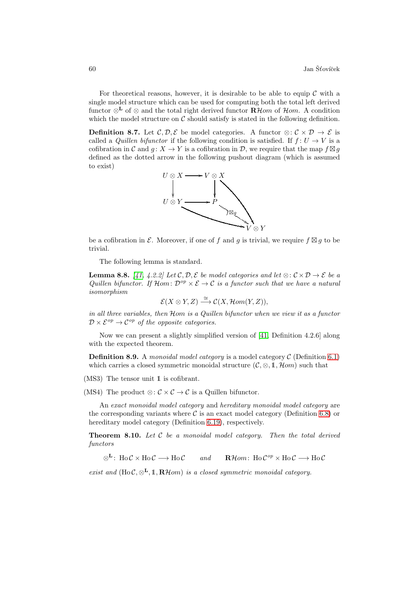For theoretical reasons, however, it is desirable to be able to equip  $\mathcal C$  with a single model structure which can be used for computing both the total left derived functor  $\otimes^{\mathbf{L}}$  of  $\otimes$  and the total right derived functor **R**Hom of Hom. A condition which the model structure on  $\mathcal C$  should satisfy is stated in the following definition.

<span id="page-59-1"></span>**Definition 8.7.** Let  $\mathcal{C}, \mathcal{D}, \mathcal{E}$  be model categories. A functor ⊗:  $\mathcal{C} \times \mathcal{D} \to \mathcal{E}$  is called a *Quillen bifunctor* if the following condition is satisfied. If  $f: U \to V$  is a cofibration in C and  $g: X \to Y$  is a cofibration in D, we require that the map  $f \boxtimes g$ defined as the dotted arrow in the following pushout diagram (which is assumed to exist)



be a cofibration in  $\mathcal E$ . Moreover, if one of f and g is trivial, we require  $f \boxtimes g$  to be trivial.

<span id="page-59-0"></span>The following lemma is standard.

**Lemma 8.8.** [\[41,](#page-67-0) 4.2.2] Let C, D, E be model categories and let  $\otimes : C \times D \to \mathcal{E}$  be a Quillen bifunctor. If Hom:  $\mathcal{D}^{op} \times \mathcal{E} \rightarrow \mathcal{C}$  is a functor such that we have a natural isomorphism

$$
\mathcal{E}(X \otimes Y, Z) \stackrel{\cong}{\longrightarrow} \mathcal{C}(X, \mathcal{H}om(Y, Z)),
$$

in all three variables, then Hom is a Quillen bifunctor when we view it as a functor  $\mathcal{D} \times \mathcal{E}^{op} \to \mathcal{C}^{op}$  of the opposite categories.

<span id="page-59-2"></span>Now we can present a slightly simplified version of [\[41,](#page-67-0) Definition 4.2.6] along with the expected theorem.

**Definition 8.9.** A monoidal model category is a model category  $\mathcal{C}$  (Definition [6.1\)](#page-35-2) which carries a closed symmetric monoidal structure  $(C, \otimes, 1, \mathcal{H}om)$  such that

(MS3) The tensor unit 1 is cofibrant.

(MS4) The product  $\otimes: \mathcal{C} \times \mathcal{C} \to \mathcal{C}$  is a Quillen bifunctor.

An exact monoidal model category and hereditary monoidal model category are the corresponding variants where  $\mathcal C$  is an exact model category (Definition [6.8\)](#page-38-1) or hereditary model category (Definition [6.19\)](#page-45-1), respectively.

**Theorem 8.10.** Let  $C$  be a monoidal model category. Then the total derived functors

 $\otimes^{\mathbf{L}}$ : Ho  $\mathcal{C} \times$  Ho  $\mathcal{C} \longrightarrow$  Ho  $\mathcal{C}$  and  $\mathbf{R}$   $\mathcal{H}om$ : Ho  $\mathcal{C}^{op} \times$  Ho  $\mathcal{C} \longrightarrow$  Ho  $\mathcal{C}$ 

exist and  $(Ho \mathcal{C}, \otimes^{\mathbf{L}}, \mathbf{1}, \mathbf{R}\mathcal{H}om)$  is a closed symmetric monoidal category.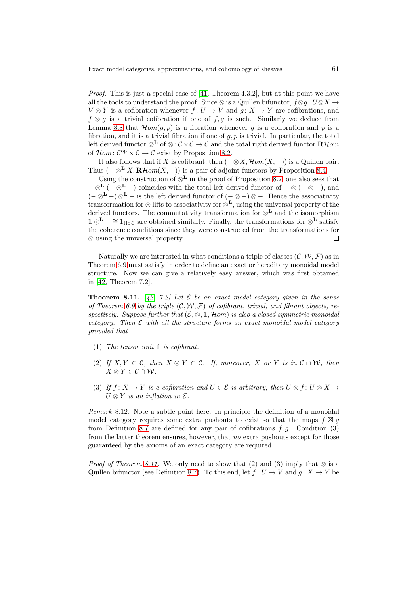*Proof.* This is just a special case of  $[41,$  Theorem 4.3.2], but at this point we have all the tools to understand the proof. Since ⊗ is a Quillen bifunctor,  $f \otimes g : U \otimes X \rightarrow$  $V \otimes Y$  is a cofibration whenever  $f: U \to V$  and  $g: X \to Y$  are cofibrations, and  $f \otimes g$  is a trivial cofibration if one of  $f, g$  is such. Similarly we deduce from Lemma [8.8](#page-59-0) that  $\mathcal{H}om(g,p)$  is a fibration whenever g is a cofibration and p is a fibration, and it is a trivial fibration if one of  $g, p$  is trivial. In particular, the total left derived functor  $\otimes^{\mathbf{L}}$  of  $\otimes: \mathcal{C} \times \mathcal{C} \to \mathcal{C}$  and the total right derived functor  $\mathbf{R}\mathcal{H}$ *om* of  $\mathcal{H}om: \mathcal{C}^{\mathrm{op}} \times \mathcal{C} \to \mathcal{C}$  exist by Proposition [8.2.](#page-57-0)

It also follows that if X is cofibrant, then  $(-\otimes X, \mathcal{H}om(X,-))$  is a Quillen pair. Thus  $(- \otimes^{\mathbf{L}} X, \mathbf{R}\mathcal{H}om(X,-))$  is a pair of adjoint functors by Proposition [8.4.](#page-58-0)

Using the construction of  $\otimes^{\mathbf{L}}$  in the proof of Proposition [8.2,](#page-57-0) one also sees that  $-\otimes^{\mathbf{L}}(-\otimes^{\mathbf{L}}-)$  coincides with the total left derived functor of  $-\otimes(-\otimes-)$ , and  $(- \otimes^{\mathbf{L}}) \otimes^{\mathbf{L}}$  − is the left derived functor of  $(- \otimes -) \otimes -$ . Hence the associativity transformation for ⊗ lifts to associativity for  $\otimes^{\mathbf{L}}$ , using the universal property of the derived functors. The commutativity transformation for  $\otimes^{\mathbf{L}}$  and the isomorphism  $1 \otimes^{\mathbf{L}} - 1 \otimes \mathbb{I}_{\text{HoC}}$  are obtained similarly. Finally, the transformations for  $\otimes^{\mathbf{L}}$  satisfy the coherence conditions since they were constructed from the transformations for ⊗ using the universal property.  $\Box$ 

Naturally we are interested in what conditions a triple of classes  $(C, W, \mathcal{F})$  as in Theorem [6.9](#page-38-0) must satisfy in order to define an exact or hereditary monoidal model structure. Now we can give a relatively easy answer, which was first obtained in [\[42,](#page-67-2) Theorem 7.2].

<span id="page-60-0"></span>**Theorem 8.11.** [\[42,](#page-67-2) 7.2] Let  $\mathcal{E}$  be an exact model category given in the sense of Theorem [6.9](#page-38-0) by the triple  $(C, W, \mathcal{F})$  of cofibrant, trivial, and fibrant objects, respectively. Suppose further that  $(\mathcal{E}, \otimes, \mathbb{1}, \mathcal{H}om)$  is also a closed symmetric monoidal category. Then  $\mathcal E$  with all the structure forms an exact monoidal model category provided that

- (1) The tensor unit  $\mathbb 1$  is cofibrant.
- (2) If  $X, Y \in \mathcal{C}$ , then  $X \otimes Y \in \mathcal{C}$ . If, moreover, X or Y is in  $\mathcal{C} \cap \mathcal{W}$ , then  $X \otimes Y \in \mathcal{C} \cap \mathcal{W}$ .
- (3) If  $f: X \to Y$  is a cofibration and  $U \in \mathcal{E}$  is arbitrary, then  $U \otimes f: U \otimes X \to Y$  $U \otimes Y$  is an inflation in  $\mathcal{E}.$

Remark 8.12. Note a subtle point here: In principle the definition of a monoidal model category requires some extra pushouts to exist so that the maps  $f \boxtimes g$ from Definition [8.7](#page-59-1) are defined for any pair of cofibrations  $f, g$ . Condition (3) from the latter theorem ensures, however, that no extra pushouts except for those guaranteed by the axioms of an exact category are required.

*Proof of Theorem [8.11.](#page-60-0)* We only need to show that (2) and (3) imply that  $\otimes$  is a Quillen bifunctor (see Definition [8.7\)](#page-59-1). To this end, let  $f: U \to V$  and  $g: X \to Y$  be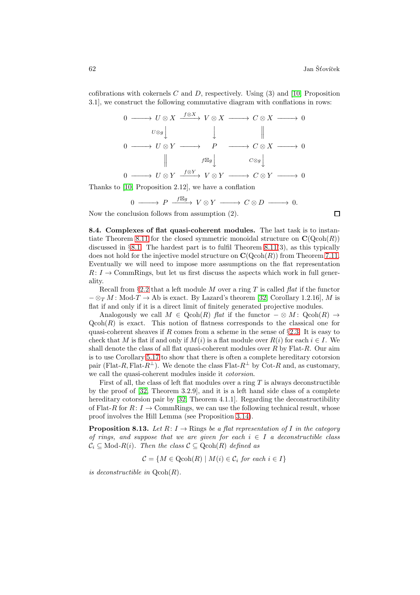cofibrations with cokernels  $C$  and  $D$ , respectively. Using  $(3)$  and  $[10,$  Proposition 3.1], we construct the following commutative diagram with conflations in rows:

 $\theta$ 

$$
0 \longrightarrow U \otimes X \xrightarrow{f \otimes X} V \otimes X \longrightarrow C \otimes X \longrightarrow 0
$$
  
\n
$$
U \otimes g \downarrow \qquad \qquad \downarrow \qquad \qquad \parallel
$$
  
\n
$$
0 \longrightarrow U \otimes Y \longrightarrow P \longrightarrow C \otimes X \longrightarrow 0
$$
  
\n
$$
\parallel \qquad \qquad f \boxtimes g \downarrow \qquad \qquad \qquad \circ \otimes g \downarrow
$$
  
\n
$$
0 \longrightarrow U \otimes Y \xrightarrow{f \otimes Y} V \otimes Y \longrightarrow C \otimes Y \longrightarrow 0
$$

Thanks to [\[10,](#page-65-5) Proposition 2.12], we have a conflation

$$
0 \longrightarrow P \xrightarrow{f \boxtimes g} V \otimes Y \longrightarrow C \otimes D \longrightarrow 0.
$$

Now the conclusion follows from assumption (2).

<span id="page-61-0"></span>8.4. Complexes of flat quasi-coherent modules. The last task is to instan-tiate Theorem [8.11](#page-60-0) for the closed symmetric monoidal structure on  $\mathbf{C}(\mathrm{Qcoh}(R))$ discussed in §[8.1.](#page-55-1) The hardest part is to fulfil Theorem [8.11\(](#page-60-0)3), as this typically does not hold for the injective model structure on  $\mathbf{C}(\mathrm{Qcoh}(R))$  from Theorem [7.11.](#page-52-0) Eventually we will need to impose more assumptions on the flat representation  $R: I \to \text{CommRings}$ , but let us first discuss the aspects which work in full generality.

Recall from §[2.2](#page-4-2) that a left module M over a ring T is called flat if the functor  $-\otimes_T M$ : Mod-T  $\rightarrow$  Ab is exact. By Lazard's theorem [\[32,](#page-67-6) Corollary 1.2.16], M is flat if and only if it is a direct limit of finitely generated projective modules.

Analogously we call  $M \in \text{Qcoh}(R)$  flat if the functor  $-\otimes M$ :  $\text{Qcoh}(R) \rightarrow$  $Qcoh(R)$  is exact. This notion of flatness corresponds to the classical one for quasi-coherent sheaves if R comes from a scheme in the sense of  $\S 2.3$ . It is easy to check that M is flat if and only if  $M(i)$  is a flat module over  $R(i)$  for each  $i \in I$ . We shall denote the class of all flat quasi-coherent modules over  $R$  by Flat- $R$ . Our aim is to use Corollary [5.17](#page-34-1) to show that there is often a complete hereditary cotorsion pair (Flat-R, Flat-R<sup>⊥</sup>). We denote the class Flat-R<sup>⊥</sup> by Cot-R and, as customary, we call the quasi-coherent modules inside it cotorsion.

First of all, the class of left flat modules over a ring  $T$  is always deconstructible by the proof of [\[32,](#page-67-6) Theorem 3.2.9], and it is a left hand side class of a complete hereditary cotorsion pair by [\[32,](#page-67-6) Theorem 4.1.1]. Regarding the deconstructibility of Flat-R for  $R: I \to \text{CommRings}$ , we can use the following technical result, whose proof involves the Hill Lemma (see Proposition [3.14\)](#page-15-0).

<span id="page-61-1"></span>**Proposition 8.13.** Let  $R: I \to \text{Rings}$  be a flat representation of I in the category of rings, and suppose that we are given for each  $i \in I$  a deconstructible class  $C_i \subseteq \text{Mod-}R(i)$ . Then the class  $C \subseteq \text{Qcoh}(R)$  defined as

$$
\mathcal{C} = \{ M \in \text{Qcoh}(R) \mid M(i) \in \mathcal{C}_i \text{ for each } i \in I \}
$$

is deconstructible in  $Qcoh(R)$ .

 $\Box$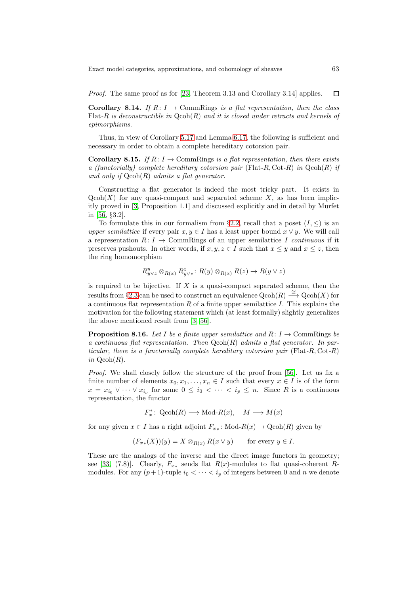Proof. The same proof as for [\[23,](#page-66-0) Theorem 3.13 and Corollary 3.14] applies. 口

Corollary 8.14. If  $R: I \rightarrow \text{CommRings}$  is a flat representation, then the class Flat-R is deconstructible in  $Qcoh(R)$  and it is closed under retracts and kernels of epimorphisms.

Thus, in view of Corollary [5.17](#page-34-1) and Lemma [6.17,](#page-44-0) the following is sufficient and necessary in order to obtain a complete hereditary cotorsion pair.

Corollary 8.15. If  $R: I \to \text{CommRings}$  is a flat representation, then there exists a (functorially) complete hereditary cotorsion pair (Flat-R, Cot-R) in  $Qcoh(R)$  if and only if  $Qcoh(R)$  admits a flat generator.

Constructing a flat generator is indeed the most tricky part. It exists in  $Q\text{coh}(X)$  for any quasi-compact and separated scheme X, as has been implicitly proved in [\[3,](#page-65-11) Proposition 1.1] and discussed explicitly and in detail by Murfet in [\[56,](#page-68-2) §3.2].

To formulate this in our formalism from §[2.2,](#page-4-2) recall that a poset  $(I, \leq)$  is an upper semilattice if every pair  $x, y \in I$  has a least upper bound  $x \vee y$ . We will call a representation  $R: I \to \text{Comm}$  and  $\Pi$  are semilattice I continuous if it preserves pushouts. In other words, if  $x, y, z \in I$  such that  $x \leq y$  and  $x \leq z$ , then the ring homomorphism

$$
R_{y\vee z}^y \otimes_{R(x)} R_{y\vee z}^z : R(y) \otimes_{R(x)} R(z) \to R(y \vee z)
$$

is required to be bijective. If  $X$  is a quasi-compact separated scheme, then the results from §[2.3](#page-8-0) can be used to construct an equivalence  $Q\text{coh}(R) \stackrel{\cong}{\longrightarrow} Q\text{coh}(X)$  for a continuous flat representation  $R$  of a finite upper semilattice  $I$ . This explains the motivation for the following statement which (at least formally) slightly generalizes the above mentioned result from [\[3,](#page-65-11) [56\]](#page-68-2).

**Proposition 8.16.** Let I be a finite upper semilattice and  $R: I \rightarrow \text{CommRings}$  be a continuous flat representation. Then  $Qcoh(R)$  admits a flat generator. In particular, there is a functorially complete hereditary cotorsion pair  $(Flat-R, Cot-R)$ in  $Qcoh(R)$ .

*Proof.* We shall closely follow the structure of the proof from [\[56\]](#page-68-2). Let us fix a finite number of elements  $x_0, x_1, \ldots, x_n \in I$  such that every  $x \in I$  is of the form  $x = x_{i_0} \vee \cdots \vee x_{i_p}$  for some  $0 \leq i_0 < \cdots < i_p \leq n$ . Since R is a continuous representation, the functor

$$
F_x^*\colon \operatorname{Qcoh}(R) \longrightarrow \operatorname{Mod-}R(x), \quad M \longmapsto M(x)
$$

for any given  $x \in I$  has a right adjoint  $F_{x*}$ : Mod- $R(x) \to \text{Qcoh}(R)$  given by

$$
(F_{x*}(X))(y) = X \otimes_{R(x)} R(x \vee y) \quad \text{for every } y \in I.
$$

These are the analogs of the inverse and the direct image functors in geometry; see [\[33,](#page-67-12) (7.8)]. Clearly,  $F_{x*}$  sends flat  $R(x)$ -modules to flat quasi-coherent Rmodules. For any  $(p+1)$ -tuple  $i_0 < \cdots < i_p$  of integers between 0 and n we denote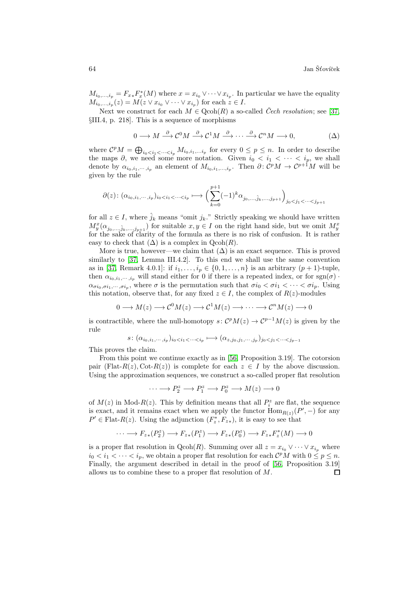$M_{i_0,\dots,i_p} = F_{x*}F_x^*(M)$  where  $x = x_{i_0} \vee \dots \vee x_{i_p}$ . In particular we have the equality  $M_{i_0,\ldots,i_p}(z) = M(z \vee x_{i_0} \vee \cdots \vee x_{i_p})$  for each  $z \in I$ .

Next we construct for each  $M \in \text{Qcoh}(R)$  a so-called Cech resolution; see [\[37,](#page-67-11) §III.4, p. 218]. This is a sequence of morphisms

$$
0 \longrightarrow M \stackrel{\partial}{\longrightarrow} \mathcal{C}^0 M \stackrel{\partial}{\longrightarrow} \mathcal{C}^1 M \stackrel{\partial}{\longrightarrow} \cdots \stackrel{\partial}{\longrightarrow} \mathcal{C}^n M \longrightarrow 0,
$$
 (Δ)

where  $\mathcal{C}^pM = \bigoplus_{i_0 < i_1 < \cdots < i_p} M_{i_0, i_1, \ldots, i_p}$  for every  $0 \leq p \leq n$ . In order to describe the maps  $\partial$ , we need some more notation. Given  $i_0 < i_1 < \cdots < i_p$ , we shall denote by  $\alpha_{i_0,i_1,\dots,i_p}$  an element of  $M_{i_0,i_1,\dots,i_p}$ . Then  $\partial\colon C^pM\to C^{p+1}M$  will be given by the rule

$$
\partial(z) : (\alpha_{i_0,i_1,\dots,i_p})_{i_0 < i_1 < \dots < i_p} \longmapsto \Big(\sum_{k=0}^{p+1} (-1)^k \alpha_{j_0,\dots,\hat{j}_k,\dots,j_{p+1}}\Big)_{j_0 < j_1 < \dots < j_{p+1}}
$$

for all  $z \in I$ , where  $\hat{j}_k$  means "omit  $j_k$ ." Strictly speaking we should have written  $M_y^x(\alpha_{j_0,\dots,\hat{j}_k,\dots,j_{p+1}})$  for suitable  $x, y \in I$  on the right hand side, but we omit  $M_y^x$  for the sake of clarity of the formula as there is no risk of confusion. It is rather easy to check that  $(\Delta)$  is a complex in  $Qcoh(R)$ .

More is true, however—we claim that  $(\Delta)$  is an exact sequence. This is proved similarly to [\[37,](#page-67-11) Lemma III.4.2]. To this end we shall use the same convention as in [\[37,](#page-67-11) Remark 4.0.1]: if  $i_1, ..., i_p \in \{0, 1, ..., n\}$  is an arbitrary  $(p + 1)$ -tuple, then  $\alpha_{i_0,i_1,\dots,i_n}$  will stand either for 0 if there is a repeated index, or for sgn $(\sigma)$ .  $\alpha_{\sigma i_0, \sigma i_1, \dots, \sigma i_p}$ , where  $\sigma$  is the permutation such that  $\sigma i_0 < \sigma i_1 < \dots < \sigma i_p$ . Using this notation, observe that, for any fixed  $z \in I$ , the complex of  $R(z)$ -modules

$$
0 \longrightarrow M(z) \longrightarrow \mathcal{C}^0 M(z) \longrightarrow \mathcal{C}^1 M(z) \longrightarrow \cdots \longrightarrow \mathcal{C}^n M(z) \longrightarrow 0
$$

is contractible, where the null-homotopy  $s: \mathcal{C}^pM(z) \to \mathcal{C}^{p-1}M(z)$  is given by the rule

$$
s\colon (\alpha_{i_0,i_1,\cdots,i_p})_{i_0
$$

This proves the claim.

From this point we continue exactly as in [\[56,](#page-68-2) Proposition 3.19]. The cotorsion pair (Flat- $R(z)$ , Cot- $R(z)$ ) is complete for each  $z \in I$  by the above discussion. Using the approximation sequences, we construct a so-called proper flat resolution

$$
\cdots \longrightarrow P_2^z \longrightarrow P_1^z \longrightarrow P_0^z \longrightarrow M(z) \longrightarrow 0
$$

of  $M(z)$  in Mod- $R(z)$ . This by definition means that all  $P_i^z$  are flat, the sequence is exact, and it remains exact when we apply the functor  $\text{Hom}_{R(z)}(P', -)$  for any  $P' \in \text{Flat-}R(z)$ . Using the adjunction  $(F_z^*, F_{z_*})$ , it is easy to see that

$$
\cdots \longrightarrow F_{z*}(P_2^z) \longrightarrow F_{z*}(P_1^z) \longrightarrow F_{z*}(P_0^z) \longrightarrow F_{z*}F_z^*(M) \longrightarrow 0
$$

is a proper flat resolution in Qcoh(R). Summing over all  $z = x_{i_0} \vee \cdots \vee x_{i_n}$  where  $i_0 < i_1 < \cdots < i_p$ , we obtain a proper flat resolution for each  $\mathcal{C}^pM$  with  $0 \leq p \leq n$ . Finally, the argument described in detail in the proof of [\[56,](#page-68-2) Proposition 3.19] allows us to combine these to a proper flat resolution of M. $\Box$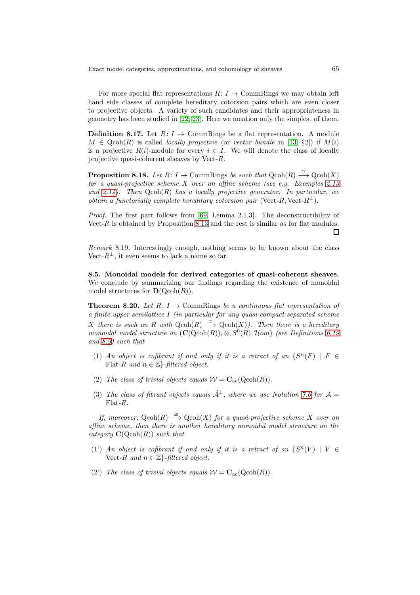For more special flat representations  $R: I \to \text{CommRings}$  we may obtain left hand side classes of complete hereditary cotorsion pairs which are even closer to projective objects. A variety of such candidates and their appropriateness in geometry has been studied in [\[22,](#page-66-5) [23\]](#page-66-0). Here we mention only the simplest of them.

**Definition 8.17.** Let  $R: I \rightarrow \text{CommRings}$  be a flat representation. A module  $M \in \text{Qcoh}(R)$  is called *locally projective* (or vector bundle in [\[13,](#page-66-18) §2]) if  $M(i)$ is a projective  $R(i)$ -module for every  $i \in I$ . We will denote the class of locally projective quasi-coherent sheaves by Vect-R.

**Proposition 8.18.** Let  $R: I \to \text{CommRings}$  be such that  $\text{Qcoh}(R) \stackrel{\cong}{\longrightarrow} \text{Qcoh}(X)$ for a quasi-projective scheme X over an affine scheme (see e.g. Examples  $2.13$ ) and  $2.14$ ). Then  $Qcoh(R)$  has a locally projective generator. In particular, we obtain a functorially complete hereditary cotorsion pair (Vect-R, Vect-R<sup>⊥</sup>).

Proof. The first part follows from [\[69,](#page-68-10) Lemma 2.1.3]. The deconstructibility of Vect-R is obtained by Proposition [8.13](#page-61-1) and the rest is similar as for flat modules.  $\Box$ 

Remark 8.19. Interestingly enough, nothing seems to be known about the class Vect- $R^{\perp}$ , it even seems to lack a name so far.

8.5. Monoidal models for derived categories of quasi-coherent sheaves. We conclude by summarizing our findings regarding the existence of monoidal model structures for  $\mathbf{D}(\mathrm{Qcoh}(R)).$ 

**Theorem 8.20.** Let  $R: I \rightarrow$  CommRings be a continuous flat representation of a finite upper semilattice I (in particular for any quasi-compact separated scheme X there is such an R with  $Qcoh(R) \stackrel{\cong}{\longrightarrow} Qcoh(X)$ ). Then there is a hereditary monoidal model structure on  $(C(Qcoh(R)), \otimes, S^{0}(R), \mathcal{H}om)$  (see Definitions [6.19](#page-45-1) and [8.9\)](#page-59-2) such that

- (1) An object is cofibrant if and only if it is a retract of an  $\{S^n(F) \mid F \in$ Flat-R and  $n \in \mathbb{Z}$ -filtered object.
- (2) The class of trivial objects equals  $W = \mathbf{C}_{ac}(\text{Qcoh}(R)).$
- (3) The class of fibrant objects equals  $\tilde{A}^{\perp}$ , where we use Notation [7.6](#page-50-1) for  $A =$ Flat-R.

If, moreover,  $Qcoh(R) \stackrel{\cong}{\longrightarrow} Qcoh(X)$  for a quasi-projective scheme X over an affine scheme, then there is another hereditary monoidal model structure on the category  $\mathbf{C}(\mathrm{Qcoh}(R))$  such that

- (1) An object is cofibrant if and only if it is a retract of an  $\{S^n(V) \mid V \in$ Vect-R and  $n \in \mathbb{Z}$ -filtered object.
- (2) The class of trivial objects equals  $W = \mathbf{C}_{ac}(\text{Qcoh}(R)).$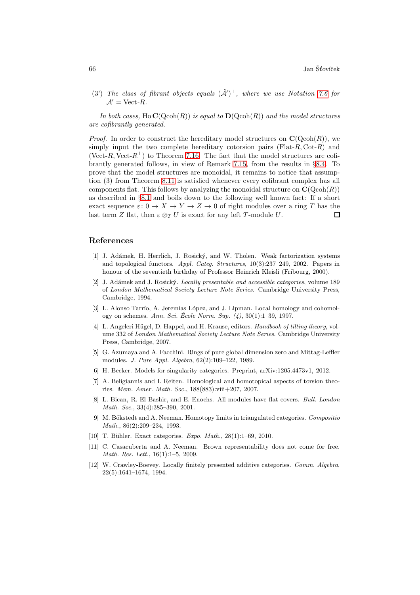(3') The class of fibrant objects equals  $(\tilde{\mathcal{A}}')^{\perp}$ , where we use Notation [7.6](#page-50-1) for  $A' =$  Vect-R.

In both cases,  $\text{Ho} \mathbf{C}(\text{Qcoh}(R))$  is equal to  $\mathbf{D}(\text{Qcoh}(R))$  and the model structures are cofibrantly generated.

*Proof.* In order to construct the hereditary model structures on  $\mathbf{C}(\mathrm{Qcoh}(R))$ , we simply input the two complete hereditary cotorsion pairs  $(Flat-R, Cot-R)$  and (Vect-R, Vect- $R^{\perp}$ ) to Theorem [7.16.](#page-54-0) The fact that the model structures are cofibrantly generated follows, in view of Remark [7.15,](#page-53-3) from the results in §[8.4.](#page-61-0) To prove that the model structures are monoidal, it remains to notice that assumption (3) from Theorem [8.11](#page-60-0) is satisfied whenever every cofibrant complex has all components flat. This follows by analyzing the monoidal structure on  $\mathbf{C}(\mathrm{Qcoh}(R))$ as described in §[8.1](#page-55-1) and boils down to the following well known fact: If a short exact sequence  $\varepsilon: 0 \to X \to Y \to Z \to 0$  of right modules over a ring T has the last term Z flat, then  $\varepsilon \otimes_T U$  is exact for any left T-module U. П

#### <span id="page-65-8"></span>References

- [1] J. Adámek, H. Herrlich, J. Rosický, and W. Tholen. Weak factorization systems and topological functors. Appl. Categ. Structures, 10(3):237–249, 2002. Papers in honour of the seventieth birthday of Professor Heinrich Kleisli (Fribourg, 2000).
- <span id="page-65-7"></span>[2] J. Adámek and J. Rosický. Locally presentable and accessible categories, volume 189 of London Mathematical Society Lecture Note Series. Cambridge University Press, Cambridge, 1994.
- <span id="page-65-11"></span>[3] L. Alonso Tarrío, A. Jeremías López, and J. Lipman. Local homology and cohomology on schemes. Ann. Sci. École Norm. Sup.  $(4)$ , 30 $(1)$ :1–39, 1997.
- <span id="page-65-1"></span>[4] L. Angeleri Hügel, D. Happel, and H. Krause, editors. Handbook of tilting theory, volume 332 of London Mathematical Society Lecture Note Series. Cambridge University Press, Cambridge, 2007.
- <span id="page-65-6"></span>[5] G. Azumaya and A. Facchini. Rings of pure global dimension zero and Mittag-Leffler modules. J. Pure Appl. Algebra, 62(2):109–122, 1989.
- <span id="page-65-2"></span><span id="page-65-0"></span>[6] H. Becker. Models for singularity categories. Preprint, arXiv:1205.4473v1, 2012.
- [7] A. Beligiannis and I. Reiten. Homological and homotopical aspects of torsion theories. Mem. Amer. Math. Soc., 188(883):viii+207, 2007.
- <span id="page-65-3"></span>[8] L. Bican, R. El Bashir, and E. Enochs. All modules have flat covers. Bull. London Math. Soc., 33(4):385–390, 2001.
- <span id="page-65-4"></span>[9] M. Bökstedt and A. Neeman. Homotopy limits in triangulated categories. Compositio Math., 86(2):209–234, 1993.
- <span id="page-65-10"></span><span id="page-65-5"></span>[10] T. Bühler. Exact categories. Expo. Math., 28(1):1–69, 2010.
- [11] C. Casacuberta and A. Neeman. Brown representability does not come for free. Math. Res. Lett., 16(1):1–5, 2009.
- <span id="page-65-9"></span>[12] W. Crawley-Boevey. Locally finitely presented additive categories. Comm. Algebra, 22(5):1641–1674, 1994.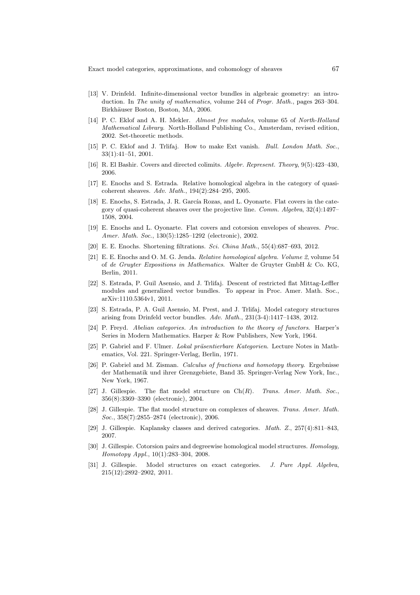- <span id="page-66-18"></span>[13] V. Drinfeld. Infinite-dimensional vector bundles in algebraic geometry: an introduction. In The unity of mathematics, volume 244 of Progr. Math., pages 263–304. Birkhäuser Boston, Boston, MA, 2006.
- <span id="page-66-14"></span>[14] P. C. Eklof and A. H. Mekler. Almost free modules, volume 65 of North-Holland Mathematical Library. North-Holland Publishing Co., Amsterdam, revised edition, 2002. Set-theoretic methods.
- <span id="page-66-6"></span>[15] P. C. Eklof and J. Trlifaj. How to make Ext vanish. Bull. London Math. Soc., 33(1):41–51, 2001.
- <span id="page-66-10"></span><span id="page-66-7"></span>[16] R. El Bashir. Covers and directed colimits. Algebr. Represent. Theory, 9(5):423–430, 2006.
- <span id="page-66-8"></span>[17] E. Enochs and S. Estrada. Relative homological algebra in the category of quasicoherent sheaves. Adv. Math., 194(2):284–295, 2005.
- [18] E. Enochs, S. Estrada, J. R. García Rozas, and L. Oyonarte. Flat covers in the category of quasi-coherent sheaves over the projective line. Comm. Algebra, 32(4):1497– 1508, 2004.
- <span id="page-66-9"></span>[19] E. Enochs and L. Oyonarte. Flat covers and cotorsion envelopes of sheaves. Proc. Amer. Math. Soc., 130(5):1285–1292 (electronic), 2002.
- <span id="page-66-12"></span><span id="page-66-11"></span>[20] E. E. Enochs. Shortening filtrations. Sci. China Math., 55(4):687–693, 2012.
- [21] E. E. Enochs and O. M. G. Jenda. Relative homological algebra. Volume 2, volume 54 of de Gruyter Expositions in Mathematics. Walter de Gruyter GmbH & Co. KG, Berlin, 2011.
- <span id="page-66-5"></span>[22] S. Estrada, P. Guil Asensio, and J. Trlifaj. Descent of restricted flat Mittag-Leffler modules and generalized vector bundles. To appear in Proc. Amer. Math. Soc., arXiv:1110.5364v1, 2011.
- <span id="page-66-0"></span>[23] S. Estrada, P. A. Guil Asensio, M. Prest, and J. Trlifaj. Model category structures arising from Drinfeld vector bundles. Adv. Math., 231(3-4):1417–1438, 2012.
- <span id="page-66-16"></span>[24] P. Freyd. Abelian categories. An introduction to the theory of functors. Harper's Series in Modern Mathematics. Harper & Row Publishers, New York, 1964.
- <span id="page-66-15"></span>[25] P. Gabriel and F. Ulmer. Lokal präsentierbare Kategorien. Lecture Notes in Mathematics, Vol. 221. Springer-Verlag, Berlin, 1971.
- <span id="page-66-17"></span>[26] P. Gabriel and M. Zisman. Calculus of fractions and homotopy theory. Ergebnisse der Mathematik und ihrer Grenzgebiete, Band 35. Springer-Verlag New York, Inc., New York, 1967.
- <span id="page-66-1"></span>[27] J. Gillespie. The flat model structure on  $Ch(R)$ . Trans. Amer. Math. Soc., 356(8):3369–3390 (electronic), 2004.
- <span id="page-66-2"></span>[28] J. Gillespie. The flat model structure on complexes of sheaves. Trans. Amer. Math. Soc., 358(7):2855–2874 (electronic), 2006.
- <span id="page-66-4"></span><span id="page-66-3"></span>[29] J. Gillespie. Kaplansky classes and derived categories. Math. Z., 257(4):811–843, 2007.
- [30] J. Gillespie. Cotorsion pairs and degreewise homological model structures. Homology, Homotopy Appl., 10(1):283–304, 2008.
- <span id="page-66-13"></span>[31] J. Gillespie. Model structures on exact categories. J. Pure Appl. Algebra, 215(12):2892–2902, 2011.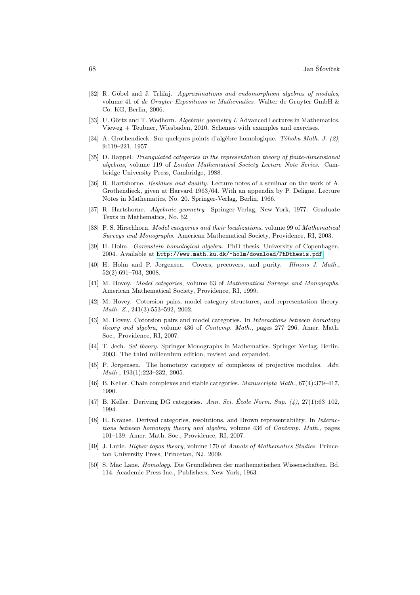- <span id="page-67-6"></span>[32] R. Göbel and J. Trlifaj. Approximations and endomorphism algebras of modules, volume 41 of de Gruyter Expositions in Mathematics. Walter de Gruyter GmbH & Co. KG, Berlin, 2006.
- <span id="page-67-12"></span><span id="page-67-10"></span>[33] U. Görtz and T. Wedhorn. Algebraic geometry I. Advanced Lectures in Mathematics. Vieweg + Teubner, Wiesbaden, 2010. Schemes with examples and exercises.
- <span id="page-67-16"></span>[34] A. Grothendieck. Sur quelques points d'algèbre homologique. Tôhoku Math. J.  $(2)$ , 9:119–221, 1957.
- [35] D. Happel. Triangulated categories in the representation theory of finite-dimensional algebras, volume 119 of London Mathematical Society Lecture Note Series. Cambridge University Press, Cambridge, 1988.
- <span id="page-67-18"></span>[36] R. Hartshorne. Residues and duality. Lecture notes of a seminar on the work of A. Grothendieck, given at Harvard 1963/64. With an appendix by P. Deligne. Lecture Notes in Mathematics, No. 20. Springer-Verlag, Berlin, 1966.
- <span id="page-67-11"></span>[37] R. Hartshorne. Algebraic geometry. Springer-Verlag, New York, 1977. Graduate Texts in Mathematics, No. 52.
- <span id="page-67-1"></span>[38] P. S. Hirschhorn. *Model categories and their localizations*, volume 99 of *Mathematical* Surveys and Monographs. American Mathematical Society, Providence, RI, 2003.
- <span id="page-67-4"></span>[39] H. Holm. Gorenstein homological algebra. PhD thesis, University of Copenhagen, 2004. Available at <http://www.math.ku.dk/~holm/download/PhDthesis.pdf>.
- <span id="page-67-8"></span>[40] H. Holm and P. Jørgensen. Covers, precovers, and purity. Illinois J. Math., 52(2):691–703, 2008.
- <span id="page-67-0"></span>[41] M. Hovey. Model categories, volume 63 of Mathematical Surveys and Monographs. American Mathematical Society, Providence, RI, 1999.
- <span id="page-67-2"></span>[42] M. Hovey. Cotorsion pairs, model category structures, and representation theory. Math. Z., 241(3):553–592, 2002.
- <span id="page-67-3"></span>[43] M. Hovey. Cotorsion pairs and model categories. In Interactions between homotopy theory and algebra, volume 436 of Contemp. Math., pages 277–296. Amer. Math. Soc., Providence, RI, 2007.
- <span id="page-67-14"></span>[44] T. Jech. Set theory. Springer Monographs in Mathematics. Springer-Verlag, Berlin, 2003. The third millennium edition, revised and expanded.
- <span id="page-67-5"></span>[45] P. Jørgensen. The homotopy category of complexes of projective modules. Adv. Math., 193(1):223–232, 2005.
- <span id="page-67-13"></span>[46] B. Keller. Chain complexes and stable categories. Manuscripta Math., 67(4):379–417, 1990.
- <span id="page-67-7"></span>[47] B. Keller. Deriving DG categories. Ann. Sci. École Norm. Sup.  $(4)$ , 27(1):63–102, 1994.
- <span id="page-67-17"></span>[48] H. Krause. Derived categories, resolutions, and Brown representability. In Interactions between homotopy theory and algebra, volume 436 of Contemp. Math., pages 101–139. Amer. Math. Soc., Providence, RI, 2007.
- <span id="page-67-9"></span>[49] J. Lurie. Higher topos theory, volume 170 of Annals of Mathematics Studies. Princeton University Press, Princeton, NJ, 2009.
- <span id="page-67-15"></span>[50] S. Mac Lane. Homology. Die Grundlehren der mathematischen Wissenschaften, Bd. 114. Academic Press Inc., Publishers, New York, 1963.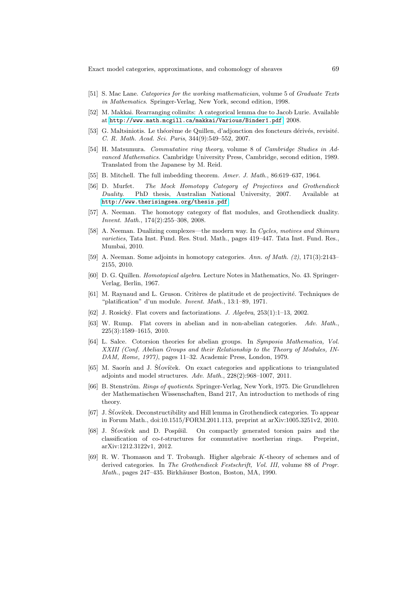- <span id="page-68-15"></span><span id="page-68-12"></span>[51] S. Mac Lane. Categories for the working mathematician, volume 5 of Graduate Texts in Mathematics. Springer-Verlag, New York, second edition, 1998.
- <span id="page-68-18"></span>[52] M. Makkai. Rearranging colimits: A categorical lemma due to Jacob Lurie. Available at <http://www.math.mcgill.ca/makkai/Various/Binder1.pdf>, 2008.
- [53] G. Maltsiniotis. Le théorème de Quillen, d'adjonction des foncteurs dérivés, revisité. C. R. Math. Acad. Sci. Paris, 344(9):549–552, 2007.
- <span id="page-68-16"></span>[54] H. Matsumura. Commutative ring theory, volume 8 of Cambridge Studies in Advanced Mathematics. Cambridge University Press, Cambridge, second edition, 1989. Translated from the Japanese by M. Reid.
- <span id="page-68-13"></span><span id="page-68-2"></span>[55] B. Mitchell. The full imbedding theorem. Amer. J. Math., 86:619-637, 1964.
- [56] D. Murfet. The Mock Homotopy Category of Projectives and Grothendieck Duality. PhD thesis, Australian National University, 2007. Available at <http://www.therisingsea.org/thesis.pdf>.
- <span id="page-68-3"></span>[57] A. Neeman. The homotopy category of flat modules, and Grothendieck duality. Invent. Math., 174(2):255–308, 2008.
- <span id="page-68-4"></span>[58] A. Neeman. Dualizing complexes—the modern way. In Cycles, motives and Shimura varieties, Tata Inst. Fund. Res. Stud. Math., pages 419–447. Tata Inst. Fund. Res., Mumbai, 2010.
- <span id="page-68-5"></span>[59] A. Neeman. Some adjoints in homotopy categories. Ann. of Math.  $(2)$ , 171 $(3)$ :2143– 2155, 2010.
- <span id="page-68-0"></span>[60] D. G. Quillen. Homotopical algebra. Lecture Notes in Mathematics, No. 43. Springer-Verlag, Berlin, 1967.
- <span id="page-68-17"></span>[61] M. Raynaud and L. Gruson. Critères de platitude et de projectivité. Techniques de "platification" d'un module. Invent. Math., 13:1–89, 1971.
- <span id="page-68-9"></span><span id="page-68-8"></span>[62] J. Rosický. Flat covers and factorizations. *J. Algebra*,  $253(1):1-13$ ,  $2002$ .
- [63] W. Rump. Flat covers in abelian and in non-abelian categories. Adv. Math., 225(3):1589–1615, 2010.
- <span id="page-68-7"></span>[64] L. Salce. Cotorsion theories for abelian groups. In Symposia Mathematica, Vol. XXIII (Conf. Abelian Groups and their Relationship to the Theory of Modules, IN-DAM, Rome, 1977), pages 11–32. Academic Press, London, 1979.
- <span id="page-68-1"></span>[65] M. Saorín and J. Šťovíček. On exact categories and applications to triangulated adjoints and model structures. Adv. Math., 228(2):968–1007, 2011.
- <span id="page-68-14"></span>[66] B. Stenström. Rings of quotients. Springer-Verlag, New York, 1975. Die Grundlehren der Mathematischen Wissenschaften, Band 217, An introduction to methods of ring theory.
- <span id="page-68-11"></span>[67] J. Šťovíček. Deconstructibility and Hill lemma in Grothendieck categories. To appear in Forum Math., doi:10.1515/FORM.2011.113, preprint at arXiv:1005.3251v2, 2010.
- <span id="page-68-6"></span>[68] J. Šťovíček and D. Pospíšil. On compactly generated torsion pairs and the classification of co-t-structures for commutative noetherian rings. Preprint, arXiv:1212.3122v1, 2012.
- <span id="page-68-10"></span>[69] R. W. Thomason and T. Trobaugh. Higher algebraic K-theory of schemes and of derived categories. In The Grothendieck Festschrift, Vol. III, volume 88 of Progr. Math., pages 247–435. Birkhäuser Boston, Boston, MA, 1990.